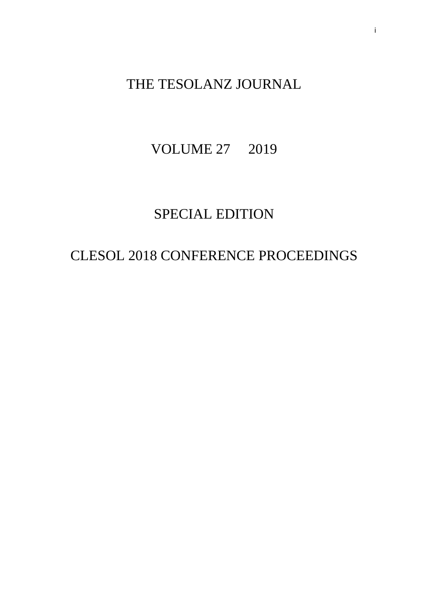# THE TESOLANZ JOURNAL

# VOLUME 27 2019

# SPECIAL EDITION

# CLESOL 2018 CONFERENCE PROCEEDINGS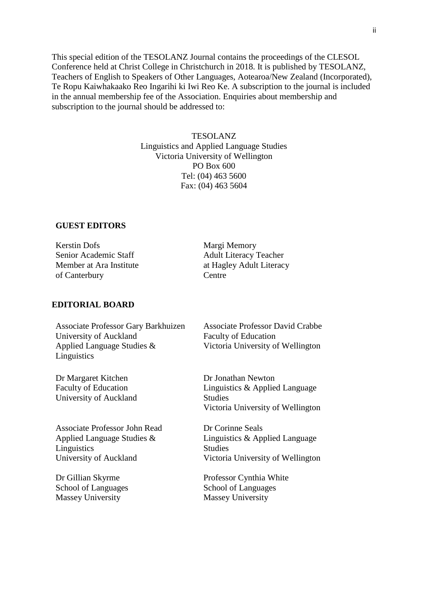This special edition of the TESOLANZ Journal contains the proceedings of the CLESOL Conference held at Christ College in Christchurch in 2018. It is published by TESOLANZ, Teachers of English to Speakers of Other Languages, Aotearoa/New Zealand (Incorporated), Te Ropu Kaiwhakaako Reo Ingarihi ki Iwi Reo Ke. A subscription to the journal is included in the annual membership fee of the Association. Enquiries about membership and subscription to the journal should be addressed to:

### TESOLANZ

Linguistics and Applied Language Studies Victoria University of Wellington PO Box 600 Tel: (04) 463 5600 Fax: (04) 463 5604

# **GUEST EDITORS**

Kerstin Dofs Senior Academic Staff Member at Ara Institute of Canterbury

Margi Memory Adult Literacy Teacher at Hagley Adult Literacy Centre

# **EDITORIAL BOARD**

Associate Professor Gary Barkhuizen University of Auckland Applied Language Studies & Linguistics

Dr Margaret Kitchen Faculty of Education University of Auckland

Associate Professor John Read Applied Language Studies & Linguistics University of Auckland

Dr Gillian Skyrme School of Languages Massey University

Associate Professor David Crabbe Faculty of Education Victoria University of Wellington

Dr Jonathan Newton Linguistics & Applied Language Studies Victoria University of Wellington

Dr Corinne Seals Linguistics & Applied Language Studies Victoria University of Wellington

Professor Cynthia White School of Languages Massey University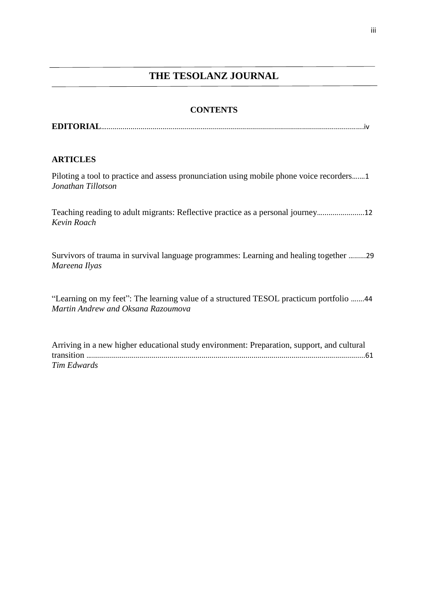# **THE TESOLANZ JOURNAL**

# **CONTENTS**

**EDITORIAL**….................................................................................................................................iv

# **ARTICLES**

Piloting a tool to practice and assess pronunciation using mobile phone voice recorders….…1 *Jonathan Tillotson* 

Teaching reading to adult migrants: Reflective practice as a personal journey….....................12 *Kevin Roach*

Survivors of trauma in survival language programmes: Learning and healing together …......29 *Mareena Ilyas*

"Learning on my feet": The learning value of a structured TESOL practicum portfolio …....44 *Martin Andrew and Oksana Razoumova*

Arriving in a new higher educational study environment: Preparation, support, and cultural transition ….........................................................................................................................................61 *Tim Edwards*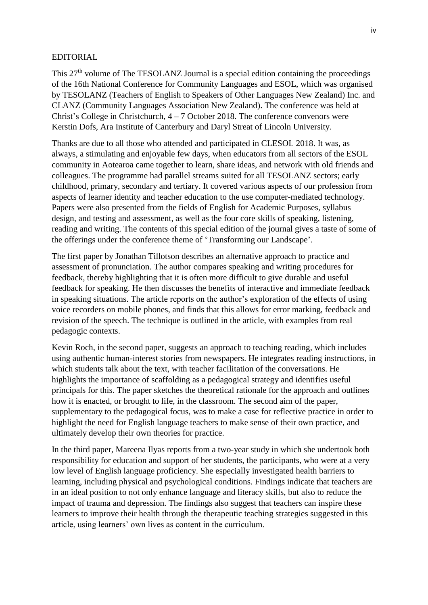## EDITORIAL

This 27<sup>th</sup> volume of The TESOLANZ Journal is a special edition containing the proceedings of the 16th National Conference for Community Languages and ESOL, which was organised by TESOLANZ (Teachers of English to Speakers of Other Languages New Zealand) Inc. and CLANZ (Community Languages Association New Zealand). The conference was held at Christ's College in Christchurch, 4 – 7 October 2018. The conference convenors were Kerstin Dofs, Ara Institute of Canterbury and Daryl Streat of Lincoln University.

Thanks are due to all those who attended and participated in CLESOL 2018. It was, as always, a stimulating and enjoyable few days, when educators from all sectors of the ESOL community in Aotearoa came together to learn, share ideas, and network with old friends and colleagues. The programme had parallel streams suited for all TESOLANZ sectors; early childhood, primary, secondary and tertiary. It covered various aspects of our profession from aspects of learner identity and teacher education to the use computer-mediated technology. Papers were also presented from the fields of English for Academic Purposes, syllabus design, and testing and assessment, as well as the four core skills of speaking, listening, reading and writing. The contents of this special edition of the journal gives a taste of some of the offerings under the conference theme of 'Transforming our Landscape'.

The first paper by Jonathan Tillotson describes an alternative approach to practice and assessment of pronunciation. The author compares speaking and writing procedures for feedback, thereby highlighting that it is often more difficult to give durable and useful feedback for speaking. He then discusses the benefits of interactive and immediate feedback in speaking situations. The article reports on the author's exploration of the effects of using voice recorders on mobile phones, and finds that this allows for error marking, feedback and revision of the speech. The technique is outlined in the article, with examples from real pedagogic contexts.

Kevin Roch, in the second paper, suggests an approach to teaching reading, which includes using authentic human-interest stories from newspapers. He integrates reading instructions, in which students talk about the text, with teacher facilitation of the conversations. He highlights the importance of scaffolding as a pedagogical strategy and identifies useful principals for this. The paper sketches the theoretical rationale for the approach and outlines how it is enacted, or brought to life, in the classroom. The second aim of the paper, supplementary to the pedagogical focus, was to make a case for reflective practice in order to highlight the need for English language teachers to make sense of their own practice, and ultimately develop their own theories for practice.

In the third paper, Mareena Ilyas reports from a two-year study in which she undertook both responsibility for education and support of her students, the participants, who were at a very low level of English language proficiency. She especially investigated health barriers to learning, including physical and psychological conditions. Findings indicate that teachers are in an ideal position to not only enhance language and literacy skills, but also to reduce the impact of trauma and depression. The findings also suggest that teachers can inspire these learners to improve their health through the therapeutic teaching strategies suggested in this article, using learners' own lives as content in the curriculum.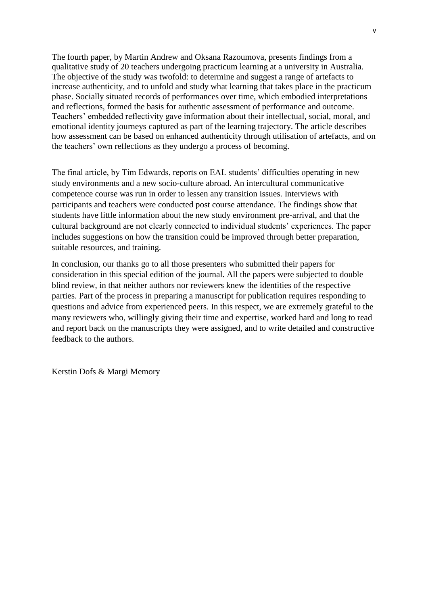The fourth paper, by Martin Andrew and Oksana Razoumova, presents findings from a qualitative study of 20 teachers undergoing practicum learning at a university in Australia. The objective of the study was twofold: to determine and suggest a range of artefacts to increase authenticity, and to unfold and study what learning that takes place in the practicum phase. Socially situated records of performances over time, which embodied interpretations and reflections, formed the basis for authentic assessment of performance and outcome. Teachers' embedded reflectivity gave information about their intellectual, social, moral, and emotional identity journeys captured as part of the learning trajectory. The article describes how assessment can be based on enhanced authenticity through utilisation of artefacts, and on the teachers' own reflections as they undergo a process of becoming.

The final article, by Tim Edwards, reports on EAL students' difficulties operating in new study environments and a new socio-culture abroad. An intercultural communicative competence course was run in order to lessen any transition issues. Interviews with participants and teachers were conducted post course attendance. The findings show that students have little information about the new study environment pre-arrival, and that the cultural background are not clearly connected to individual students' experiences. The paper includes suggestions on how the transition could be improved through better preparation, suitable resources, and training.

In conclusion, our thanks go to all those presenters who submitted their papers for consideration in this special edition of the journal. All the papers were subjected to double blind review, in that neither authors nor reviewers knew the identities of the respective parties. Part of the process in preparing a manuscript for publication requires responding to questions and advice from experienced peers. In this respect, we are extremely grateful to the many reviewers who, willingly giving their time and expertise, worked hard and long to read and report back on the manuscripts they were assigned, and to write detailed and constructive feedback to the authors.

Kerstin Dofs & Margi Memory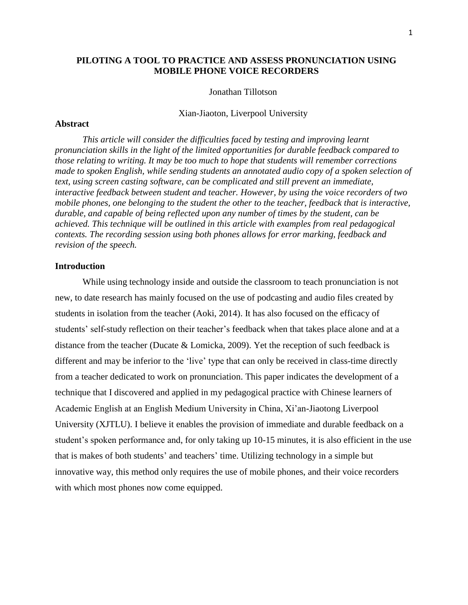# **PILOTING A TOOL TO PRACTICE AND ASSESS PRONUNCIATION USING MOBILE PHONE VOICE RECORDERS**

# Jonathan Tillotson

#### Xian-Jiaoton, Liverpool University

#### **Abstract**

*This article will consider the difficulties faced by testing and improving learnt pronunciation skills in the light of the limited opportunities for durable feedback compared to those relating to writing. It may be too much to hope that students will remember corrections made to spoken English, while sending students an annotated audio copy of a spoken selection of text, using screen casting software, can be complicated and still prevent an immediate, interactive feedback between student and teacher. However, by using the voice recorders of two mobile phones, one belonging to the student the other to the teacher, feedback that is interactive, durable, and capable of being reflected upon any number of times by the student, can be achieved. This technique will be outlined in this article with examples from real pedagogical contexts. The recording session using both phones allows for error marking, feedback and revision of the speech.*

# **Introduction**

While using technology inside and outside the classroom to teach pronunciation is not new, to date research has mainly focused on the use of podcasting and audio files created by students in isolation from the teacher (Aoki, 2014). It has also focused on the efficacy of students' self-study reflection on their teacher's feedback when that takes place alone and at a distance from the teacher (Ducate & Lomicka, 2009). Yet the reception of such feedback is different and may be inferior to the 'live' type that can only be received in class-time directly from a teacher dedicated to work on pronunciation. This paper indicates the development of a technique that I discovered and applied in my pedagogical practice with Chinese learners of Academic English at an English Medium University in China, Xi'an-Jiaotong Liverpool University (XJTLU). I believe it enables the provision of immediate and durable feedback on a student's spoken performance and, for only taking up 10-15 minutes, it is also efficient in the use that is makes of both students' and teachers' time. Utilizing technology in a simple but innovative way, this method only requires the use of mobile phones, and their voice recorders with which most phones now come equipped.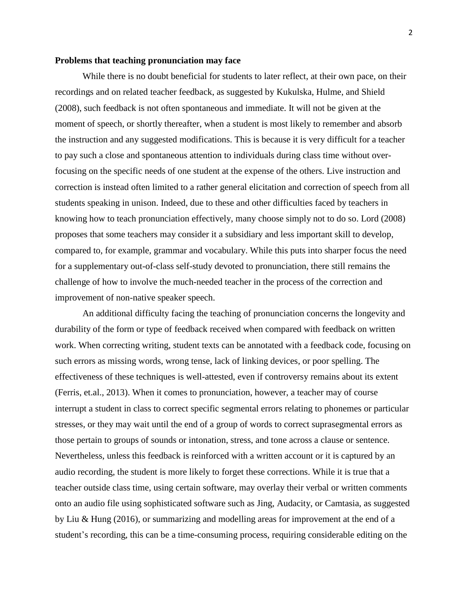#### **Problems that teaching pronunciation may face**

While there is no doubt beneficial for students to later reflect, at their own pace, on their recordings and on related teacher feedback, as suggested by Kukulska, Hulme, and Shield (2008), such feedback is not often spontaneous and immediate. It will not be given at the moment of speech, or shortly thereafter, when a student is most likely to remember and absorb the instruction and any suggested modifications. This is because it is very difficult for a teacher to pay such a close and spontaneous attention to individuals during class time without overfocusing on the specific needs of one student at the expense of the others. Live instruction and correction is instead often limited to a rather general elicitation and correction of speech from all students speaking in unison. Indeed, due to these and other difficulties faced by teachers in knowing how to teach pronunciation effectively, many choose simply not to do so. Lord (2008) proposes that some teachers may consider it a subsidiary and less important skill to develop, compared to, for example, grammar and vocabulary. While this puts into sharper focus the need for a supplementary out-of-class self-study devoted to pronunciation, there still remains the challenge of how to involve the much-needed teacher in the process of the correction and improvement of non-native speaker speech.

An additional difficulty facing the teaching of pronunciation concerns the longevity and durability of the form or type of feedback received when compared with feedback on written work. When correcting writing, student texts can be annotated with a feedback code, focusing on such errors as missing words, wrong tense, lack of linking devices, or poor spelling. The effectiveness of these techniques is well-attested, even if controversy remains about its extent (Ferris, et.al., 2013). When it comes to pronunciation, however, a teacher may of course interrupt a student in class to correct specific segmental errors relating to phonemes or particular stresses, or they may wait until the end of a group of words to correct suprasegmental errors as those pertain to groups of sounds or intonation, stress, and tone across a clause or sentence. Nevertheless, unless this feedback is reinforced with a written account or it is captured by an audio recording, the student is more likely to forget these corrections. While it is true that a teacher outside class time, using certain software, may overlay their verbal or written comments onto an audio file using sophisticated software such as Jing, Audacity, or Camtasia, as suggested by Liu & Hung (2016), or summarizing and modelling areas for improvement at the end of a student's recording, this can be a time-consuming process, requiring considerable editing on the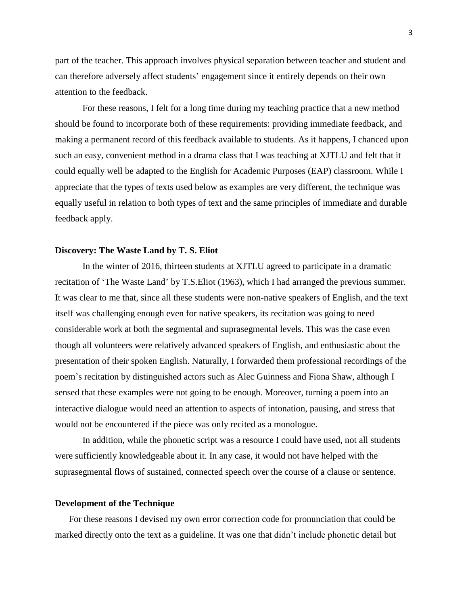part of the teacher. This approach involves physical separation between teacher and student and can therefore adversely affect students' engagement since it entirely depends on their own attention to the feedback.

For these reasons, I felt for a long time during my teaching practice that a new method should be found to incorporate both of these requirements: providing immediate feedback, and making a permanent record of this feedback available to students. As it happens, I chanced upon such an easy, convenient method in a drama class that I was teaching at XJTLU and felt that it could equally well be adapted to the English for Academic Purposes (EAP) classroom. While I appreciate that the types of texts used below as examples are very different, the technique was equally useful in relation to both types of text and the same principles of immediate and durable feedback apply.

#### **Discovery: The Waste Land by T. S. Eliot**

In the winter of 2016, thirteen students at XJTLU agreed to participate in a dramatic recitation of 'The Waste Land' by T.S.Eliot (1963), which I had arranged the previous summer. It was clear to me that, since all these students were non-native speakers of English, and the text itself was challenging enough even for native speakers, its recitation was going to need considerable work at both the segmental and suprasegmental levels. This was the case even though all volunteers were relatively advanced speakers of English, and enthusiastic about the presentation of their spoken English. Naturally, I forwarded them professional recordings of the poem's recitation by distinguished actors such as Alec Guinness and Fiona Shaw, although I sensed that these examples were not going to be enough. Moreover, turning a poem into an interactive dialogue would need an attention to aspects of intonation, pausing, and stress that would not be encountered if the piece was only recited as a monologue.

In addition, while the phonetic script was a resource I could have used, not all students were sufficiently knowledgeable about it. In any case, it would not have helped with the suprasegmental flows of sustained, connected speech over the course of a clause or sentence.

# **Development of the Technique**

For these reasons I devised my own error correction code for pronunciation that could be marked directly onto the text as a guideline. It was one that didn't include phonetic detail but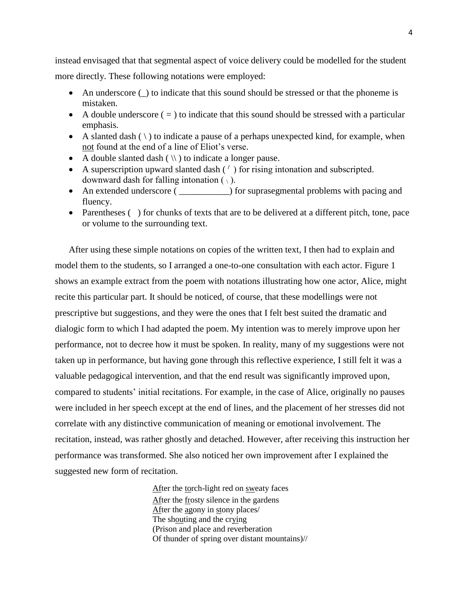instead envisaged that that segmental aspect of voice delivery could be modelled for the student more directly. These following notations were employed:

- An underscore () to indicate that this sound should be stressed or that the phoneme is mistaken.
- A double underscore  $( = )$  to indicate that this sound should be stressed with a particular emphasis.
- A slanted dash  $(\ )$  to indicate a pause of a perhaps unexpected kind, for example, when not found at the end of a line of Eliot's verse.
- A double slanted dash  $(\langle \rangle)$  to indicate a longer pause.
- A superscription upward slanted dash ( **/** ) for rising intonation and subscripted. downward dash for falling intonation  $(\cdot)$ .
- An extended underscore ( \_\_\_\_\_\_\_\_\_\_\_) for suprasegmental problems with pacing and fluency.
- Parentheses () for chunks of texts that are to be delivered at a different pitch, tone, pace or volume to the surrounding text.

After using these simple notations on copies of the written text, I then had to explain and model them to the students, so I arranged a one-to-one consultation with each actor. Figure 1 shows an example extract from the poem with notations illustrating how one actor, Alice, might recite this particular part. It should be noticed, of course, that these modellings were not prescriptive but suggestions, and they were the ones that I felt best suited the dramatic and dialogic form to which I had adapted the poem. My intention was to merely improve upon her performance, not to decree how it must be spoken. In reality, many of my suggestions were not taken up in performance, but having gone through this reflective experience, I still felt it was a valuable pedagogical intervention, and that the end result was significantly improved upon, compared to students' initial recitations. For example, in the case of Alice, originally no pauses were included in her speech except at the end of lines, and the placement of her stresses did not correlate with any distinctive communication of meaning or emotional involvement. The recitation, instead, was rather ghostly and detached. However, after receiving this instruction her performance was transformed. She also noticed her own improvement after I explained the suggested new form of recitation.

> After the torch-light red on sweaty faces After the frosty silence in the gardens After the agony in stony places/ The shouting and the crying (Prison and place and reverberation Of thunder of spring over distant mountains)//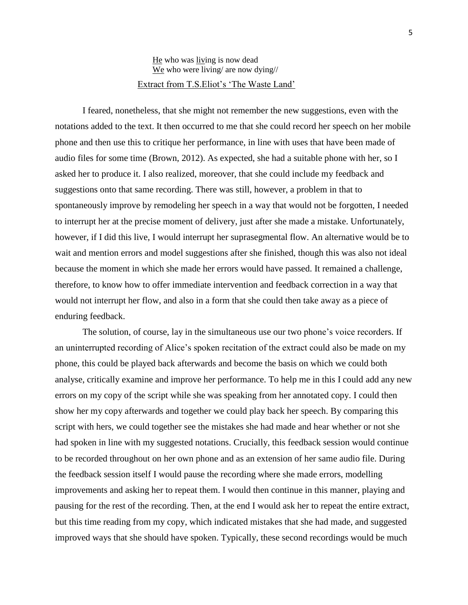# He who was living is now dead We who were living/ are now dying// Extract from T.S.Eliot's 'The Waste Land'

I feared, nonetheless, that she might not remember the new suggestions, even with the notations added to the text. It then occurred to me that she could record her speech on her mobile phone and then use this to critique her performance, in line with uses that have been made of audio files for some time (Brown, 2012). As expected, she had a suitable phone with her, so I asked her to produce it. I also realized, moreover, that she could include my feedback and suggestions onto that same recording. There was still, however, a problem in that to spontaneously improve by remodeling her speech in a way that would not be forgotten, I needed to interrupt her at the precise moment of delivery, just after she made a mistake. Unfortunately, however, if I did this live, I would interrupt her suprasegmental flow. An alternative would be to wait and mention errors and model suggestions after she finished, though this was also not ideal because the moment in which she made her errors would have passed. It remained a challenge, therefore, to know how to offer immediate intervention and feedback correction in a way that would not interrupt her flow, and also in a form that she could then take away as a piece of enduring feedback.

The solution, of course, lay in the simultaneous use our two phone's voice recorders. If an uninterrupted recording of Alice's spoken recitation of the extract could also be made on my phone, this could be played back afterwards and become the basis on which we could both analyse, critically examine and improve her performance. To help me in this I could add any new errors on my copy of the script while she was speaking from her annotated copy. I could then show her my copy afterwards and together we could play back her speech. By comparing this script with hers, we could together see the mistakes she had made and hear whether or not she had spoken in line with my suggested notations. Crucially, this feedback session would continue to be recorded throughout on her own phone and as an extension of her same audio file. During the feedback session itself I would pause the recording where she made errors, modelling improvements and asking her to repeat them. I would then continue in this manner, playing and pausing for the rest of the recording. Then, at the end I would ask her to repeat the entire extract, but this time reading from my copy, which indicated mistakes that she had made, and suggested improved ways that she should have spoken. Typically, these second recordings would be much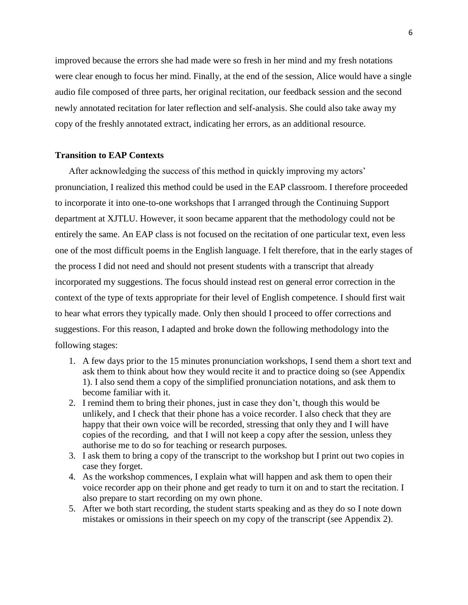improved because the errors she had made were so fresh in her mind and my fresh notations were clear enough to focus her mind. Finally, at the end of the session, Alice would have a single audio file composed of three parts, her original recitation, our feedback session and the second newly annotated recitation for later reflection and self-analysis. She could also take away my copy of the freshly annotated extract, indicating her errors, as an additional resource.

# **Transition to EAP Contexts**

After acknowledging the success of this method in quickly improving my actors' pronunciation, I realized this method could be used in the EAP classroom. I therefore proceeded to incorporate it into one-to-one workshops that I arranged through the Continuing Support department at XJTLU. However, it soon became apparent that the methodology could not be entirely the same. An EAP class is not focused on the recitation of one particular text, even less one of the most difficult poems in the English language. I felt therefore, that in the early stages of the process I did not need and should not present students with a transcript that already incorporated my suggestions. The focus should instead rest on general error correction in the context of the type of texts appropriate for their level of English competence. I should first wait to hear what errors they typically made. Only then should I proceed to offer corrections and suggestions. For this reason, I adapted and broke down the following methodology into the following stages:

- 1. A few days prior to the 15 minutes pronunciation workshops, I send them a short text and ask them to think about how they would recite it and to practice doing so (see Appendix 1). I also send them a copy of the simplified pronunciation notations, and ask them to become familiar with it.
- 2. I remind them to bring their phones, just in case they don't, though this would be unlikely, and I check that their phone has a voice recorder. I also check that they are happy that their own voice will be recorded, stressing that only they and I will have copies of the recording, and that I will not keep a copy after the session, unless they authorise me to do so for teaching or research purposes.
- 3. I ask them to bring a copy of the transcript to the workshop but I print out two copies in case they forget.
- 4. As the workshop commences, I explain what will happen and ask them to open their voice recorder app on their phone and get ready to turn it on and to start the recitation. I also prepare to start recording on my own phone.
- 5. After we both start recording, the student starts speaking and as they do so I note down mistakes or omissions in their speech on my copy of the transcript (see Appendix 2).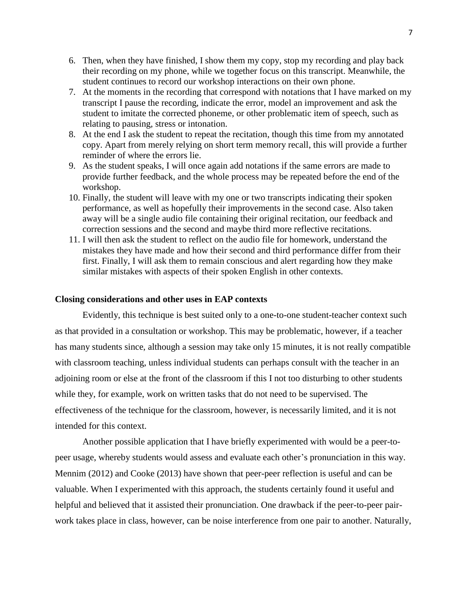- 6. Then, when they have finished, I show them my copy, stop my recording and play back their recording on my phone, while we together focus on this transcript. Meanwhile, the student continues to record our workshop interactions on their own phone.
- 7. At the moments in the recording that correspond with notations that I have marked on my transcript I pause the recording, indicate the error, model an improvement and ask the student to imitate the corrected phoneme, or other problematic item of speech, such as relating to pausing, stress or intonation.
- 8. At the end I ask the student to repeat the recitation, though this time from my annotated copy. Apart from merely relying on short term memory recall, this will provide a further reminder of where the errors lie.
- 9. As the student speaks, I will once again add notations if the same errors are made to provide further feedback, and the whole process may be repeated before the end of the workshop.
- 10. Finally, the student will leave with my one or two transcripts indicating their spoken performance, as well as hopefully their improvements in the second case. Also taken away will be a single audio file containing their original recitation, our feedback and correction sessions and the second and maybe third more reflective recitations.
- 11. I will then ask the student to reflect on the audio file for homework, understand the mistakes they have made and how their second and third performance differ from their first. Finally, I will ask them to remain conscious and alert regarding how they make similar mistakes with aspects of their spoken English in other contexts.

## **Closing considerations and other uses in EAP contexts**

Evidently, this technique is best suited only to a one-to-one student-teacher context such as that provided in a consultation or workshop. This may be problematic, however, if a teacher has many students since, although a session may take only 15 minutes, it is not really compatible with classroom teaching, unless individual students can perhaps consult with the teacher in an adjoining room or else at the front of the classroom if this I not too disturbing to other students while they, for example, work on written tasks that do not need to be supervised. The effectiveness of the technique for the classroom, however, is necessarily limited, and it is not intended for this context.

Another possible application that I have briefly experimented with would be a peer-topeer usage, whereby students would assess and evaluate each other's pronunciation in this way. Mennim (2012) and Cooke (2013) have shown that peer-peer reflection is useful and can be valuable. When I experimented with this approach, the students certainly found it useful and helpful and believed that it assisted their pronunciation. One drawback if the peer-to-peer pairwork takes place in class, however, can be noise interference from one pair to another. Naturally,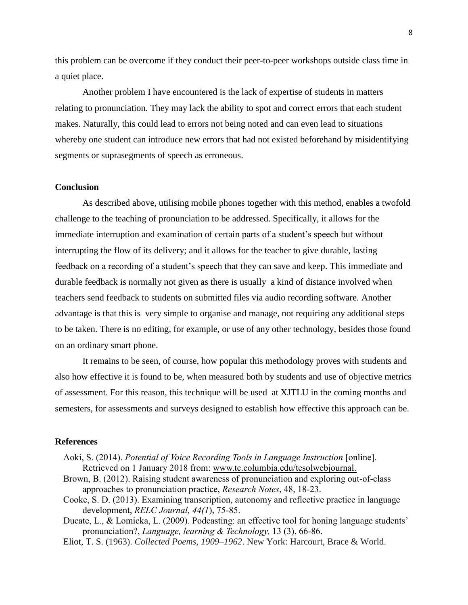this problem can be overcome if they conduct their peer-to-peer workshops outside class time in a quiet place.

Another problem I have encountered is the lack of expertise of students in matters relating to pronunciation. They may lack the ability to spot and correct errors that each student makes. Naturally, this could lead to errors not being noted and can even lead to situations whereby one student can introduce new errors that had not existed beforehand by misidentifying segments or suprasegments of speech as erroneous.

### **Conclusion**

As described above, utilising mobile phones together with this method, enables a twofold challenge to the teaching of pronunciation to be addressed. Specifically, it allows for the immediate interruption and examination of certain parts of a student's speech but without interrupting the flow of its delivery; and it allows for the teacher to give durable, lasting feedback on a recording of a student's speech that they can save and keep. This immediate and durable feedback is normally not given as there is usually a kind of distance involved when teachers send feedback to students on submitted files via audio recording software. Another advantage is that this is very simple to organise and manage, not requiring any additional steps to be taken. There is no editing, for example, or use of any other technology, besides those found on an ordinary smart phone.

It remains to be seen, of course, how popular this methodology proves with students and also how effective it is found to be, when measured both by students and use of objective metrics of assessment. For this reason, this technique will be used at XJTLU in the coming months and semesters, for assessments and surveys designed to establish how effective this approach can be.

## **References**

- Aoki, S. (2014). *Potential of Voice Recording Tools in Language Instruction* [online]. Retrieved on 1 January 2018 from: [www.tc.columbia.edu/tesolwebjournal.](http://www.tc.columbia.edu/tesolwebjournal)
- Brown, B. (2012). Raising student awareness of pronunciation and exploring out-of-class approaches to pronunciation practice, *Research Notes*, 48, 18-23.
- Cooke, S. D. (2013). Examining transcription, autonomy and reflective practice in language development, *RELC Journal, 44(1*), 75-85.
- Ducate, L., & Lomicka, L. (2009). Podcasting: an effective tool for honing language students' pronunciation?, *Language, learning & Technology,* 13 (3), 66-86.
- [Eliot, T. S.](https://en.wikipedia.org/wiki/T._S._Eliot) (1963). *Collected Poems, 1909–1962*. New York: Harcourt, Brace & World.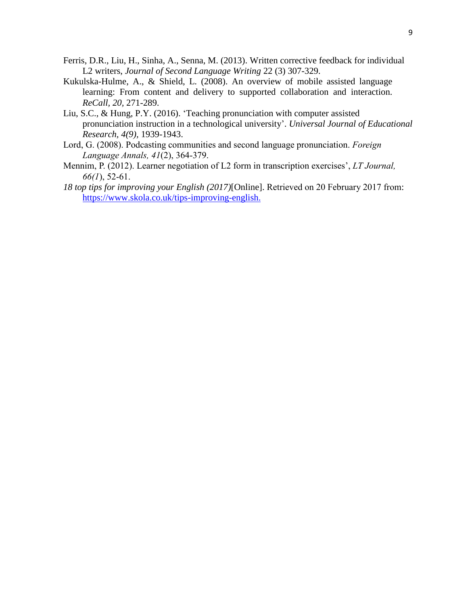- Ferris, D.R., Liu, H., Sinha, A., Senna, M. (2013). Written corrective feedback for individual L2 writers, *[Journal of Second Language Writing](https://www.sciencedirect.com/science/journal/10603743)* 22 (3) 307-329.
- Kukulska-Hulme, A., & Shield, L. (2008). An overview of mobile assisted language learning: From content and delivery to supported collaboration and interaction*. ReCall, 20,* 271-289.
- Liu, S.C., & Hung, P.Y. (2016). 'Teaching pronunciation with computer assisted pronunciation instruction in a technological university'. *Universal Journal of Educational Research, 4(9),* 1939-1943.
- Lord, G. (2008). Podcasting communities and second language pronunciation. *Foreign Language Annals, 41*(2), 364-379.
- Mennim, P. (2012). Learner negotiation of L2 form in transcription exercises', *LT Journal, 66(1*), 52-61.
- *18 top tips for improving your English (2017)*[Online]. Retrieved on 20 February 2017 from: [https://www.skola.co.uk/tips-improving-english.](https://www.skola.co.uk/tips-improving-english)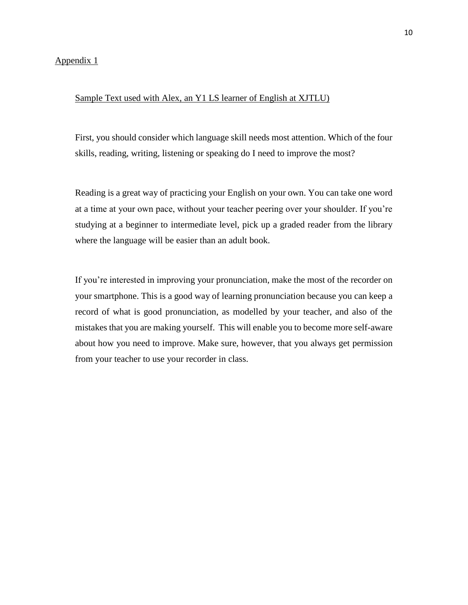Appendix 1

# Sample Text used with Alex, an Y1 LS learner of English at XJTLU)

First, you should consider which language skill needs most attention. Which of the four skills, reading, writing, listening or speaking do I need to improve the most?

Reading is a great way of practicing your English on your own. You can take one word at a time at your own pace, without your teacher peering over your shoulder. If you're studying at a beginner to intermediate level, pick up a graded reader from the library where the language will be easier than an adult book.

If you're interested in improving your pronunciation, make the most of the recorder on your smartphone. This is a good way of learning pronunciation because you can keep a record of what is good pronunciation, as modelled by your teacher, and also of the mistakes that you are making yourself. This will enable you to become more self-aware about how you need to improve. Make sure, however, that you always get permission from your teacher to use your recorder in class.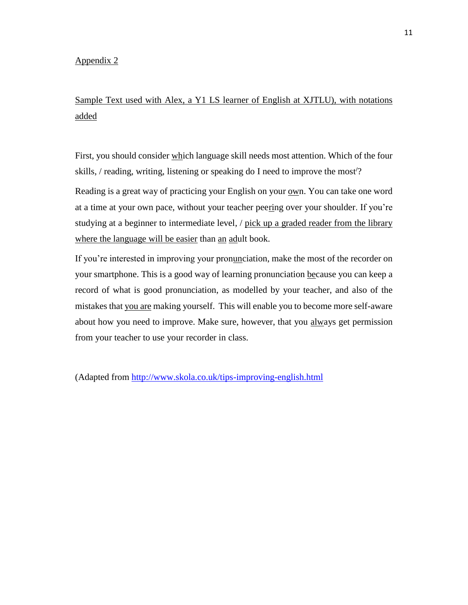# Appendix 2

# Sample Text used with Alex, a Y1 LS learner of English at XJTLU), with notations added

First, you should consider which language skill needs most attention. Which of the four skills, / reading, writing, listening or speaking do I need to improve the most**/**?

Reading is a great way of practicing your English on your own. You can take one word at a time at your own pace, without your teacher peering over your shoulder. If you're studying at a beginner to intermediate level, / pick up a graded reader from the library where the language will be easier than an adult book.

If you're interested in improving your pronunciation, make the most of the recorder on your smartphone. This is a good way of learning pronunciation because you can keep a record of what is good pronunciation, as modelled by your teacher, and also of the mistakes that you are making yourself. This will enable you to become more self-aware about how you need to improve. Make sure, however, that you always get permission from your teacher to use your recorder in class.

(Adapted from<http://www.skola.co.uk/tips-improving-english.html>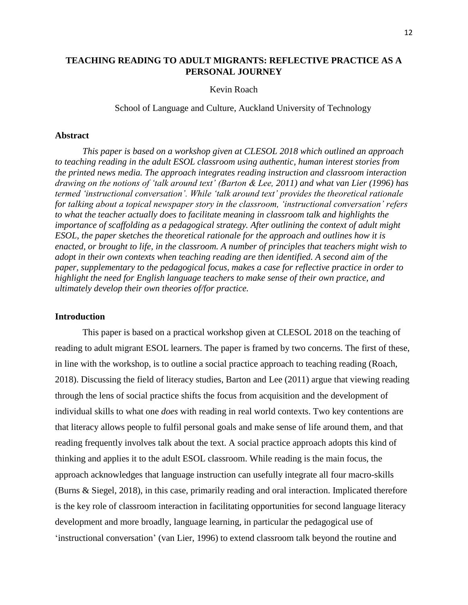# **TEACHING READING TO ADULT MIGRANTS: REFLECTIVE PRACTICE AS A PERSONAL JOURNEY**

#### Kevin Roach

School of Language and Culture, Auckland University of Technology

#### **Abstract**

*This paper is based on a workshop given at CLESOL 2018 which outlined an approach to teaching reading in the adult ESOL classroom using authentic, human interest stories from the printed news media. The approach integrates reading instruction and classroom interaction drawing on the notions of 'talk around text' (Barton & Lee, 2011) and what van Lier (1996) has termed 'instructional conversation'. While 'talk around text' provides the theoretical rationale for talking about a topical newspaper story in the classroom, 'instructional conversation' refers to what the teacher actually does to facilitate meaning in classroom talk and highlights the importance of scaffolding as a pedagogical strategy. After outlining the context of adult might ESOL, the paper sketches the theoretical rationale for the approach and outlines how it is enacted, or brought to life, in the classroom. A number of principles that teachers might wish to adopt in their own contexts when teaching reading are then identified. A second aim of the paper, supplementary to the pedagogical focus, makes a case for reflective practice in order to highlight the need for English language teachers to make sense of their own practice, and ultimately develop their own theories of/for practice.*

### **Introduction**

This paper is based on a practical workshop given at CLESOL 2018 on the teaching of reading to adult migrant ESOL learners. The paper is framed by two concerns. The first of these, in line with the workshop, is to outline a social practice approach to teaching reading (Roach, 2018). Discussing the field of literacy studies, Barton and Lee (2011) argue that viewing reading through the lens of social practice shifts the focus from acquisition and the development of individual skills to what one *does* with reading in real world contexts. Two key contentions are that literacy allows people to fulfil personal goals and make sense of life around them, and that reading frequently involves talk about the text. A social practice approach adopts this kind of thinking and applies it to the adult ESOL classroom. While reading is the main focus, the approach acknowledges that language instruction can usefully integrate all four macro-skills (Burns & Siegel, 2018), in this case, primarily reading and oral interaction. Implicated therefore is the key role of classroom interaction in facilitating opportunities for second language literacy development and more broadly, language learning, in particular the pedagogical use of 'instructional conversation' (van Lier, 1996) to extend classroom talk beyond the routine and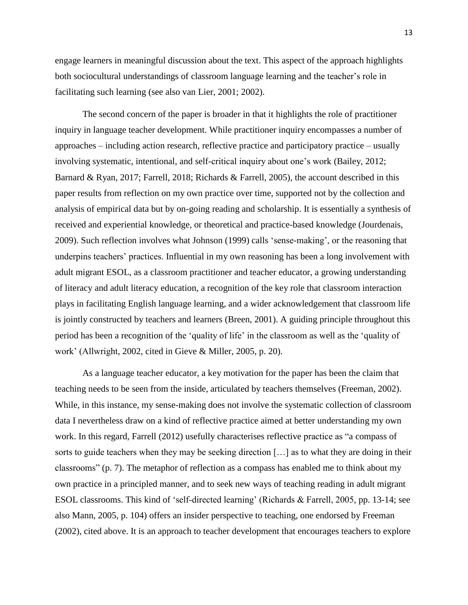engage learners in meaningful discussion about the text. This aspect of the approach highlights both sociocultural understandings of classroom language learning and the teacher's role in facilitating such learning (see also van Lier, 2001; 2002).

The second concern of the paper is broader in that it highlights the role of practitioner inquiry in language teacher development. While practitioner inquiry encompasses a number of approaches – including action research, reflective practice and participatory practice – usually involving systematic, intentional, and self-critical inquiry about one's work (Bailey, 2012; Barnard & Ryan, 2017; Farrell, 2018; Richards & Farrell, 2005), the account described in this paper results from reflection on my own practice over time, supported not by the collection and analysis of empirical data but by on-going reading and scholarship. It is essentially a synthesis of received and experiential knowledge, or theoretical and practice-based knowledge (Jourdenais, 2009). Such reflection involves what Johnson (1999) calls 'sense-making', or the reasoning that underpins teachers' practices. Influential in my own reasoning has been a long involvement with adult migrant ESOL, as a classroom practitioner and teacher educator, a growing understanding of literacy and adult literacy education, a recognition of the key role that classroom interaction plays in facilitating English language learning, and a wider acknowledgement that classroom life is jointly constructed by teachers and learners (Breen, 2001). A guiding principle throughout this period has been a recognition of the 'quality of life' in the classroom as well as the 'quality of work' (Allwright, 2002, cited in Gieve & Miller, 2005, p. 20).

As a language teacher educator, a key motivation for the paper has been the claim that teaching needs to be seen from the inside, articulated by teachers themselves (Freeman, 2002). While, in this instance, my sense-making does not involve the systematic collection of classroom data I nevertheless draw on a kind of reflective practice aimed at better understanding my own work. In this regard, Farrell (2012) usefully characterises reflective practice as "a compass of sorts to guide teachers when they may be seeking direction […] as to what they are doing in their classrooms" (p. 7). The metaphor of reflection as a compass has enabled me to think about my own practice in a principled manner, and to seek new ways of teaching reading in adult migrant ESOL classrooms. This kind of 'self-directed learning' (Richards & Farrell, 2005, pp. 13-14; see also Mann, 2005, p. 104) offers an insider perspective to teaching, one endorsed by Freeman (2002), cited above. It is an approach to teacher development that encourages teachers to explore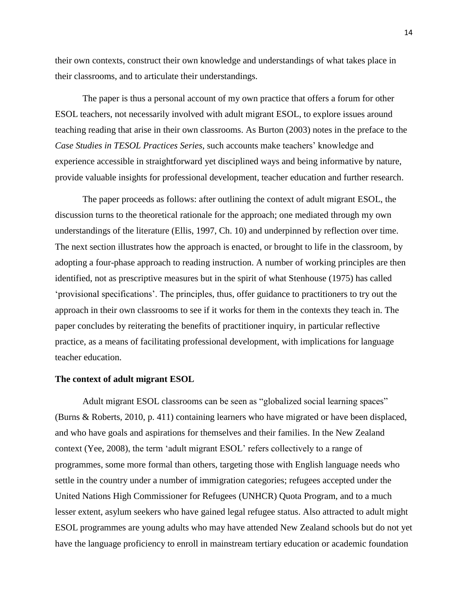their own contexts, construct their own knowledge and understandings of what takes place in their classrooms, and to articulate their understandings.

The paper is thus a personal account of my own practice that offers a forum for other ESOL teachers, not necessarily involved with adult migrant ESOL, to explore issues around teaching reading that arise in their own classrooms. As Burton (2003) notes in the preface to the *Case Studies in TESOL Practices Series*, such accounts make teachers' knowledge and experience accessible in straightforward yet disciplined ways and being informative by nature, provide valuable insights for professional development, teacher education and further research.

The paper proceeds as follows: after outlining the context of adult migrant ESOL, the discussion turns to the theoretical rationale for the approach; one mediated through my own understandings of the literature (Ellis, 1997, Ch. 10) and underpinned by reflection over time. The next section illustrates how the approach is enacted, or brought to life in the classroom, by adopting a four-phase approach to reading instruction. A number of working principles are then identified, not as prescriptive measures but in the spirit of what Stenhouse (1975) has called 'provisional specifications'. The principles, thus, offer guidance to practitioners to try out the approach in their own classrooms to see if it works for them in the contexts they teach in. The paper concludes by reiterating the benefits of practitioner inquiry, in particular reflective practice, as a means of facilitating professional development, with implications for language teacher education.

#### **The context of adult migrant ESOL**

Adult migrant ESOL classrooms can be seen as "globalized social learning spaces" (Burns & Roberts, 2010, p. 411) containing learners who have migrated or have been displaced, and who have goals and aspirations for themselves and their families. In the New Zealand context (Yee, 2008), the term 'adult migrant ESOL' refers collectively to a range of programmes, some more formal than others, targeting those with English language needs who settle in the country under a number of immigration categories; refugees accepted under the United Nations High Commissioner for Refugees (UNHCR) Quota Program, and to a much lesser extent, asylum seekers who have gained legal refugee status. Also attracted to adult might ESOL programmes are young adults who may have attended New Zealand schools but do not yet have the language proficiency to enroll in mainstream tertiary education or academic foundation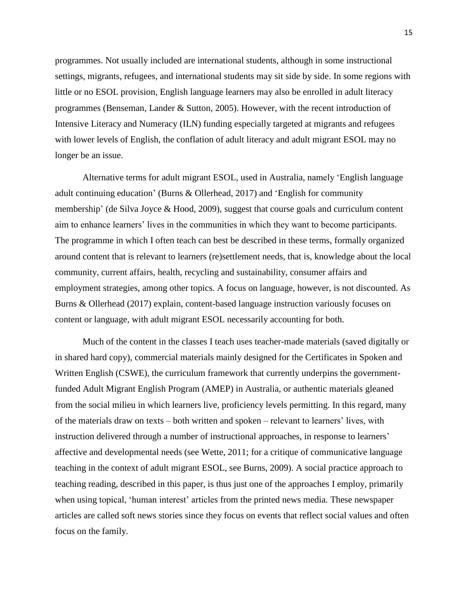programmes. Not usually included are international students, although in some instructional settings, migrants, refugees, and international students may sit side by side. In some regions with little or no ESOL provision, English language learners may also be enrolled in adult literacy programmes (Benseman, Lander & Sutton, 2005). However, with the recent introduction of Intensive Literacy and Numeracy (ILN) funding especially targeted at migrants and refugees with lower levels of English, the conflation of adult literacy and adult migrant ESOL may no longer be an issue.

Alternative terms for adult migrant ESOL, used in Australia, namely 'English language adult continuing education' (Burns & Ollerhead, 2017) and 'English for community membership' (de Silva Joyce & Hood, 2009), suggest that course goals and curriculum content aim to enhance learners' lives in the communities in which they want to become participants. The programme in which I often teach can best be described in these terms, formally organized around content that is relevant to learners (re)settlement needs, that is, knowledge about the local community, current affairs, health, recycling and sustainability, consumer affairs and employment strategies, among other topics. A focus on language, however, is not discounted. As Burns & Ollerhead (2017) explain, content-based language instruction variously focuses on content or language, with adult migrant ESOL necessarily accounting for both.

Much of the content in the classes I teach uses teacher-made materials (saved digitally or in shared hard copy), commercial materials mainly designed for the Certificates in Spoken and Written English (CSWE), the curriculum framework that currently underpins the governmentfunded Adult Migrant English Program (AMEP) in Australia, or authentic materials gleaned from the social milieu in which learners live, proficiency levels permitting. In this regard, many of the materials draw on texts – both written and spoken – relevant to learners' lives, with instruction delivered through a number of instructional approaches, in response to learners' affective and developmental needs (see Wette, 2011; for a critique of communicative language teaching in the context of adult migrant ESOL, see Burns, 2009). A social practice approach to teaching reading, described in this paper, is thus just one of the approaches I employ, primarily when using topical, 'human interest' articles from the printed news media. These newspaper articles are called soft news stories since they focus on events that reflect social values and often focus on the family.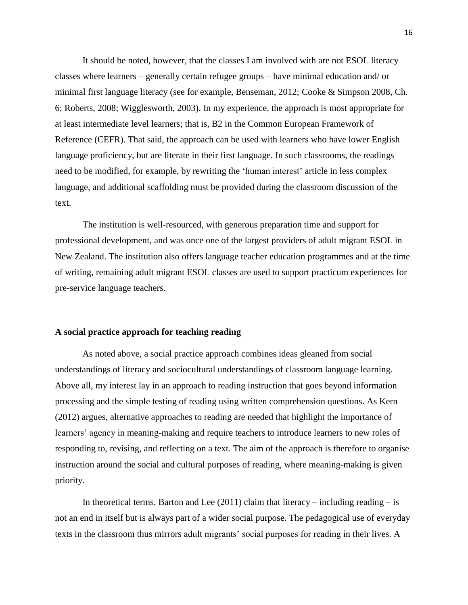It should be noted, however, that the classes I am involved with are not ESOL literacy classes where learners – generally certain refugee groups – have minimal education and/ or minimal first language literacy (see for example, Benseman, 2012; Cooke & Simpson 2008, Ch. 6; Roberts, 2008; Wigglesworth, 2003). In my experience, the approach is most appropriate for at least intermediate level learners; that is, B2 in the Common European Framework of Reference (CEFR). That said, the approach can be used with learners who have lower English language proficiency, but are literate in their first language. In such classrooms, the readings need to be modified, for example, by rewriting the 'human interest' article in less complex language, and additional scaffolding must be provided during the classroom discussion of the text.

The institution is well-resourced, with generous preparation time and support for professional development, and was once one of the largest providers of adult migrant ESOL in New Zealand. The institution also offers language teacher education programmes and at the time of writing, remaining adult migrant ESOL classes are used to support practicum experiences for pre-service language teachers.

# **A social practice approach for teaching reading**

As noted above, a social practice approach combines ideas gleaned from social understandings of literacy and sociocultural understandings of classroom language learning. Above all, my interest lay in an approach to reading instruction that goes beyond information processing and the simple testing of reading using written comprehension questions. As Kern (2012) argues, alternative approaches to reading are needed that highlight the importance of learners' agency in meaning-making and require teachers to introduce learners to new roles of responding to, revising, and reflecting on a text. The aim of the approach is therefore to organise instruction around the social and cultural purposes of reading, where meaning-making is given priority.

In theoretical terms, Barton and Lee  $(2011)$  claim that literacy – including reading – is not an end in itself but is always part of a wider social purpose. The pedagogical use of everyday texts in the classroom thus mirrors adult migrants' social purposes for reading in their lives. A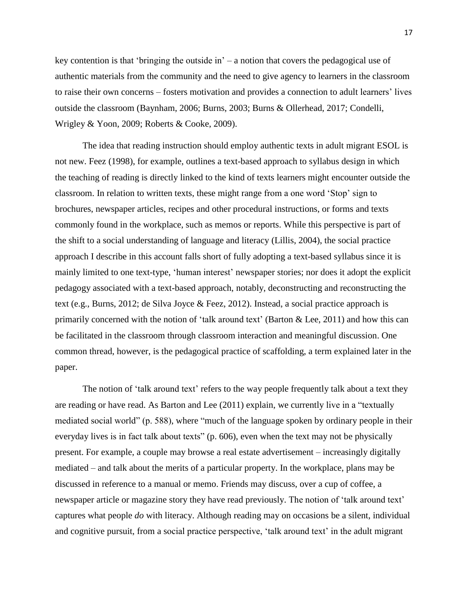key contention is that 'bringing the outside in'  $-$  a notion that covers the pedagogical use of authentic materials from the community and the need to give agency to learners in the classroom to raise their own concerns – fosters motivation and provides a connection to adult learners' lives outside the classroom (Baynham, 2006; Burns, 2003; Burns & Ollerhead, 2017; Condelli, Wrigley & Yoon, 2009; Roberts & Cooke, 2009).

The idea that reading instruction should employ authentic texts in adult migrant ESOL is not new. Feez (1998), for example, outlines a text-based approach to syllabus design in which the teaching of reading is directly linked to the kind of texts learners might encounter outside the classroom. In relation to written texts, these might range from a one word 'Stop' sign to brochures, newspaper articles, recipes and other procedural instructions, or forms and texts commonly found in the workplace, such as memos or reports. While this perspective is part of the shift to a social understanding of language and literacy (Lillis, 2004), the social practice approach I describe in this account falls short of fully adopting a text-based syllabus since it is mainly limited to one text-type, 'human interest' newspaper stories; nor does it adopt the explicit pedagogy associated with a text-based approach, notably, deconstructing and reconstructing the text (e.g., Burns, 2012; de Silva Joyce & Feez, 2012). Instead, a social practice approach is primarily concerned with the notion of 'talk around text' (Barton  $\&$  Lee, 2011) and how this can be facilitated in the classroom through classroom interaction and meaningful discussion. One common thread, however, is the pedagogical practice of scaffolding, a term explained later in the paper.

The notion of 'talk around text' refers to the way people frequently talk about a text they are reading or have read. As Barton and Lee (2011) explain, we currently live in a "textually mediated social world" (p. 588), where "much of the language spoken by ordinary people in their everyday lives is in fact talk about texts" (p. 606), even when the text may not be physically present. For example, a couple may browse a real estate advertisement – increasingly digitally mediated – and talk about the merits of a particular property. In the workplace, plans may be discussed in reference to a manual or memo. Friends may discuss, over a cup of coffee, a newspaper article or magazine story they have read previously. The notion of 'talk around text' captures what people *do* with literacy. Although reading may on occasions be a silent, individual and cognitive pursuit, from a social practice perspective, 'talk around text' in the adult migrant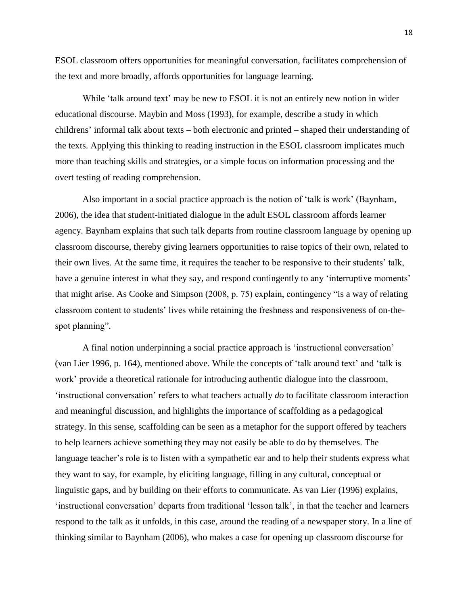ESOL classroom offers opportunities for meaningful conversation, facilitates comprehension of the text and more broadly, affords opportunities for language learning.

While 'talk around text' may be new to ESOL it is not an entirely new notion in wider educational discourse. Maybin and Moss (1993), for example, describe a study in which childrens' informal talk about texts – both electronic and printed – shaped their understanding of the texts. Applying this thinking to reading instruction in the ESOL classroom implicates much more than teaching skills and strategies, or a simple focus on information processing and the overt testing of reading comprehension.

Also important in a social practice approach is the notion of 'talk is work' (Baynham, 2006), the idea that student-initiated dialogue in the adult ESOL classroom affords learner agency. Baynham explains that such talk departs from routine classroom language by opening up classroom discourse, thereby giving learners opportunities to raise topics of their own, related to their own lives. At the same time, it requires the teacher to be responsive to their students' talk, have a genuine interest in what they say, and respond contingently to any 'interruptive moments' that might arise. As Cooke and Simpson (2008, p. 75) explain, contingency "is a way of relating classroom content to students' lives while retaining the freshness and responsiveness of on-thespot planning".

A final notion underpinning a social practice approach is 'instructional conversation' (van Lier 1996, p. 164), mentioned above. While the concepts of 'talk around text' and 'talk is work' provide a theoretical rationale for introducing authentic dialogue into the classroom, 'instructional conversation' refers to what teachers actually *do* to facilitate classroom interaction and meaningful discussion, and highlights the importance of scaffolding as a pedagogical strategy. In this sense, scaffolding can be seen as a metaphor for the support offered by teachers to help learners achieve something they may not easily be able to do by themselves. The language teacher's role is to listen with a sympathetic ear and to help their students express what they want to say, for example, by eliciting language, filling in any cultural, conceptual or linguistic gaps, and by building on their efforts to communicate. As van Lier (1996) explains, 'instructional conversation' departs from traditional 'lesson talk', in that the teacher and learners respond to the talk as it unfolds, in this case, around the reading of a newspaper story. In a line of thinking similar to Baynham (2006), who makes a case for opening up classroom discourse for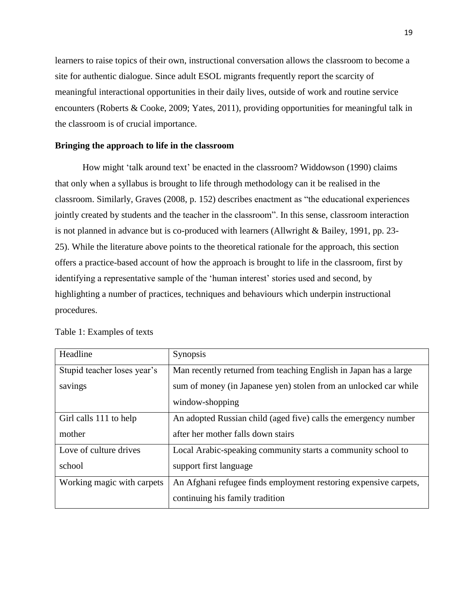learners to raise topics of their own, instructional conversation allows the classroom to become a site for authentic dialogue. Since adult ESOL migrants frequently report the scarcity of meaningful interactional opportunities in their daily lives, outside of work and routine service encounters (Roberts & Cooke, 2009; Yates, 2011), providing opportunities for meaningful talk in the classroom is of crucial importance.

# **Bringing the approach to life in the classroom**

How might 'talk around text' be enacted in the classroom? Widdowson (1990) claims that only when a syllabus is brought to life through methodology can it be realised in the classroom. Similarly, Graves (2008, p. 152) describes enactment as "the educational experiences jointly created by students and the teacher in the classroom". In this sense, classroom interaction is not planned in advance but is co-produced with learners (Allwright & Bailey, 1991, pp. 23- 25). While the literature above points to the theoretical rationale for the approach, this section offers a practice-based account of how the approach is brought to life in the classroom, first by identifying a representative sample of the 'human interest' stories used and second, by highlighting a number of practices, techniques and behaviours which underpin instructional procedures.

| Headline                    | <b>Synopsis</b>                                                  |
|-----------------------------|------------------------------------------------------------------|
| Stupid teacher loses year's | Man recently returned from teaching English in Japan has a large |
| savings                     | sum of money (in Japanese yen) stolen from an unlocked car while |
|                             | window-shopping                                                  |
| Girl calls 111 to help      | An adopted Russian child (aged five) calls the emergency number  |
| mother                      | after her mother falls down stairs                               |
| Love of culture drives      | Local Arabic-speaking community starts a community school to     |
| school                      | support first language                                           |
| Working magic with carpets  | An Afghani refugee finds employment restoring expensive carpets, |
|                             | continuing his family tradition                                  |

Table 1: Examples of texts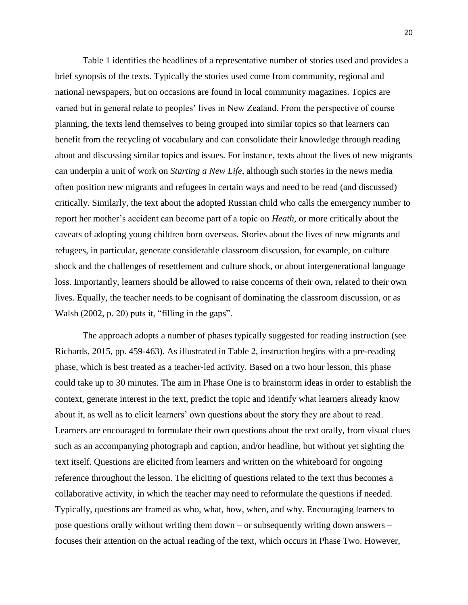Table 1 identifies the headlines of a representative number of stories used and provides a brief synopsis of the texts. Typically the stories used come from community, regional and national newspapers, but on occasions are found in local community magazines. Topics are varied but in general relate to peoples' lives in New Zealand. From the perspective of course planning, the texts lend themselves to being grouped into similar topics so that learners can benefit from the recycling of vocabulary and can consolidate their knowledge through reading about and discussing similar topics and issues. For instance, texts about the lives of new migrants can underpin a unit of work on *Starting a New Life*, although such stories in the news media often position new migrants and refugees in certain ways and need to be read (and discussed) critically. Similarly, the text about the adopted Russian child who calls the emergency number to report her mother's accident can become part of a topic on *Heath*, or more critically about the caveats of adopting young children born overseas. Stories about the lives of new migrants and refugees, in particular, generate considerable classroom discussion, for example, on culture shock and the challenges of resettlement and culture shock, or about intergenerational language loss. Importantly, learners should be allowed to raise concerns of their own, related to their own lives. Equally, the teacher needs to be cognisant of dominating the classroom discussion, or as Walsh (2002, p. 20) puts it, "filling in the gaps".

The approach adopts a number of phases typically suggested for reading instruction (see Richards, 2015, pp. 459-463). As illustrated in Table 2, instruction begins with a pre-reading phase, which is best treated as a teacher-led activity. Based on a two hour lesson, this phase could take up to 30 minutes. The aim in Phase One is to brainstorm ideas in order to establish the context, generate interest in the text, predict the topic and identify what learners already know about it, as well as to elicit learners' own questions about the story they are about to read. Learners are encouraged to formulate their own questions about the text orally, from visual clues such as an accompanying photograph and caption, and/or headline, but without yet sighting the text itself. Questions are elicited from learners and written on the whiteboard for ongoing reference throughout the lesson. The eliciting of questions related to the text thus becomes a collaborative activity, in which the teacher may need to reformulate the questions if needed. Typically, questions are framed as who, what, how, when, and why. Encouraging learners to pose questions orally without writing them down – or subsequently writing down answers – focuses their attention on the actual reading of the text, which occurs in Phase Two. However,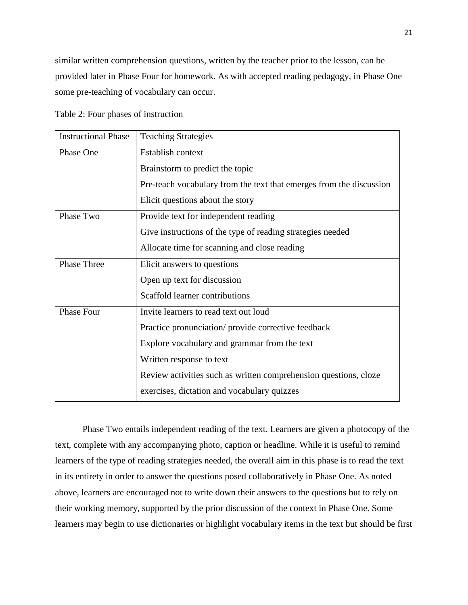similar written comprehension questions, written by the teacher prior to the lesson, can be provided later in Phase Four for homework. As with accepted reading pedagogy, in Phase One some pre-teaching of vocabulary can occur.

Table 2: Four phases of instruction

| <b>Instructional Phase</b> | <b>Teaching Strategies</b>                                          |
|----------------------------|---------------------------------------------------------------------|
| Phase One                  | Establish context                                                   |
|                            | Brainstorm to predict the topic                                     |
|                            | Pre-teach vocabulary from the text that emerges from the discussion |
|                            | Elicit questions about the story                                    |
| Phase Two                  | Provide text for independent reading                                |
|                            | Give instructions of the type of reading strategies needed          |
|                            | Allocate time for scanning and close reading                        |
| <b>Phase Three</b>         | Elicit answers to questions                                         |
|                            | Open up text for discussion                                         |
|                            | Scaffold learner contributions                                      |
| Phase Four                 | Invite learners to read text out loud                               |
|                            | Practice pronunciation/ provide corrective feedback                 |
|                            | Explore vocabulary and grammar from the text                        |
|                            | Written response to text                                            |
|                            | Review activities such as written comprehension questions, cloze    |
|                            | exercises, dictation and vocabulary quizzes                         |

Phase Two entails independent reading of the text. Learners are given a photocopy of the text, complete with any accompanying photo, caption or headline. While it is useful to remind learners of the type of reading strategies needed, the overall aim in this phase is to read the text in its entirety in order to answer the questions posed collaboratively in Phase One. As noted above, learners are encouraged not to write down their answers to the questions but to rely on their working memory, supported by the prior discussion of the context in Phase One. Some learners may begin to use dictionaries or highlight vocabulary items in the text but should be first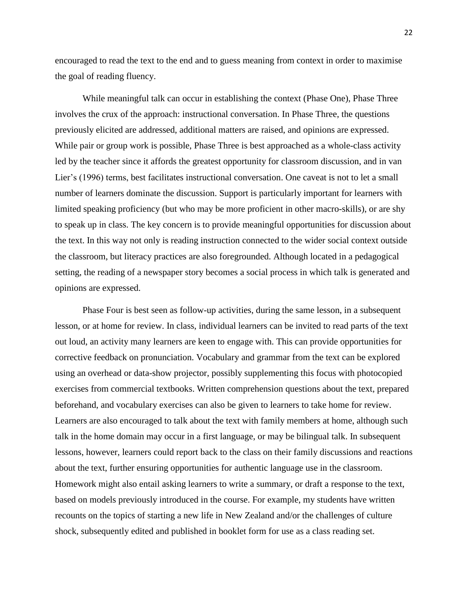encouraged to read the text to the end and to guess meaning from context in order to maximise the goal of reading fluency.

While meaningful talk can occur in establishing the context (Phase One), Phase Three involves the crux of the approach: instructional conversation. In Phase Three, the questions previously elicited are addressed, additional matters are raised, and opinions are expressed. While pair or group work is possible, Phase Three is best approached as a whole-class activity led by the teacher since it affords the greatest opportunity for classroom discussion, and in van Lier's (1996) terms, best facilitates instructional conversation. One caveat is not to let a small number of learners dominate the discussion. Support is particularly important for learners with limited speaking proficiency (but who may be more proficient in other macro-skills), or are shy to speak up in class. The key concern is to provide meaningful opportunities for discussion about the text. In this way not only is reading instruction connected to the wider social context outside the classroom, but literacy practices are also foregrounded. Although located in a pedagogical setting, the reading of a newspaper story becomes a social process in which talk is generated and opinions are expressed.

Phase Four is best seen as follow-up activities, during the same lesson, in a subsequent lesson, or at home for review. In class, individual learners can be invited to read parts of the text out loud, an activity many learners are keen to engage with. This can provide opportunities for corrective feedback on pronunciation. Vocabulary and grammar from the text can be explored using an overhead or data-show projector, possibly supplementing this focus with photocopied exercises from commercial textbooks. Written comprehension questions about the text, prepared beforehand, and vocabulary exercises can also be given to learners to take home for review. Learners are also encouraged to talk about the text with family members at home, although such talk in the home domain may occur in a first language, or may be bilingual talk. In subsequent lessons, however, learners could report back to the class on their family discussions and reactions about the text, further ensuring opportunities for authentic language use in the classroom. Homework might also entail asking learners to write a summary, or draft a response to the text, based on models previously introduced in the course. For example, my students have written recounts on the topics of starting a new life in New Zealand and/or the challenges of culture shock, subsequently edited and published in booklet form for use as a class reading set.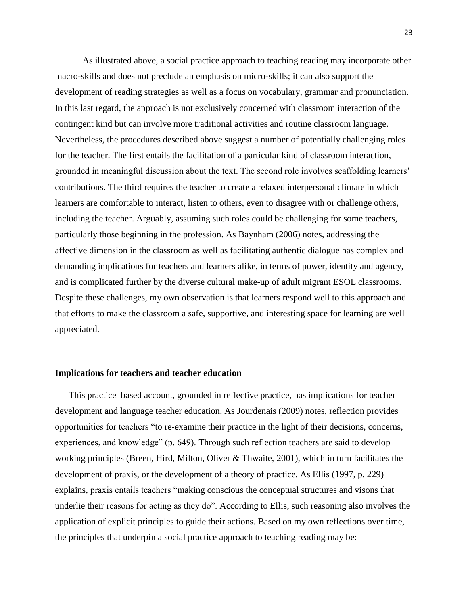As illustrated above, a social practice approach to teaching reading may incorporate other macro-skills and does not preclude an emphasis on micro-skills; it can also support the development of reading strategies as well as a focus on vocabulary, grammar and pronunciation. In this last regard, the approach is not exclusively concerned with classroom interaction of the contingent kind but can involve more traditional activities and routine classroom language. Nevertheless, the procedures described above suggest a number of potentially challenging roles for the teacher. The first entails the facilitation of a particular kind of classroom interaction, grounded in meaningful discussion about the text. The second role involves scaffolding learners' contributions. The third requires the teacher to create a relaxed interpersonal climate in which learners are comfortable to interact, listen to others, even to disagree with or challenge others, including the teacher. Arguably, assuming such roles could be challenging for some teachers, particularly those beginning in the profession. As Baynham (2006) notes, addressing the affective dimension in the classroom as well as facilitating authentic dialogue has complex and demanding implications for teachers and learners alike, in terms of power, identity and agency, and is complicated further by the diverse cultural make-up of adult migrant ESOL classrooms. Despite these challenges, my own observation is that learners respond well to this approach and that efforts to make the classroom a safe, supportive, and interesting space for learning are well appreciated.

### **Implications for teachers and teacher education**

This practice–based account, grounded in reflective practice, has implications for teacher development and language teacher education. As Jourdenais (2009) notes, reflection provides opportunities for teachers "to re-examine their practice in the light of their decisions, concerns, experiences, and knowledge" (p. 649). Through such reflection teachers are said to develop working principles (Breen, Hird, Milton, Oliver & Thwaite, 2001), which in turn facilitates the development of praxis, or the development of a theory of practice. As Ellis (1997, p. 229) explains, praxis entails teachers "making conscious the conceptual structures and visons that underlie their reasons for acting as they do". According to Ellis, such reasoning also involves the application of explicit principles to guide their actions. Based on my own reflections over time, the principles that underpin a social practice approach to teaching reading may be: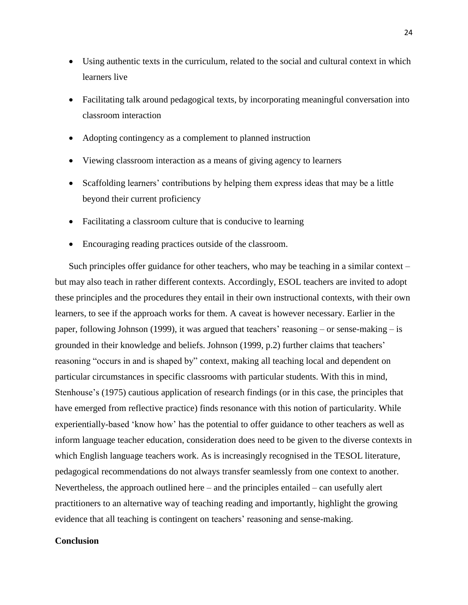- Using authentic texts in the curriculum, related to the social and cultural context in which learners live
- Facilitating talk around pedagogical texts, by incorporating meaningful conversation into classroom interaction
- Adopting contingency as a complement to planned instruction
- Viewing classroom interaction as a means of giving agency to learners
- Scaffolding learners' contributions by helping them express ideas that may be a little beyond their current proficiency
- Facilitating a classroom culture that is conducive to learning
- Encouraging reading practices outside of the classroom.

Such principles offer guidance for other teachers, who may be teaching in a similar context – but may also teach in rather different contexts. Accordingly, ESOL teachers are invited to adopt these principles and the procedures they entail in their own instructional contexts, with their own learners, to see if the approach works for them. A caveat is however necessary. Earlier in the paper, following Johnson (1999), it was argued that teachers' reasoning – or sense-making – is grounded in their knowledge and beliefs. Johnson (1999, p.2) further claims that teachers' reasoning "occurs in and is shaped by" context, making all teaching local and dependent on particular circumstances in specific classrooms with particular students. With this in mind, Stenhouse's (1975) cautious application of research findings (or in this case, the principles that have emerged from reflective practice) finds resonance with this notion of particularity. While experientially-based 'know how' has the potential to offer guidance to other teachers as well as inform language teacher education, consideration does need to be given to the diverse contexts in which English language teachers work. As is increasingly recognised in the TESOL literature, pedagogical recommendations do not always transfer seamlessly from one context to another. Nevertheless, the approach outlined here – and the principles entailed – can usefully alert practitioners to an alternative way of teaching reading and importantly, highlight the growing evidence that all teaching is contingent on teachers' reasoning and sense-making.

# **Conclusion**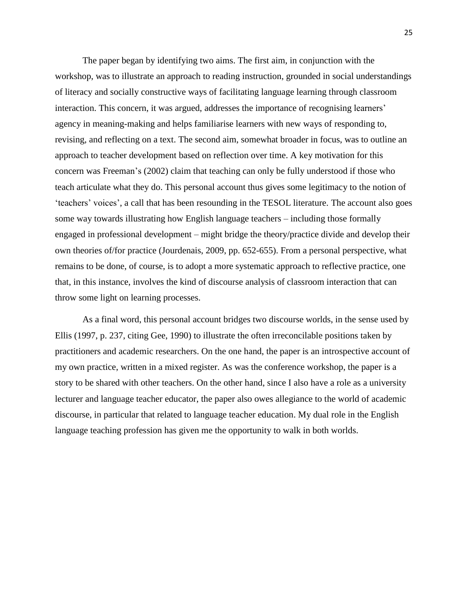The paper began by identifying two aims. The first aim, in conjunction with the workshop, was to illustrate an approach to reading instruction, grounded in social understandings of literacy and socially constructive ways of facilitating language learning through classroom interaction. This concern, it was argued, addresses the importance of recognising learners' agency in meaning-making and helps familiarise learners with new ways of responding to, revising, and reflecting on a text. The second aim, somewhat broader in focus, was to outline an approach to teacher development based on reflection over time. A key motivation for this concern was Freeman's (2002) claim that teaching can only be fully understood if those who teach articulate what they do. This personal account thus gives some legitimacy to the notion of 'teachers' voices', a call that has been resounding in the TESOL literature. The account also goes some way towards illustrating how English language teachers – including those formally engaged in professional development – might bridge the theory/practice divide and develop their own theories of/for practice (Jourdenais, 2009, pp. 652-655). From a personal perspective, what remains to be done, of course, is to adopt a more systematic approach to reflective practice, one that, in this instance, involves the kind of discourse analysis of classroom interaction that can throw some light on learning processes.

As a final word, this personal account bridges two discourse worlds, in the sense used by Ellis (1997, p. 237, citing Gee, 1990) to illustrate the often irreconcilable positions taken by practitioners and academic researchers. On the one hand, the paper is an introspective account of my own practice, written in a mixed register. As was the conference workshop, the paper is a story to be shared with other teachers. On the other hand, since I also have a role as a university lecturer and language teacher educator, the paper also owes allegiance to the world of academic discourse, in particular that related to language teacher education. My dual role in the English language teaching profession has given me the opportunity to walk in both worlds.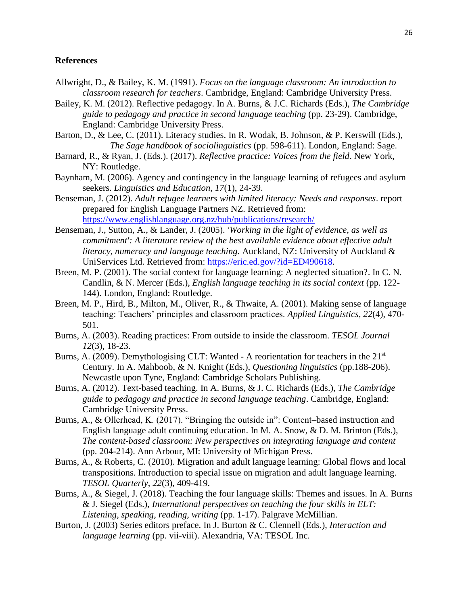# **References**

- Allwright, D., & Bailey, K. M. (1991). *Focus on the language classroom: An introduction to classroom research for teachers*. Cambridge, England: Cambridge University Press.
- Bailey, K. M. (2012). Reflective pedagogy. In A. Burns, & J.C. Richards (Eds.), *The Cambridge guide to pedagogy and practice in second language teaching* (pp. 23-29). Cambridge, England: Cambridge University Press.
- Barton, D., & Lee, C. (2011). Literacy studies. In R. Wodak, B. Johnson, & P. Kerswill (Eds.), *The Sage handbook of sociolinguistics* (pp. 598-611). London, England: Sage.
- Barnard, R., & Ryan, J. (Eds.). (2017). *Reflective practice: Voices from the field*. New York, NY: Routledge.
- Baynham, M. (2006). Agency and contingency in the language learning of refugees and asylum seekers. *Linguistics and Education*, *17*(1), 24-39.
- Benseman, J. (2012). *Adult refugee learners with limited literacy: Needs and responses*. report prepared for English Language Partners NZ. Retrieved from: <https://www.englishlanguage.org.nz/hub/publications/research/>
- Benseman, J., Sutton, A., & Lander, J. (2005). *'Working in the light of evidence, as well as commitment': A literature review of the best available evidence about effective adult literacy, numeracy and language teaching.* Auckland, NZ: University of Auckland & UniServices Ltd. Retrieved from: [https://eric.ed.gov/?id=ED490618.](https://eric.ed.gov/?id=ED490618)
- Breen, M. P. (2001). The social context for language learning: A neglected situation?. In C. N. Candlin, & N. Mercer (Eds.), *English language teaching in its social context* (pp. 122- 144). London, England: Routledge.
- Breen, M. P., Hird, B., Milton, M., Oliver, R., & Thwaite, A. (2001). Making sense of language teaching: Teachers' principles and classroom practices. *Applied Linguistics*, *22*(4), 470- 501.
- Burns, A. (2003). Reading practices: From outside to inside the classroom. *TESOL Journal 12*(3), 18-23.
- Burns, A. (2009). Demythologising CLT: Wanted A reorientation for teachers in the  $21<sup>st</sup>$ Century. In A. Mahboob, & N. Knight (Eds.), *Questioning linguistics* (pp.188-206). Newcastle upon Tyne, England: Cambridge Scholars Publishing.
- Burns, A. (2012). Text-based teaching. In A. Burns, & J. C. Richards (Eds.), *The Cambridge guide to pedagogy and practice in second language teaching*. Cambridge, England: Cambridge University Press.
- Burns, A., & Ollerhead, K. (2017). "Bringing the outside in": Content–based instruction and English language adult continuing education. In M. A. Snow, & D. M. Brinton (Eds.), *The content-based classroom: New perspectives on integrating language and content* (pp. 204-214). Ann Arbour, MI: University of Michigan Press.
- Burns, A., & Roberts, C. (2010). Migration and adult language learning: Global flows and local transpositions. Introduction to special issue on migration and adult language learning. *TESOL Quarterly*, *22*(3), 409-419.
- Burns, A., & Siegel, J. (2018). Teaching the four language skills: Themes and issues. In A. Burns & J. Siegel (Eds.), *International perspectives on teaching the four skills in ELT: Listening, speaking, reading, writing* (pp. 1-17). Palgrave McMillian.
- Burton, J. (2003) Series editors preface. In J. Burton & C. Clennell (Eds.), *Interaction and language learning* (pp. vii-viii). Alexandria, VA: TESOL Inc.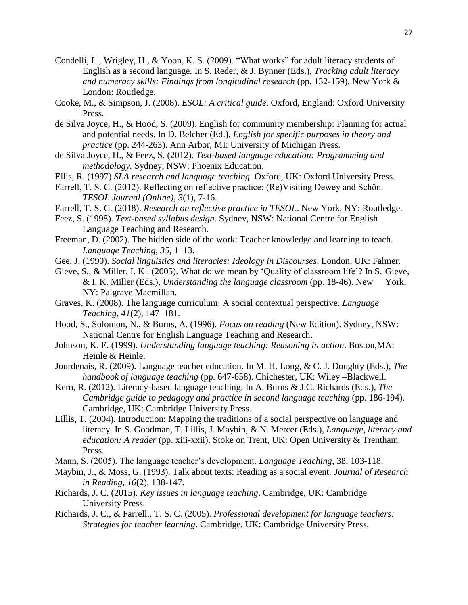- Condelli, L., Wrigley, H., & Yoon, K. S. (2009). "What works" for adult literacy students of English as a second language. In S. Reder, & J. Bynner (Eds.), *Tracking adult literacy and numeracy skills: Findings from longitudinal research* (pp. 132-159)*.* New York & London: Routledge.
- Cooke, M., & Simpson, J. (2008). *ESOL: A critical guide*. Oxford, England: Oxford University Press.
- de Silva Joyce, H., & Hood, S. (2009). English for community membership: Planning for actual and potential needs. In D. Belcher (Ed.), *English for specific purposes in theory and practice* (pp. 244-263). Ann Arbor, MI: University of Michigan Press.
- de Silva Joyce, H., & Feez, S. (2012). *Text-based language education: Programming and methodology.* Sydney, NSW: Phoenix Education.
- Ellis, R. (1997) *SLA research and language teaching*. Oxford, UK: Oxford University Press.
- Farrell, T. S. C. (2012). Reflecting on reflective practice: (Re)Visiting Dewey and Schőn. *TESOL Journal (Online), 3*(1), 7-16.
- Farrell, T. S. C. (2018). *Research on reflective practice in TESOL*. New York, NY: Routledge.
- Feez, S. (1998). *Text-based syllabus design*. Sydney, NSW: National Centre for English Language Teaching and Research.
- Freeman, D. (2002). The hidden side of the work: Teacher knowledge and learning to teach. *Language Teaching*, *35*, 1–13.
- Gee, J. (1990). *Social linguistics and literacies: Ideology in Discourses*. London, UK: Falmer.
- Gieve, S., & Miller, I. K . (2005). What do we mean by 'Quality of classroom life'? In S. Gieve, & I. K. Miller (Eds.), *Understanding the language classroom* (pp. 18-46). New York, NY: Palgrave Macmillan.
- Graves, K. (2008). The language curriculum: A social contextual perspective. *Language Teaching, 41*(2), 147–181.
- Hood, S., Solomon, N., & Burns, A. (1996). *Focus on reading* (New Edition). Sydney, NSW: National Centre for English Language Teaching and Research.
- Johnson, K. E. (1999). *Understanding language teaching: Reasoning in action*. Boston,MA: Heinle & Heinle.
- Jourdenais, R. (2009). Language teacher education. In M. H. Long, & C. J. Doughty (Eds.), *The handbook of language teaching* (pp. 647-658). Chichester, UK: Wiley –Blackwell.
- Kern, R. (2012). Literacy-based language teaching. In A. Burns & J.C. Richards (Eds.), *The Cambridge guide to pedagogy and practice in second language teaching* (pp. 186-194). Cambridge, UK: Cambridge University Press.
- Lillis, T. (2004). Introduction: Mapping the traditions of a social perspective on language and literacy. In S. Goodman, T. Lillis, J. Maybin, & N. Mercer (Eds.), *Language, literacy and education: A reader* (pp. xiii-xxii). Stoke on Trent, UK: Open University & Trentham Press.
- Mann, S. (2005). The language teacher's development. *Language Teaching*, 38, 103-118.
- Maybin, J., & Moss, G. (1993). Talk about texts: Reading as a social event*. Journal of Research in Reading, 16*(2), 138-147.
- Richards, J. C. (2015). *Key issues in language teaching*. Cambridge, UK: Cambridge University Press.
- Richards, J. C., & Farrell., T. S. C. (2005). *Professional development for language teachers: Strategies for teacher learning*. Cambridge, UK: Cambridge University Press.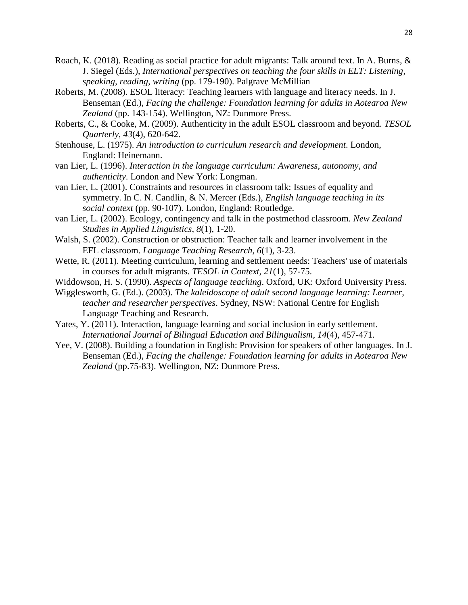- Roach, K. (2018). Reading as social practice for adult migrants: Talk around text. In A. Burns, & J. Siegel (Eds.), *International perspectives on teaching the four skills in ELT: Listening, speaking, reading, writing* (pp. 179-190). Palgrave McMillian
- Roberts, M. (2008). ESOL literacy: Teaching learners with language and literacy needs. In J. Benseman (Ed.), *Facing the challenge: Foundation learning for adults in Aotearoa New Zealand* (pp. 143-154). Wellington, NZ: Dunmore Press.
- Roberts, C., & Cooke, M. (2009). Authenticity in the adult ESOL classroom and beyond. *TESOL Quarterly*, *43*(4), 620-642.
- Stenhouse, L. (1975). *An introduction to curriculum research and development*. London, England: Heinemann.
- van Lier, L. (1996). *Interaction in the language curriculum: Awareness, autonomy, and authenticity*. London and New York: Longman.
- van Lier, L. (2001). Constraints and resources in classroom talk: Issues of equality and symmetry. In C. N. Candlin, & N. Mercer (Eds.), *English language teaching in its social context* (pp. 90-107). London, England: Routledge.
- van Lier, L. (2002). Ecology, contingency and talk in the postmethod classroom. *New Zealand Studies in Applied Linguistics*, *8*(1), 1-20.
- Walsh, S. (2002). Construction or obstruction: Teacher talk and learner involvement in the EFL classroom. *Language Teaching Research, 6*(1), 3-23.
- Wette, R. (2011). Meeting curriculum, learning and settlement needs: Teachers' use of materials in courses for adult migrants. *TESOL in Context, 21*(1), 57-75.
- Widdowson, H. S. (1990). *Aspects of language teaching*. Oxford, UK: Oxford University Press.
- Wigglesworth, G. (Ed.). (2003). *The kaleidoscope of adult second language learning: Learner, teacher and researcher perspectives*. Sydney, NSW: National Centre for English Language Teaching and Research.
- Yates, Y. (2011). Interaction, language learning and social inclusion in early settlement. *International Journal of Bilingual Education and Bilingualism, 14*(4), 457-471.
- Yee, V. (2008). Building a foundation in English: Provision for speakers of other languages. In J. Benseman (Ed.), *Facing the challenge: Foundation learning for adults in Aotearoa New Zealand* (pp.75-83). Wellington, NZ: Dunmore Press.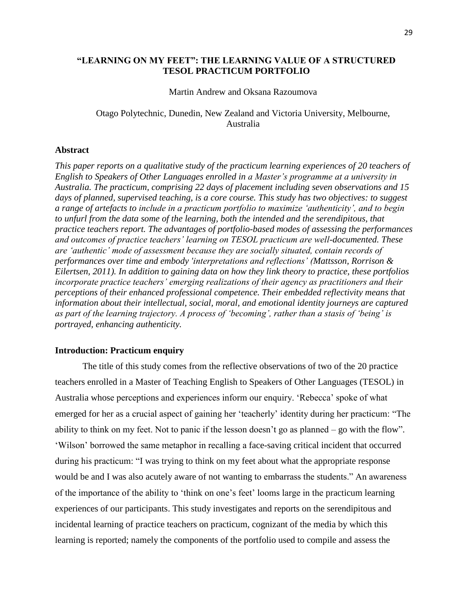# **"LEARNING ON MY FEET": THE LEARNING VALUE OF A STRUCTURED TESOL PRACTICUM PORTFOLIO**

### Martin Andrew and Oksana Razoumova

# Otago Polytechnic, Dunedin, New Zealand and Victoria University, Melbourne, Australia

### **Abstract**

*This paper reports on a qualitative study of the practicum learning experiences of 20 teachers of English to Speakers of Other Languages enrolled in a Master's programme at a university in Australia. The practicum, comprising 22 days of placement including seven observations and 15 days of planned, supervised teaching, is a core course. This study has two objectives: to suggest a range of artefacts to include in a practicum portfolio to maximize 'authenticity', and to begin to unfurl from the data some of the learning, both the intended and the serendipitous, that practice teachers report. The advantages of portfolio-based modes of assessing the performances and outcomes of practice teachers' learning on TESOL practicum are well-documented. These are 'authentic' mode of assessment because they are socially situated, contain records of performances over time and embody 'interpretations and reflections' (Mattsson, Rorrison & Eilertsen, 2011). In addition to gaining data on how they link theory to practice, these portfolios incorporate practice teachers' emerging realizations of their agency as practitioners and their perceptions of their enhanced professional competence. Their embedded reflectivity means that information about their intellectual, social, moral, and emotional identity journeys are captured as part of the learning trajectory. A process of 'becoming', rather than a stasis of 'being' is portrayed, enhancing authenticity.*

# **Introduction: Practicum enquiry**

The title of this study comes from the reflective observations of two of the 20 practice teachers enrolled in a Master of Teaching English to Speakers of Other Languages (TESOL) in Australia whose perceptions and experiences inform our enquiry. 'Rebecca' spoke of what emerged for her as a crucial aspect of gaining her 'teacherly' identity during her practicum: "The ability to think on my feet. Not to panic if the lesson doesn't go as planned – go with the flow". 'Wilson' borrowed the same metaphor in recalling a face-saving critical incident that occurred during his practicum: "I was trying to think on my feet about what the appropriate response would be and I was also acutely aware of not wanting to embarrass the students." An awareness of the importance of the ability to 'think on one's feet' looms large in the practicum learning experiences of our participants. This study investigates and reports on the serendipitous and incidental learning of practice teachers on practicum, cognizant of the media by which this learning is reported; namely the components of the portfolio used to compile and assess the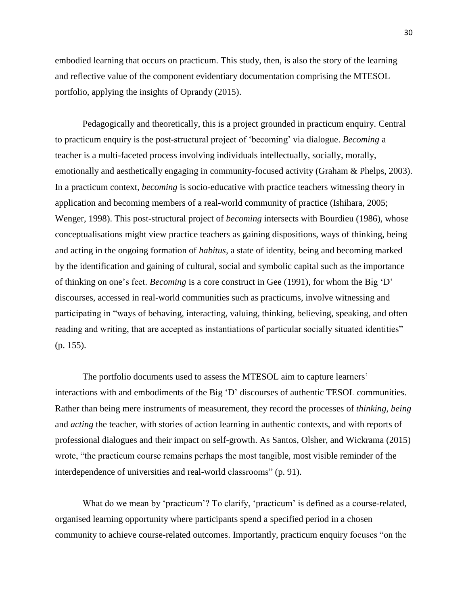embodied learning that occurs on practicum. This study, then, is also the story of the learning and reflective value of the component evidentiary documentation comprising the MTESOL portfolio, applying the insights of Oprandy (2015).

Pedagogically and theoretically, this is a project grounded in practicum enquiry. Central to practicum enquiry is the post-structural project of 'becoming' via dialogue. *Becoming* a teacher is a multi-faceted process involving individuals intellectually, socially, morally, emotionally and aesthetically engaging in community-focused activity (Graham & Phelps, 2003). In a practicum context, *becoming* is socio-educative with practice teachers witnessing theory in application and becoming members of a real-world community of practice (Ishihara, 2005; Wenger, 1998). This post-structural project of *becoming* intersects with Bourdieu (1986), whose conceptualisations might view practice teachers as gaining dispositions, ways of thinking, being and acting in the ongoing formation of *habitus,* a state of identity, being and becoming marked by the identification and gaining of cultural, social and symbolic capital such as the importance of thinking on one's feet. *Becoming* is a core construct in Gee (1991), for whom the Big 'D' discourses, accessed in real-world communities such as practicums, involve witnessing and participating in "ways of behaving, interacting, valuing, thinking, believing, speaking, and often reading and writing, that are accepted as instantiations of particular socially situated identities" (p. 155).

The portfolio documents used to assess the MTESOL aim to capture learners' interactions with and embodiments of the Big 'D' discourses of authentic TESOL communities. Rather than being mere instruments of measurement, they record the processes of *thinking, being* and *acting* the teacher, with stories of action learning in authentic contexts, and with reports of professional dialogues and their impact on self-growth. As Santos, Olsher, and Wickrama (2015) wrote, "the practicum course remains perhaps the most tangible, most visible reminder of the interdependence of universities and real-world classrooms" (p. 91).

What do we mean by 'practicum'? To clarify, 'practicum' is defined as a course-related, organised learning opportunity where participants spend a specified period in a chosen community to achieve course-related outcomes. Importantly, practicum enquiry focuses "on the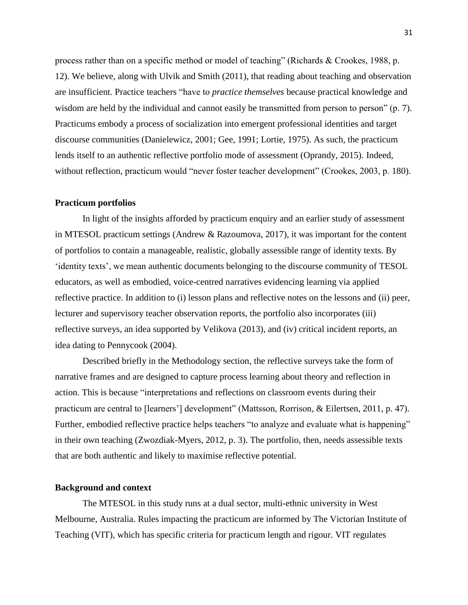process rather than on a specific method or model of teaching" (Richards & Crookes, 1988, p. 12). We believe, along with Ulvik and Smith (2011), that reading about teaching and observation are insufficient. Practice teachers "have to *practice themselves* because practical knowledge and wisdom are held by the individual and cannot easily be transmitted from person to person" (p. 7). Practicums embody a process of socialization into emergent professional identities and target discourse communities (Danielewicz, 2001; Gee, 1991; Lortie, 1975). As such, the practicum lends itself to an authentic reflective portfolio mode of assessment (Oprandy, 2015). Indeed, without reflection, practicum would "never foster teacher development" (Crookes, 2003, p. 180).

#### **Practicum portfolios**

In light of the insights afforded by practicum enquiry and an earlier study of assessment in MTESOL practicum settings (Andrew & Razoumova, 2017), it was important for the content of portfolios to contain a manageable, realistic, globally assessible range of identity texts. By 'identity texts', we mean authentic documents belonging to the discourse community of TESOL educators, as well as embodied, voice-centred narratives evidencing learning via applied reflective practice. In addition to (i) lesson plans and reflective notes on the lessons and (ii) peer, lecturer and supervisory teacher observation reports, the portfolio also incorporates (iii) reflective surveys, an idea supported by Velikova (2013), and (iv) critical incident reports, an idea dating to Pennycook (2004).

Described briefly in the Methodology section, the reflective surveys take the form of narrative frames and are designed to capture process learning about theory and reflection in action. This is because "interpretations and reflections on classroom events during their practicum are central to [learners'] development" (Mattsson, Rorrison, & Eilertsen, 2011, p. 47). Further, embodied reflective practice helps teachers "to analyze and evaluate what is happening" in their own teaching (Zwozdiak-Myers, 2012, p. 3). The portfolio, then, needs assessible texts that are both authentic and likely to maximise reflective potential.

## **Background and context**

The MTESOL in this study runs at a dual sector, multi-ethnic university in West Melbourne, Australia. Rules impacting the practicum are informed by The Victorian Institute of Teaching (VIT), which has specific criteria for practicum length and rigour. VIT regulates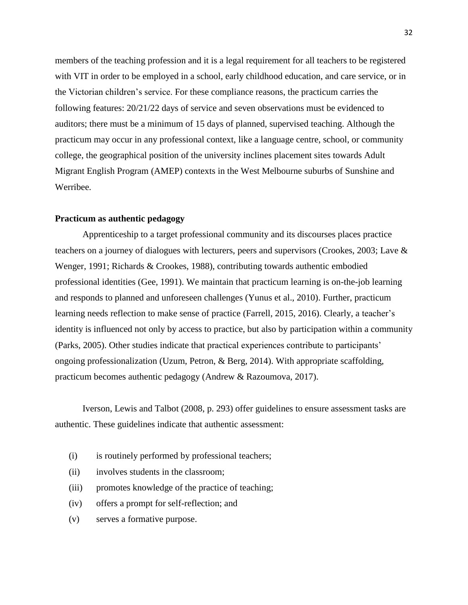members of the teaching profession and it is a legal requirement for all teachers to be registered with VIT in order to be employed in a school, early childhood education, and care service, or in the Victorian children's service. For these compliance reasons, the practicum carries the following features: 20/21/22 days of service and seven observations must be evidenced to auditors; there must be a minimum of 15 days of planned, supervised teaching. Although the practicum may occur in any professional context, like a language centre, school, or community college, the geographical position of the university inclines placement sites towards Adult Migrant English Program (AMEP) contexts in the West Melbourne suburbs of Sunshine and Werribee.

## **Practicum as authentic pedagogy**

Apprenticeship to a target professional community and its discourses places practice teachers on a journey of dialogues with lecturers, peers and supervisors (Crookes, 2003; Lave & Wenger, 1991; Richards & Crookes, 1988), contributing towards authentic embodied professional identities (Gee, 1991). We maintain that practicum learning is on-the-job learning and responds to planned and unforeseen challenges (Yunus et al., 2010). Further, practicum learning needs reflection to make sense of practice (Farrell, 2015, 2016). Clearly, a teacher's identity is influenced not only by access to practice, but also by participation within a community (Parks, 2005). Other studies indicate that practical experiences contribute to participants' ongoing professionalization (Uzum, Petron, & Berg, 2014). With appropriate scaffolding, practicum becomes authentic pedagogy (Andrew & Razoumova, 2017).

Iverson, Lewis and Talbot (2008, p. 293) offer guidelines to ensure assessment tasks are authentic. These guidelines indicate that authentic assessment:

- (i) is routinely performed by professional teachers;
- (ii) involves students in the classroom;
- (iii) promotes knowledge of the practice of teaching;
- (iv) offers a prompt for self-reflection; and
- (v) serves a formative purpose.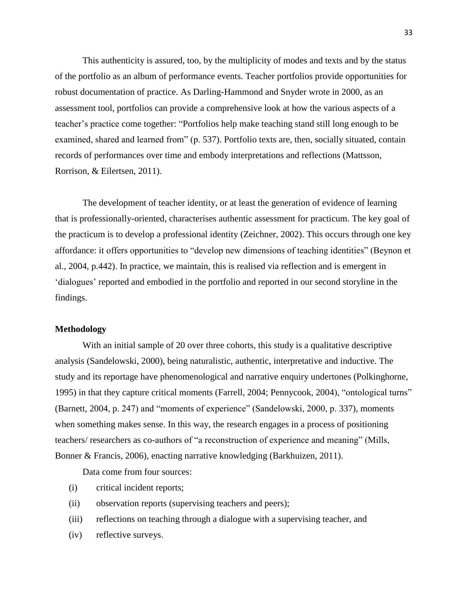This authenticity is assured, too, by the multiplicity of modes and texts and by the status of the portfolio as an album of performance events. Teacher portfolios provide opportunities for robust documentation of practice. As Darling-Hammond and Snyder wrote in 2000, as an assessment tool, portfolios can provide a comprehensive look at how the various aspects of a teacher's practice come together: "Portfolios help make teaching stand still long enough to be examined, shared and learned from" (p. 537). Portfolio texts are, then, socially situated, contain records of performances over time and embody interpretations and reflections (Mattsson, Rorrison, & Eilertsen, 2011).

The development of teacher identity, or at least the generation of evidence of learning that is professionally-oriented, characterises authentic assessment for practicum. The key goal of the practicum is to develop a professional identity (Zeichner, 2002). This occurs through one key affordance: it offers opportunities to "develop new dimensions of teaching identities" (Beynon et al., 2004, p.442). In practice, we maintain, this is realised via reflection and is emergent in 'dialogues' reported and embodied in the portfolio and reported in our second storyline in the findings.

# **Methodology**

With an initial sample of 20 over three cohorts, this study is a qualitative descriptive analysis (Sandelowski, 2000), being naturalistic, authentic, interpretative and inductive. The study and its reportage have phenomenological and narrative enquiry undertones (Polkinghorne, 1995) in that they capture critical moments (Farrell, 2004; Pennycook, 2004), "ontological turns" (Barnett, 2004, p. 247) and "moments of experience" (Sandelowski, 2000, p. 337), moments when something makes sense. In this way, the research engages in a process of positioning teachers/ researchers as co-authors of "a reconstruction of experience and meaning" (Mills, Bonner & Francis, 2006), enacting narrative knowledging (Barkhuizen, 2011).

Data come from four sources:

- (i) critical incident reports;
- (ii) observation reports (supervising teachers and peers);
- (iii) reflections on teaching through a dialogue with a supervising teacher, and
- (iv) reflective surveys.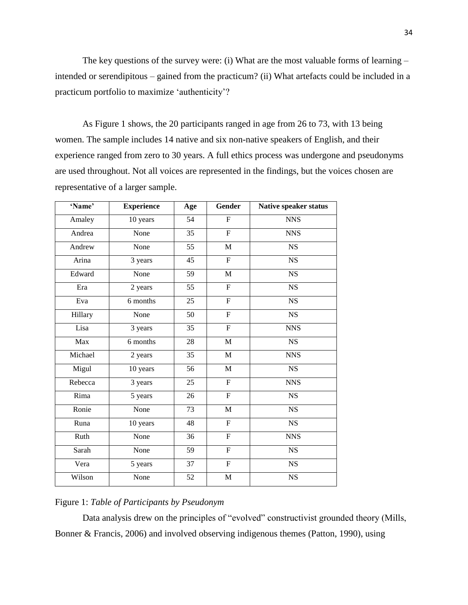The key questions of the survey were: (i) What are the most valuable forms of learning – intended or serendipitous – gained from the practicum? (ii) What artefacts could be included in a practicum portfolio to maximize 'authenticity'?

As Figure 1 shows, the 20 participants ranged in age from 26 to 73, with 13 being women. The sample includes 14 native and six non-native speakers of English, and their experience ranged from zero to 30 years. A full ethics process was undergone and pseudonyms are used throughout. Not all voices are represented in the findings, but the voices chosen are representative of a larger sample.

| 'Name'  | <b>Experience</b> | Age | <b>Gender</b>             | Native speaker status  |
|---------|-------------------|-----|---------------------------|------------------------|
| Amaley  | 10 years          | 54  | ${\bf F}$                 | <b>NNS</b>             |
| Andrea  | None              | 35  | $\overline{F}$            | <b>NNS</b>             |
| Andrew  | None              | 55  | $\mathbf M$               | <b>NS</b>              |
| Arina   | 3 years           | 45  | $\overline{\mathrm{F}}$   | <b>NS</b>              |
| Edward  | None              | 59  | $\mathbf M$               | <b>NS</b>              |
| Era     | 2 years           | 55  | $\overline{F}$            | <b>NS</b>              |
| Eva     | 6 months          | 25  | $\boldsymbol{\mathrm{F}}$ | <b>NS</b>              |
| Hillary | None              | 50  | $\overline{F}$            | NS                     |
| Lisa    | 3 years           | 35  | $\boldsymbol{\mathrm{F}}$ | <b>NNS</b>             |
| Max     | 6 months          | 28  | $\mathbf M$               | <b>NS</b>              |
| Michael | 2 years           | 35  | $\mathbf M$               | <b>NNS</b>             |
| Migul   | 10 years          | 56  | $\mathbf M$               | $\overline{\text{NS}}$ |
| Rebecca | 3 years           | 25  | $\overline{F}$            | <b>NNS</b>             |
| Rima    | 5 years           | 26  | ${\bf F}$                 | $_{\rm NS}$            |
| Ronie   | None              | 73  | $\mathbf{M}$              | <b>NS</b>              |
| Runa    | 10 years          | 48  | $\boldsymbol{\mathrm{F}}$ | <b>NS</b>              |
| Ruth    | None              | 36  | $\overline{F}$            | <b>NNS</b>             |
| Sarah   | None              | 59  | $\boldsymbol{\mathrm{F}}$ | NS                     |
| Vera    | 5 years           | 37  | ${\bf F}$                 | <b>NS</b>              |
| Wilson  | None              | 52  | $\mathbf M$               | <b>NS</b>              |

# Figure 1: *Table of Participants by Pseudonym*

Data analysis drew on the principles of "evolved" constructivist grounded theory (Mills, Bonner & Francis, 2006) and involved observing indigenous themes (Patton, 1990), using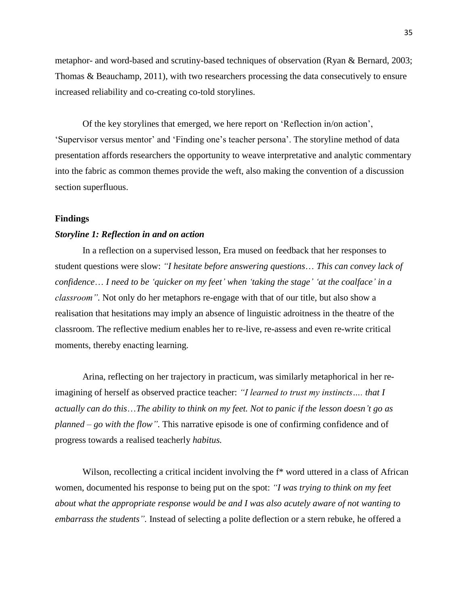metaphor- and word-based and scrutiny-based techniques of observation (Ryan & Bernard, 2003; Thomas & Beauchamp, 2011), with two researchers processing the data consecutively to ensure increased reliability and co-creating co-told storylines.

Of the key storylines that emerged, we here report on 'Reflection in/on action', 'Supervisor versus mentor' and 'Finding one's teacher persona'. The storyline method of data presentation affords researchers the opportunity to weave interpretative and analytic commentary into the fabric as common themes provide the weft, also making the convention of a discussion section superfluous.

## **Findings**

#### *Storyline 1: Reflection in and on action*

In a reflection on a supervised lesson, Era mused on feedback that her responses to student questions were slow: *"I hesitate before answering questions*… *This can convey lack of confidence*… *I need to be 'quicker on my feet' when 'taking the stage' 'at the coalface' in a classroom".* Not only do her metaphors re-engage with that of our title, but also show a realisation that hesitations may imply an absence of linguistic adroitness in the theatre of the classroom. The reflective medium enables her to re-live, re-assess and even re-write critical moments, thereby enacting learning.

Arina, reflecting on her trajectory in practicum, was similarly metaphorical in her reimagining of herself as observed practice teacher: *"I learned to trust my instincts…. that I actually can do this*…*The ability to think on my feet. Not to panic if the lesson doesn't go as planned – go with the flow".* This narrative episode is one of confirming confidence and of progress towards a realised teacherly *habitus.*

Wilson, recollecting a critical incident involving the  $f^*$  word uttered in a class of African women, documented his response to being put on the spot: *"I was trying to think on my feet about what the appropriate response would be and I was also acutely aware of not wanting to embarrass the students".* Instead of selecting a polite deflection or a stern rebuke, he offered a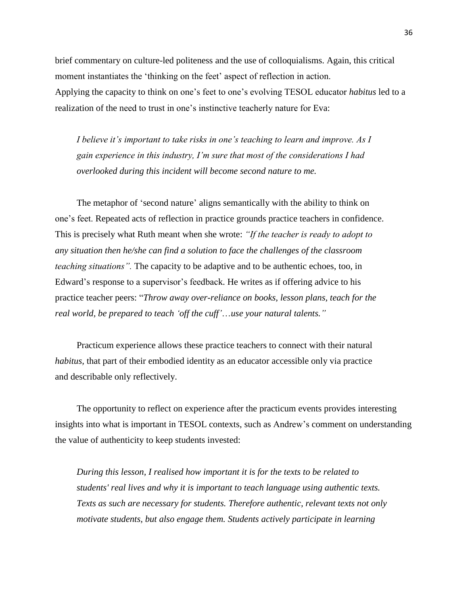brief commentary on culture-led politeness and the use of colloquialisms. Again, this critical moment instantiates the 'thinking on the feet' aspect of reflection in action. Applying the capacity to think on one's feet to one's evolving TESOL educator *habitus* led to a realization of the need to trust in one's instinctive teacherly nature for Eva:

*I believe it's important to take risks in one's teaching to learn and improve. As I gain experience in this industry, I'm sure that most of the considerations I had overlooked during this incident will become second nature to me.*

The metaphor of 'second nature' aligns semantically with the ability to think on one's feet. Repeated acts of reflection in practice grounds practice teachers in confidence. This is precisely what Ruth meant when she wrote: *"If the teacher is ready to adopt to any situation then he/she can find a solution to face the challenges of the classroom teaching situations*". The capacity to be adaptive and to be authentic echoes, too, in Edward's response to a supervisor's feedback. He writes as if offering advice to his practice teacher peers: "*Throw away over-reliance on books, lesson plans, teach for the real world, be prepared to teach 'off the cuff'*…*use your natural talents."*

Practicum experience allows these practice teachers to connect with their natural *habitus,* that part of their embodied identity as an educator accessible only via practice and describable only reflectively.

The opportunity to reflect on experience after the practicum events provides interesting insights into what is important in TESOL contexts, such as Andrew's comment on understanding the value of authenticity to keep students invested:

*During this lesson, I realised how important it is for the texts to be related to students' real lives and why it is important to teach language using authentic texts. Texts as such are necessary for students. Therefore authentic, relevant texts not only motivate students, but also engage them. Students actively participate in learning*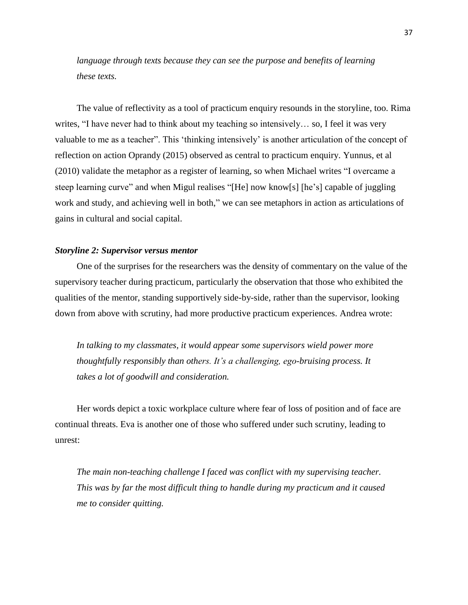*language through texts because they can see the purpose and benefits of learning these texts.*

The value of reflectivity as a tool of practicum enquiry resounds in the storyline, too. Rima writes, "I have never had to think about my teaching so intensively… so, I feel it was very valuable to me as a teacher". This 'thinking intensively' is another articulation of the concept of reflection on action Oprandy (2015) observed as central to practicum enquiry. Yunnus, et al (2010) validate the metaphor as a register of learning, so when Michael writes "I overcame a steep learning curve" and when Migul realises "[He] now know[s] [he's] capable of juggling work and study, and achieving well in both," we can see metaphors in action as articulations of gains in cultural and social capital.

#### *Storyline 2: Supervisor versus mentor*

One of the surprises for the researchers was the density of commentary on the value of the supervisory teacher during practicum, particularly the observation that those who exhibited the qualities of the mentor, standing supportively side-by-side, rather than the supervisor, looking down from above with scrutiny, had more productive practicum experiences. Andrea wrote:

*In talking to my classmates, it would appear some supervisors wield power more thoughtfully responsibly than others. It's a challenging, ego-bruising process. It takes a lot of goodwill and consideration.*

Her words depict a toxic workplace culture where fear of loss of position and of face are continual threats. Eva is another one of those who suffered under such scrutiny, leading to unrest:

*The main non-teaching challenge I faced was conflict with my supervising teacher. This was by far the most difficult thing to handle during my practicum and it caused me to consider quitting.*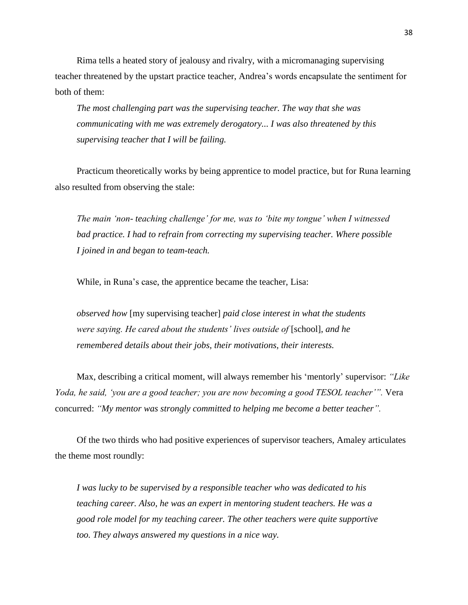Rima tells a heated story of jealousy and rivalry, with a micromanaging supervising teacher threatened by the upstart practice teacher, Andrea's words encapsulate the sentiment for both of them:

*The most challenging part was the supervising teacher. The way that she was communicating with me was extremely derogatory... I was also threatened by this supervising teacher that I will be failing.*

Practicum theoretically works by being apprentice to model practice, but for Runa learning also resulted from observing the stale:

*The main 'non- teaching challenge' for me, was to 'bite my tongue' when I witnessed bad practice. I had to refrain from correcting my supervising teacher. Where possible I joined in and began to team-teach.*

While, in Runa's case, the apprentice became the teacher, Lisa:

*observed how* [my supervising teacher] *paid close interest in what the students were saying. He cared about the students' lives outside of* [school], *and he remembered details about their jobs, their motivations, their interests.* 

Max, describing a critical moment, will always remember his 'mentorly' supervisor: *"Like Yoda, he said, 'you are a good teacher; you are now becoming a good TESOL teacher'".* Vera concurred: *"My mentor was strongly committed to helping me become a better teacher".*

Of the two thirds who had positive experiences of supervisor teachers, Amaley articulates the theme most roundly:

*I was lucky to be supervised by a responsible teacher who was dedicated to his teaching career. Also, he was an expert in mentoring student teachers. He was a good role model for my teaching career. The other teachers were quite supportive too. They always answered my questions in a nice way.*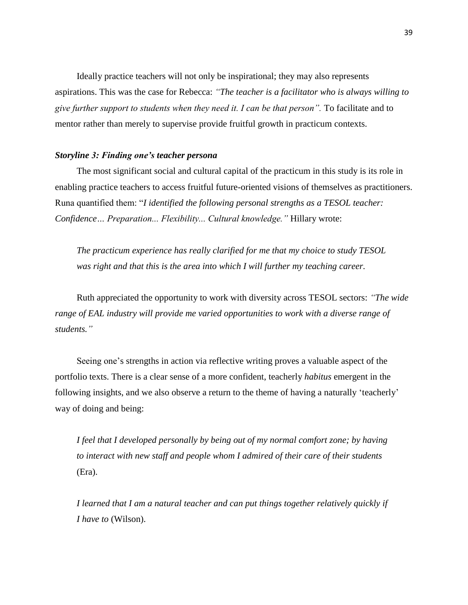Ideally practice teachers will not only be inspirational; they may also represents aspirations. This was the case for Rebecca: *"The teacher is a facilitator who is always willing to give further support to students when they need it. I can be that person".* To facilitate and to mentor rather than merely to supervise provide fruitful growth in practicum contexts.

## *Storyline 3: Finding one's teacher persona*

The most significant social and cultural capital of the practicum in this study is its role in enabling practice teachers to access fruitful future-oriented visions of themselves as practitioners. Runa quantified them: "*I identified the following personal strengths as a TESOL teacher: Confidence… Preparation... Flexibility... Cultural knowledge."* Hillary wrote:

*The practicum experience has really clarified for me that my choice to study TESOL was right and that this is the area into which I will further my teaching career.*

Ruth appreciated the opportunity to work with diversity across TESOL sectors: *"The wide range of EAL industry will provide me varied opportunities to work with a diverse range of students."* 

Seeing one's strengths in action via reflective writing proves a valuable aspect of the portfolio texts. There is a clear sense of a more confident, teacherly *habitus* emergent in the following insights, and we also observe a return to the theme of having a naturally 'teacherly' way of doing and being:

*I feel that I developed personally by being out of my normal comfort zone; by having to interact with new staff and people whom I admired of their care of their students*  (Era).

*I learned that I am a natural teacher and can put things together relatively quickly if I have to* (Wilson).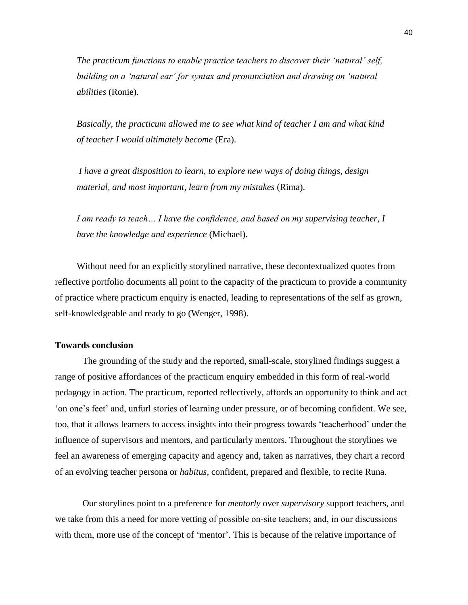*The practicum functions to enable practice teachers to discover their 'natural' self, building on a 'natural ear' for syntax and pronunciation and drawing on 'natural abilities* (Ronie).

*Basically, the practicum allowed me to see what kind of teacher I am and what kind of teacher I would ultimately become* (Era).

*I have a great disposition to learn, to explore new ways of doing things, design material, and most important, learn from my mistakes* (Rima).

*I am ready to teach… I have the confidence, and based on my supervising teacher, I have the knowledge and experience* (Michael).

Without need for an explicitly storylined narrative, these decontextualized quotes from reflective portfolio documents all point to the capacity of the practicum to provide a community of practice where practicum enquiry is enacted, leading to representations of the self as grown, self-knowledgeable and ready to go (Wenger, 1998).

## **Towards conclusion**

The grounding of the study and the reported, small-scale, storylined findings suggest a range of positive affordances of the practicum enquiry embedded in this form of real-world pedagogy in action. The practicum, reported reflectively, affords an opportunity to think and act 'on one's feet' and, unfurl stories of learning under pressure, or of becoming confident. We see, too, that it allows learners to access insights into their progress towards 'teacherhood' under the influence of supervisors and mentors, and particularly mentors. Throughout the storylines we feel an awareness of emerging capacity and agency and, taken as narratives, they chart a record of an evolving teacher persona or *habitus,* confident, prepared and flexible, to recite Runa.

Our storylines point to a preference for *mentorly* over *supervisory* support teachers, and we take from this a need for more vetting of possible on-site teachers; and, in our discussions with them, more use of the concept of 'mentor'. This is because of the relative importance of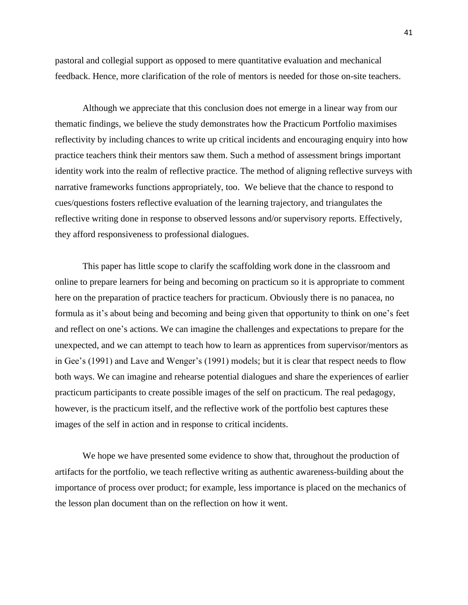pastoral and collegial support as opposed to mere quantitative evaluation and mechanical feedback. Hence, more clarification of the role of mentors is needed for those on-site teachers.

Although we appreciate that this conclusion does not emerge in a linear way from our thematic findings, we believe the study demonstrates how the Practicum Portfolio maximises reflectivity by including chances to write up critical incidents and encouraging enquiry into how practice teachers think their mentors saw them. Such a method of assessment brings important identity work into the realm of reflective practice. The method of aligning reflective surveys with narrative frameworks functions appropriately, too. We believe that the chance to respond to cues/questions fosters reflective evaluation of the learning trajectory, and triangulates the reflective writing done in response to observed lessons and/or supervisory reports. Effectively, they afford responsiveness to professional dialogues.

This paper has little scope to clarify the scaffolding work done in the classroom and online to prepare learners for being and becoming on practicum so it is appropriate to comment here on the preparation of practice teachers for practicum. Obviously there is no panacea, no formula as it's about being and becoming and being given that opportunity to think on one's feet and reflect on one's actions. We can imagine the challenges and expectations to prepare for the unexpected, and we can attempt to teach how to learn as apprentices from supervisor/mentors as in Gee's (1991) and Lave and Wenger's (1991) models; but it is clear that respect needs to flow both ways. We can imagine and rehearse potential dialogues and share the experiences of earlier practicum participants to create possible images of the self on practicum. The real pedagogy, however, is the practicum itself, and the reflective work of the portfolio best captures these images of the self in action and in response to critical incidents.

We hope we have presented some evidence to show that, throughout the production of artifacts for the portfolio, we teach reflective writing as authentic awareness-building about the importance of process over product; for example, less importance is placed on the mechanics of the lesson plan document than on the reflection on how it went.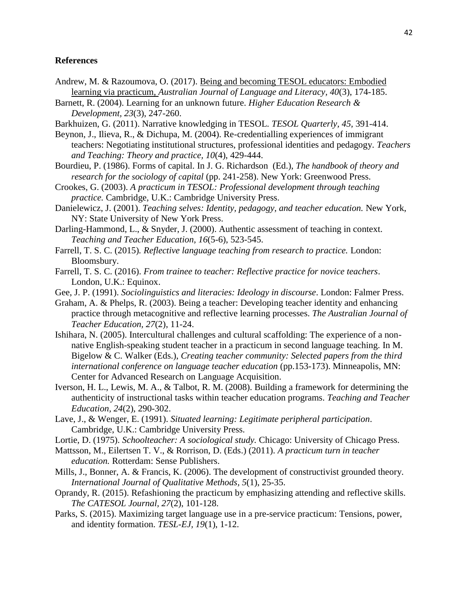# **References**

- Andrew, M. & Razoumova, O. (2017). [Being and becoming TESOL educators: Embodied](https://www.drmartinandrew.com/uploads/3/7/1/0/37107517/andrew_razoumova_ajll2017.pdf)  [learning via practicum,](https://www.drmartinandrew.com/uploads/3/7/1/0/37107517/andrew_razoumova_ajll2017.pdf) *Australian Journal of Language and Literacy, 40*(3), 174-185.
- Barnett, R. (2004). Learning for an unknown future. *Higher Education Research & Development, 23*(3), 247-260.
- Barkhuizen, G. (2011). Narrative knowledging in TESOL. *TESOL Quarterly, 45,* 391-414.
- Beynon, J., Ilieva, R., & Dichupa, M. (2004). Re-credentialling experiences of immigrant teachers: Negotiating institutional structures, professional identities and pedagogy. *Teachers and Teaching: Theory and practice, 10*(4), 429-444.
- Bourdieu, P. (1986). Forms of capital. In J. G. Richardson (Ed.), *The handbook of theory and research for the sociology of capital* (pp. 241-258). New York: Greenwood Press.
- Crookes, G. (2003). *A practicum in TESOL: Professional development through teaching practice.* Cambridge, U.K.: Cambridge University Press.
- Danielewicz, J. (2001). *Teaching selves: Identity, pedagogy, and teacher education.* New York, NY: State University of New York Press.
- Darling-Hammond, L., & Snyder, J. (2000). Authentic assessment of teaching in context. *Teaching and Teacher Education, 16*(5-6), 523-545.
- Farrell, T. S. C. (2015)*. Reflective language teaching from research to practice.* London: Bloomsbury.
- Farrell, T. S. C. (2016). *From trainee to teacher: Reflective practice for novice teachers*. London, U.K.: Equinox.
- Gee, J. P. (1991). *Sociolinguistics and literacies: Ideology in discourse*. London: Falmer Press.
- Graham, A. & Phelps, R. (2003). Being a teacher: Developing teacher identity and enhancing practice through metacognitive and reflective learning processes. *The Australian Journal of Teacher Education, 27*(2), 11-24.
- Ishihara, N. (2005). Intercultural challenges and cultural scaffolding: The experience of a nonnative English-speaking student teacher in a practicum in second language teaching. In M. Bigelow & C. Walker (Eds.), *Creating teacher community: Selected papers from the third international conference on language teacher education* (pp.153-173). Minneapolis, MN: Center for Advanced Research on Language Acquisition.
- Iverson, H. L., Lewis, M. A., & Talbot, R. M. (2008). Building a framework for determining the authenticity of instructional tasks within teacher education programs. *Teaching and Teacher Education, 24*(2), 290-302.
- Lave, J., & Wenger, E. (1991). *Situated learning: Legitimate peripheral participation*. Cambridge, U.K.: Cambridge University Press.
- Lortie, D. (1975). *Schoolteacher: A sociological study.* Chicago: University of Chicago Press.
- Mattsson, M., Eilertsen T. V., & Rorrison, D. (Eds.) (2011). *A practicum turn in teacher education.* Rotterdam: Sense Publishers.
- Mills, J., Bonner, A. & Francis, K. (2006). The development of constructivist grounded theory. *International Journal of Qualitative Methods, 5*(1), 25-35.
- Oprandy, R. (2015). Refashioning the practicum by emphasizing attending and reflective skills. *The CATESOL Journal, 27*(2), 101-128.
- Parks, S. (2015). Maximizing target language use in a pre-service practicum: Tensions, power, and identity formation. *TESL-EJ, 19*(1), 1-12.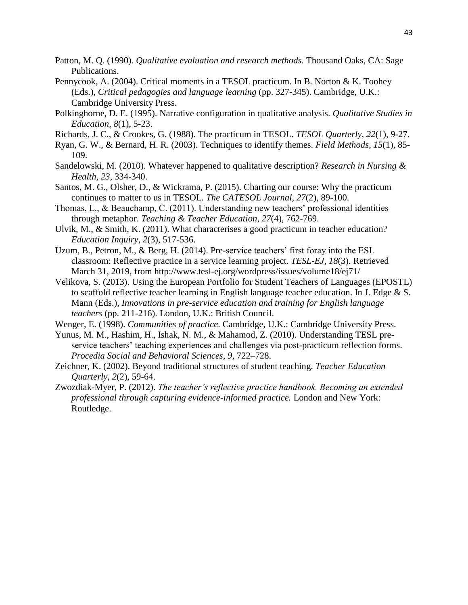- Patton, M. Q. (1990). *Qualitative evaluation and research methods.* Thousand Oaks, CA: Sage Publications.
- Pennycook, A. (2004). Critical moments in a TESOL practicum. In B. Norton & K. Toohey (Eds.), *Critical pedagogies and language learning* (pp. 327-345). Cambridge, U.K.: Cambridge University Press.
- Polkinghorne, D. E. (1995). Narrative configuration in qualitative analysis. *Qualitative Studies in Education*, *8*(1), 5-23.
- Richards, J. C., & Crookes, G. (1988). The practicum in TESOL. *TESOL Quarterly*, *22*(1), 9-27.
- Ryan, G. W., & Bernard, H. R. (2003). Techniques to identify themes. *Field Methods*, *15*(1), 85- 109.
- Sandelowski, M. (2010). Whatever happened to qualitative description? *Research in Nursing & Health, 23,* 334-340.
- Santos, M. G., Olsher, D., & Wickrama, P. (2015). Charting our course: Why the practicum continues to matter to us in TESOL. *The CATESOL Journal, 27*(2), 89-100.
- Thomas, L., & Beauchamp, C. (2011). Understanding new teachers' professional identities through metaphor. *Teaching & Teacher Education, 27*(4), 762-769.
- Ulvik, M., & Smith, K. (2011). What characterises a good practicum in teacher education? *Education Inquiry, 2*(3), 517-536.
- Uzum, B., Petron, M., & Berg, H. (2014). Pre-service teachers' first foray into the ESL classroom: Reflective practice in a service learning project. *TESL-EJ, 18*(3). Retrieved March 31, 2019, from http://www.tesl-ej.org/wordpress/issues/volume18/ej71/
- Velikova, S. (2013). Using the European Portfolio for Student Teachers of Languages (EPOSTL) to scaffold reflective teacher learning in English language teacher education. In J. Edge & S. Mann (Eds.), *Innovations in pre-service education and training for English language teachers* (pp. 211-216). London, U.K.: British Council.
- Wenger, E. (1998). *Communities of practice*. Cambridge, U.K.: Cambridge University Press.
- Yunus, M. M., Hashim, H., Ishak, N. M., & Mahamod, Z. (2010). Understanding TESL preservice teachers' teaching experiences and challenges via post-practicum reflection forms. *Procedia Social and Behavioral Sciences, 9,* 722–728.
- Zeichner, K. (2002). Beyond traditional structures of student teaching. *Teacher Education Quarterly, 2*(2), 59-64.
- Zwozdiak-Myer, P. (2012). *The teacher's reflective practice handbook. Becoming an extended professional through capturing evidence-informed practice.* London and New York: Routledge.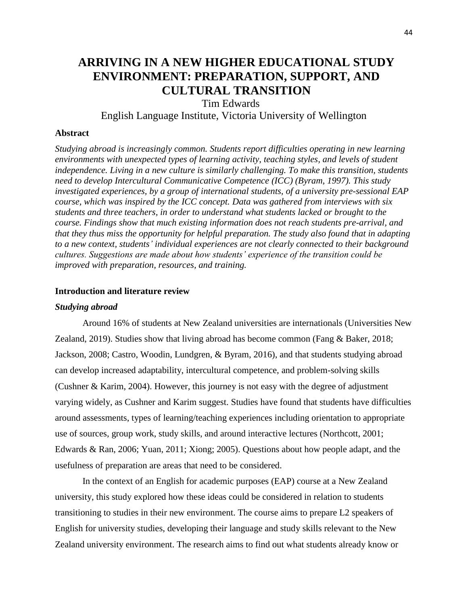# **ARRIVING IN A NEW HIGHER EDUCATIONAL STUDY ENVIRONMENT: PREPARATION, SUPPORT, AND CULTURAL TRANSITION**

Tim Edwards

English Language Institute, Victoria University of Wellington

#### **Abstract**

*Studying abroad is increasingly common. Students report difficulties operating in new learning environments with unexpected types of learning activity, teaching styles, and levels of student independence. Living in a new culture is similarly challenging. To make this transition, students need to develop Intercultural Communicative Competence (ICC) (Byram, 1997). This study investigated experiences, by a group of international students, of a university pre-sessional EAP course, which was inspired by the ICC concept. Data was gathered from interviews with six students and three teachers, in order to understand what students lacked or brought to the course. Findings show that much existing information does not reach students pre-arrival, and that they thus miss the opportunity for helpful preparation. The study also found that in adapting to a new context, students' individual experiences are not clearly connected to their background cultures. Suggestions are made about how students' experience of the transition could be improved with preparation, resources, and training.*

## **Introduction and literature review**

## *Studying abroad*

Around 16% of students at New Zealand universities are internationals (Universities New Zealand, 2019). Studies show that living abroad has become common (Fang & Baker, 2018; Jackson, 2008; Castro, Woodin, Lundgren, & Byram, 2016), and that students studying abroad can develop increased adaptability, intercultural competence, and problem-solving skills (Cushner & Karim, 2004). However, this journey is not easy with the degree of adjustment varying widely, as Cushner and Karim suggest. Studies have found that students have difficulties around assessments, types of learning/teaching experiences including orientation to appropriate use of sources, group work, study skills, and around interactive lectures (Northcott, 2001; Edwards & Ran, 2006; Yuan, 2011; Xiong; 2005). Questions about how people adapt, and the usefulness of preparation are areas that need to be considered.

In the context of an English for academic purposes (EAP) course at a New Zealand university, this study explored how these ideas could be considered in relation to students transitioning to studies in their new environment. The course aims to prepare L2 speakers of English for university studies, developing their language and study skills relevant to the New Zealand university environment. The research aims to find out what students already know or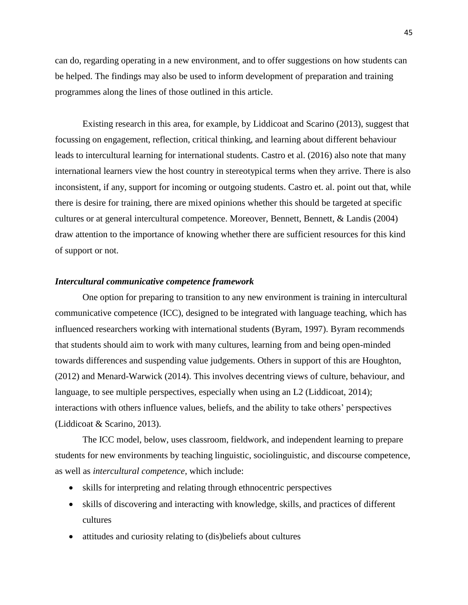can do, regarding operating in a new environment, and to offer suggestions on how students can be helped. The findings may also be used to inform development of preparation and training programmes along the lines of those outlined in this article.

Existing research in this area, for example, by Liddicoat and Scarino (2013), suggest that focussing on engagement, reflection, critical thinking, and learning about different behaviour leads to intercultural learning for international students. Castro et al. (2016) also note that many international learners view the host country in stereotypical terms when they arrive. There is also inconsistent, if any, support for incoming or outgoing students. Castro et. al. point out that, while there is desire for training, there are mixed opinions whether this should be targeted at specific cultures or at general intercultural competence. Moreover, Bennett, Bennett, & Landis (2004) draw attention to the importance of knowing whether there are sufficient resources for this kind of support or not.

### *Intercultural communicative competence framework*

One option for preparing to transition to any new environment is training in intercultural communicative competence (ICC), designed to be integrated with language teaching, which has influenced researchers working with international students (Byram, 1997). Byram recommends that students should aim to work with many cultures, learning from and being open-minded towards differences and suspending value judgements. Others in support of this are Houghton, (2012) and Menard-Warwick (2014). This involves decentring views of culture, behaviour, and language, to see multiple perspectives, especially when using an L2 (Liddicoat, 2014); interactions with others influence values, beliefs, and the ability to take others' perspectives (Liddicoat & Scarino, 2013).

The ICC model, below, uses classroom, fieldwork, and independent learning to prepare students for new environments by teaching linguistic, sociolinguistic, and discourse competence, as well as *intercultural competence*, which include:

- skills for interpreting and relating through ethnocentric perspectives
- skills of discovering and interacting with knowledge, skills, and practices of different cultures
- attitudes and curiosity relating to (dis)beliefs about cultures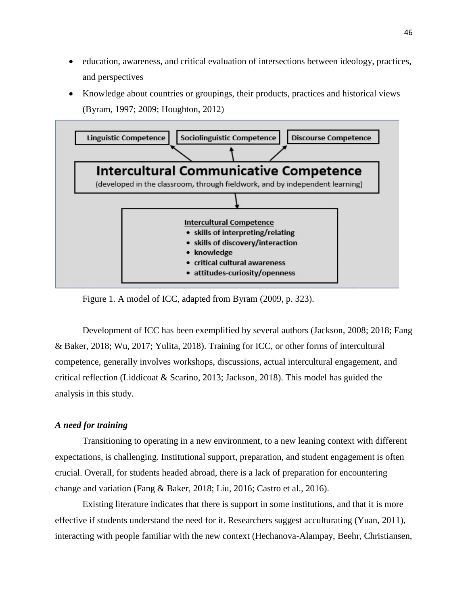- education, awareness, and critical evaluation of intersections between ideology, practices, and perspectives
- Knowledge about countries or groupings, their products, practices and historical views (Byram, 1997; 2009; Houghton, 2012)



Figure 1. A model of ICC, adapted from Byram (2009, p. 323).

Development of ICC has been exemplified by several authors (Jackson, 2008; 2018; Fang & Baker, 2018; Wu, 2017; Yulita, 2018). Training for ICC, or other forms of intercultural competence, generally involves workshops, discussions, actual intercultural engagement, and critical reflection (Liddicoat & Scarino, 2013; Jackson, 2018). This model has guided the analysis in this study.

# *A need for training*

Transitioning to operating in a new environment, to a new leaning context with different expectations, is challenging. Institutional support, preparation, and student engagement is often crucial. Overall, for students headed abroad, there is a lack of preparation for encountering change and variation (Fang & Baker, 2018; Liu, 2016; Castro et al., 2016).

Existing literature indicates that there is support in some institutions, and that it is more effective if students understand the need for it. Researchers suggest acculturating (Yuan, 2011), interacting with people familiar with the new context (Hechanova-Alampay, Beehr, Christiansen,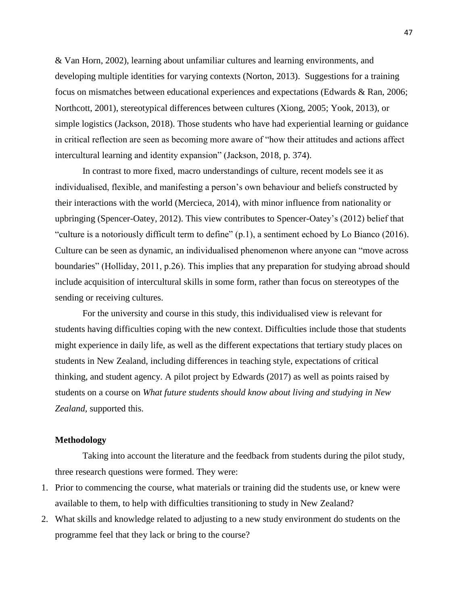& Van Horn, 2002), learning about unfamiliar cultures and learning environments, and developing multiple identities for varying contexts (Norton, 2013). Suggestions for a training focus on mismatches between educational experiences and expectations (Edwards & Ran, 2006; Northcott, 2001), stereotypical differences between cultures (Xiong, 2005; Yook, 2013), or simple logistics (Jackson, 2018). Those students who have had experiential learning or guidance in critical reflection are seen as becoming more aware of "how their attitudes and actions affect intercultural learning and identity expansion" (Jackson, 2018, p. 374).

In contrast to more fixed, macro understandings of culture, recent models see it as individualised, flexible, and manifesting a person's own behaviour and beliefs constructed by their interactions with the world (Mercieca, 2014), with minor influence from nationality or upbringing (Spencer-Oatey, 2012). This view contributes to Spencer-Oatey's (2012) belief that "culture is a notoriously difficult term to define" (p.1), a sentiment echoed by Lo Bianco (2016). Culture can be seen as dynamic, an individualised phenomenon where anyone can "move across boundaries" (Holliday, 2011, p.26). This implies that any preparation for studying abroad should include acquisition of intercultural skills in some form, rather than focus on stereotypes of the sending or receiving cultures.

For the university and course in this study, this individualised view is relevant for students having difficulties coping with the new context. Difficulties include those that students might experience in daily life, as well as the different expectations that tertiary study places on students in New Zealand, including differences in teaching style, expectations of critical thinking, and student agency. A pilot project by Edwards (2017) as well as points raised by students on a course on *What future students should know about living and studying in New Zealand,* supported this.

## **Methodology**

Taking into account the literature and the feedback from students during the pilot study, three research questions were formed. They were:

- 1. Prior to commencing the course, what materials or training did the students use, or knew were available to them, to help with difficulties transitioning to study in New Zealand?
- 2. What skills and knowledge related to adjusting to a new study environment do students on the programme feel that they lack or bring to the course?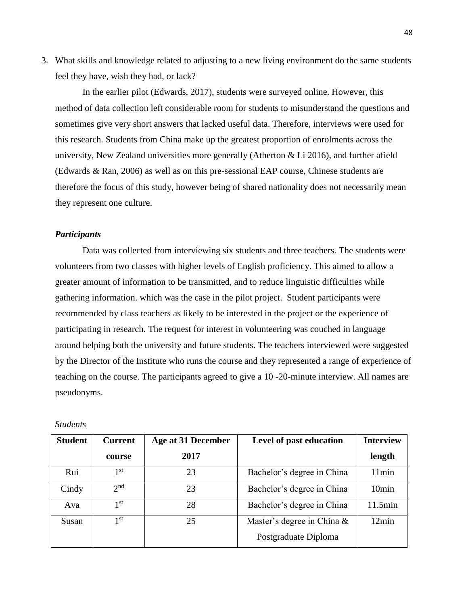3. What skills and knowledge related to adjusting to a new living environment do the same students feel they have, wish they had, or lack?

In the earlier pilot (Edwards, 2017), students were surveyed online. However, this method of data collection left considerable room for students to misunderstand the questions and sometimes give very short answers that lacked useful data. Therefore, interviews were used for this research. Students from China make up the greatest proportion of enrolments across the university, New Zealand universities more generally (Atherton  $& Li 2016$ ), and further afield (Edwards & Ran, 2006) as well as on this pre-sessional EAP course, Chinese students are therefore the focus of this study, however being of shared nationality does not necessarily mean they represent one culture.

#### *Participants*

Data was collected from interviewing six students and three teachers. The students were volunteers from two classes with higher levels of English proficiency. This aimed to allow a greater amount of information to be transmitted, and to reduce linguistic difficulties while gathering information. which was the case in the pilot project. Student participants were recommended by class teachers as likely to be interested in the project or the experience of participating in research. The request for interest in volunteering was couched in language around helping both the university and future students. The teachers interviewed were suggested by the Director of the Institute who runs the course and they represented a range of experience of teaching on the course. The participants agreed to give a 10 -20-minute interview. All names are pseudonyms.

| <b>Student</b> | <b>Current</b>  | Age at 31 December | Level of past education       | <b>Interview</b>  |
|----------------|-----------------|--------------------|-------------------------------|-------------------|
|                | course          | 2017               |                               | length            |
| Rui            | 1 <sup>st</sup> | 23                 | Bachelor's degree in China    | 11min             |
| Cindy          | 2 <sub>nd</sub> | 23                 | Bachelor's degree in China    | 10 <sub>min</sub> |
| Ava            | 1 <sup>st</sup> | 28                 | Bachelor's degree in China    | 11.5min           |
| Susan          | 1 <sup>st</sup> | 25                 | Master's degree in China $\&$ | 12min             |
|                |                 |                    | Postgraduate Diploma          |                   |

*Students*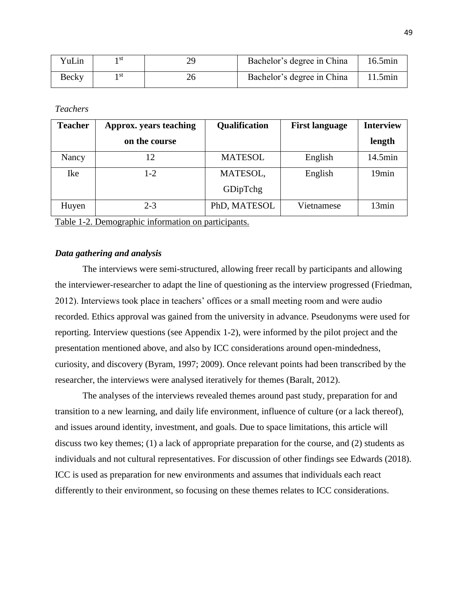| VuLin | ı st | Bachelor's degree in China | 16.5min |
|-------|------|----------------------------|---------|
| Becky | ı st | Bachelor's degree in China | 11.5min |

*Teachers*

| <b>Teacher</b> | Approx. years teaching | Qualification  | <b>First language</b> | <b>Interview</b> |
|----------------|------------------------|----------------|-----------------------|------------------|
|                | on the course          |                |                       | length           |
| Nancy          | 12                     | <b>MATESOL</b> | English               | 14.5min          |
| Ike            | $1 - 2$                | MATESOL,       | English               | 19min            |
|                |                        | GDipTchg       |                       |                  |
| Huyen          | $2 - 3$                | PhD, MATESOL   | Vietnamese            | 13min            |
| -------        |                        |                |                       |                  |

Table 1-2. Demographic information on participants.

## *Data gathering and analysis*

The interviews were semi-structured, allowing freer recall by participants and allowing the interviewer-researcher to adapt the line of questioning as the interview progressed (Friedman, 2012). Interviews took place in teachers' offices or a small meeting room and were audio recorded. Ethics approval was gained from the university in advance. Pseudonyms were used for reporting. Interview questions (see Appendix 1-2), were informed by the pilot project and the presentation mentioned above, and also by ICC considerations around open-mindedness, curiosity, and discovery (Byram, 1997; 2009). Once relevant points had been transcribed by the researcher, the interviews were analysed iteratively for themes (Baralt, 2012).

The analyses of the interviews revealed themes around past study, preparation for and transition to a new learning, and daily life environment, influence of culture (or a lack thereof), and issues around identity, investment, and goals. Due to space limitations, this article will discuss two key themes; (1) a lack of appropriate preparation for the course, and (2) students as individuals and not cultural representatives. For discussion of other findings see Edwards (2018). ICC is used as preparation for new environments and assumes that individuals each react differently to their environment, so focusing on these themes relates to ICC considerations.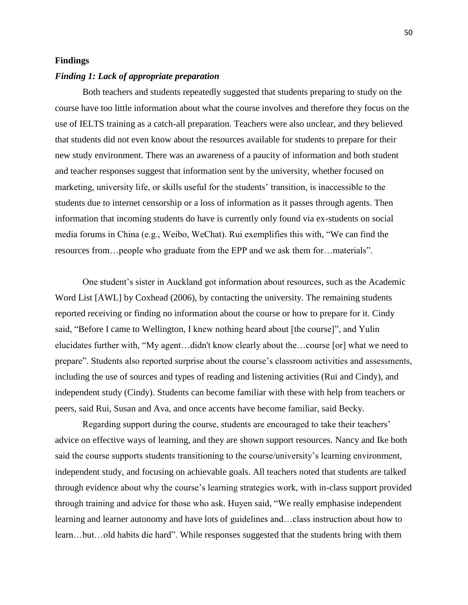#### **Findings**

#### *Finding 1: Lack of appropriate preparation*

Both teachers and students repeatedly suggested that students preparing to study on the course have too little information about what the course involves and therefore they focus on the use of IELTS training as a catch-all preparation. Teachers were also unclear, and they believed that students did not even know about the resources available for students to prepare for their new study environment. There was an awareness of a paucity of information and both student and teacher responses suggest that information sent by the university, whether focused on marketing, university life, or skills useful for the students' transition, is inaccessible to the students due to internet censorship or a loss of information as it passes through agents. Then information that incoming students do have is currently only found via ex-students on social media forums in China (e.g., Weibo, WeChat). Rui exemplifies this with, "We can find the resources from…people who graduate from the EPP and we ask them for…materials".

One student's sister in Auckland got information about resources, such as the Academic Word List [AWL] by Coxhead (2006), by contacting the university. The remaining students reported receiving or finding no information about the course or how to prepare for it. Cindy said, "Before I came to Wellington, I knew nothing heard about [the course]", and Yulin elucidates further with, "My agent…didn't know clearly about the…course [or] what we need to prepare". Students also reported surprise about the course's classroom activities and assessments, including the use of sources and types of reading and listening activities (Rui and Cindy), and independent study (Cindy). Students can become familiar with these with help from teachers or peers, said Rui, Susan and Ava, and once accents have become familiar, said Becky.

Regarding support during the course, students are encouraged to take their teachers' advice on effective ways of learning, and they are shown support resources. Nancy and Ike both said the course supports students transitioning to the course/university's learning environment, independent study, and focusing on achievable goals. All teachers noted that students are talked through evidence about why the course's learning strategies work, with in-class support provided through training and advice for those who ask. Huyen said, "We really emphasise independent learning and learner autonomy and have lots of guidelines and…class instruction about how to learn…but…old habits die hard". While responses suggested that the students bring with them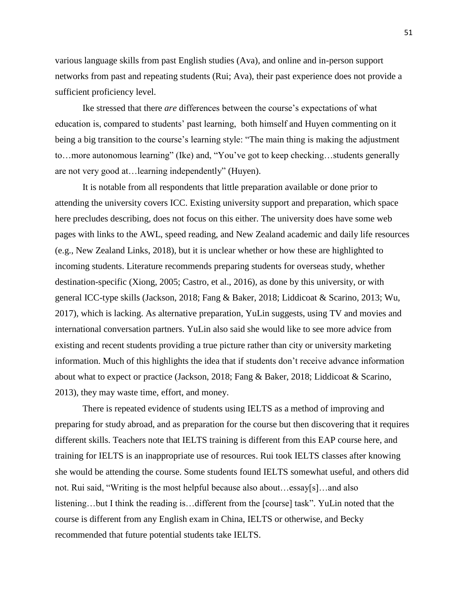various language skills from past English studies (Ava), and online and in-person support networks from past and repeating students (Rui; Ava), their past experience does not provide a sufficient proficiency level.

Ike stressed that there *are* differences between the course's expectations of what education is, compared to students' past learning, both himself and Huyen commenting on it being a big transition to the course's learning style: "The main thing is making the adjustment to…more autonomous learning" (Ike) and, "You've got to keep checking…students generally are not very good at…learning independently" (Huyen).

It is notable from all respondents that little preparation available or done prior to attending the university covers ICC. Existing university support and preparation, which space here precludes describing, does not focus on this either. The university does have some web pages with links to the AWL, speed reading, and New Zealand academic and daily life resources (e.g., New Zealand Links, 2018), but it is unclear whether or how these are highlighted to incoming students. Literature recommends preparing students for overseas study, whether destination-specific (Xiong, 2005; Castro, et al., 2016), as done by this university, or with general ICC-type skills (Jackson, 2018; Fang & Baker, 2018; Liddicoat & Scarino, 2013; Wu, 2017), which is lacking. As alternative preparation, YuLin suggests, using TV and movies and international conversation partners. YuLin also said she would like to see more advice from existing and recent students providing a true picture rather than city or university marketing information. Much of this highlights the idea that if students don't receive advance information about what to expect or practice (Jackson, 2018; Fang & Baker, 2018; Liddicoat & Scarino, 2013), they may waste time, effort, and money.

There is repeated evidence of students using IELTS as a method of improving and preparing for study abroad, and as preparation for the course but then discovering that it requires different skills. Teachers note that IELTS training is different from this EAP course here, and training for IELTS is an inappropriate use of resources. Rui took IELTS classes after knowing she would be attending the course. Some students found IELTS somewhat useful, and others did not. Rui said, "Writing is the most helpful because also about…essay[s]…and also listening…but I think the reading is…different from the [course] task". YuLin noted that the course is different from any English exam in China, IELTS or otherwise, and Becky recommended that future potential students take IELTS.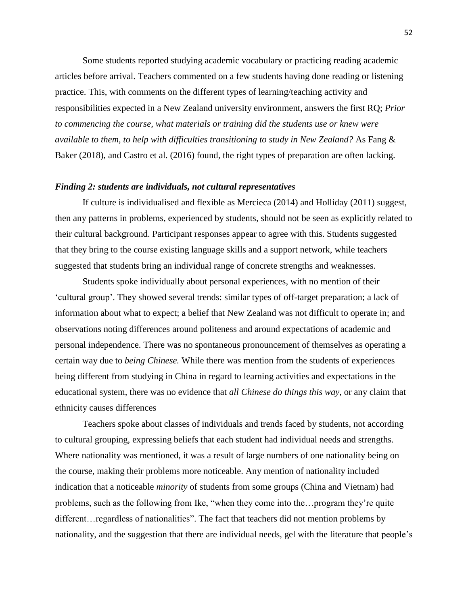Some students reported studying academic vocabulary or practicing reading academic articles before arrival. Teachers commented on a few students having done reading or listening practice. This, with comments on the different types of learning/teaching activity and responsibilities expected in a New Zealand university environment, answers the first RQ; *Prior to commencing the course, what materials or training did the students use or knew were available to them, to help with difficulties transitioning to study in New Zealand?* As Fang & Baker (2018), and Castro et al. (2016) found, the right types of preparation are often lacking.

## *Finding 2: students are individuals, not cultural representatives*

If culture is individualised and flexible as Mercieca (2014) and Holliday (2011) suggest, then any patterns in problems, experienced by students, should not be seen as explicitly related to their cultural background. Participant responses appear to agree with this. Students suggested that they bring to the course existing language skills and a support network, while teachers suggested that students bring an individual range of concrete strengths and weaknesses.

Students spoke individually about personal experiences, with no mention of their 'cultural group'. They showed several trends: similar types of off-target preparation; a lack of information about what to expect; a belief that New Zealand was not difficult to operate in; and observations noting differences around politeness and around expectations of academic and personal independence. There was no spontaneous pronouncement of themselves as operating a certain way due to *being Chinese.* While there was mention from the students of experiences being different from studying in China in regard to learning activities and expectations in the educational system, there was no evidence that *all Chinese do things this way*, or any claim that ethnicity causes differences

Teachers spoke about classes of individuals and trends faced by students, not according to cultural grouping, expressing beliefs that each student had individual needs and strengths. Where nationality was mentioned, it was a result of large numbers of one nationality being on the course, making their problems more noticeable. Any mention of nationality included indication that a noticeable *minority* of students from some groups (China and Vietnam) had problems, such as the following from Ike, "when they come into the…program they're quite different…regardless of nationalities". The fact that teachers did not mention problems by nationality, and the suggestion that there are individual needs, gel with the literature that people's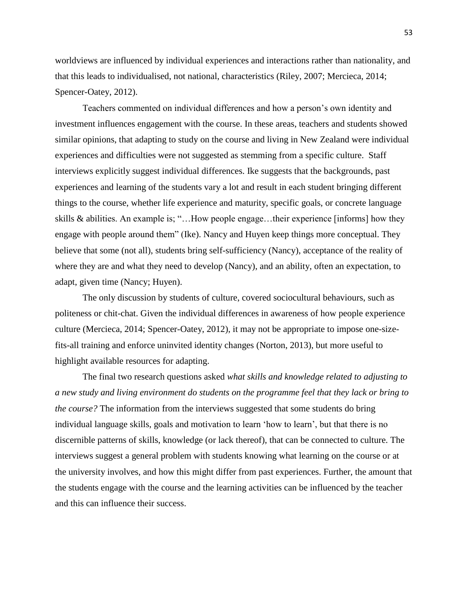worldviews are influenced by individual experiences and interactions rather than nationality, and that this leads to individualised, not national, characteristics (Riley, 2007; Mercieca, 2014; Spencer-Oatey, 2012).

Teachers commented on individual differences and how a person's own identity and investment influences engagement with the course. In these areas, teachers and students showed similar opinions, that adapting to study on the course and living in New Zealand were individual experiences and difficulties were not suggested as stemming from a specific culture. Staff interviews explicitly suggest individual differences. Ike suggests that the backgrounds, past experiences and learning of the students vary a lot and result in each student bringing different things to the course, whether life experience and maturity, specific goals, or concrete language skills & abilities. An example is; "…How people engage…their experience [informs] how they engage with people around them" (Ike). Nancy and Huyen keep things more conceptual. They believe that some (not all), students bring self-sufficiency (Nancy), acceptance of the reality of where they are and what they need to develop (Nancy), and an ability, often an expectation, to adapt, given time (Nancy; Huyen).

The only discussion by students of culture, covered sociocultural behaviours, such as politeness or chit-chat. Given the individual differences in awareness of how people experience culture (Mercieca, 2014; Spencer-Oatey, 2012), it may not be appropriate to impose one-sizefits-all training and enforce uninvited identity changes (Norton, 2013), but more useful to highlight available resources for adapting.

The final two research questions asked *what skills and knowledge related to adjusting to a new study and living environment do students on the programme feel that they lack or bring to the course?* The information from the interviews suggested that some students do bring individual language skills, goals and motivation to learn 'how to learn', but that there is no discernible patterns of skills, knowledge (or lack thereof), that can be connected to culture. The interviews suggest a general problem with students knowing what learning on the course or at the university involves, and how this might differ from past experiences. Further, the amount that the students engage with the course and the learning activities can be influenced by the teacher and this can influence their success.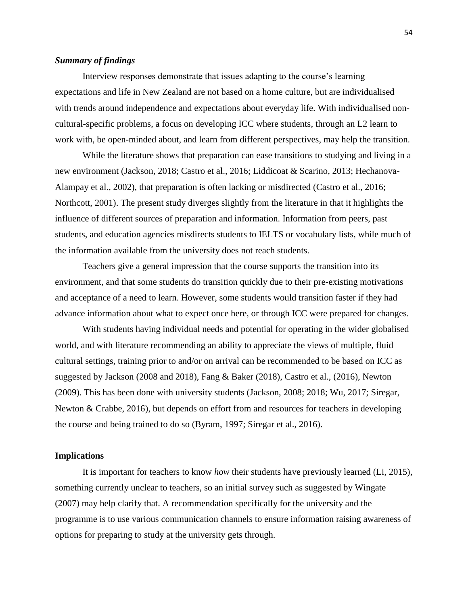# *Summary of findings*

Interview responses demonstrate that issues adapting to the course's learning expectations and life in New Zealand are not based on a home culture, but are individualised with trends around independence and expectations about everyday life. With individualised noncultural-specific problems, a focus on developing ICC where students, through an L2 learn to work with, be open-minded about, and learn from different perspectives, may help the transition.

While the literature shows that preparation can ease transitions to studying and living in a new environment (Jackson, 2018; Castro et al., 2016; Liddicoat & Scarino, 2013; Hechanova-Alampay et al., 2002), that preparation is often lacking or misdirected (Castro et al., 2016; Northcott, 2001). The present study diverges slightly from the literature in that it highlights the influence of different sources of preparation and information. Information from peers, past students, and education agencies misdirects students to IELTS or vocabulary lists, while much of the information available from the university does not reach students.

Teachers give a general impression that the course supports the transition into its environment, and that some students do transition quickly due to their pre-existing motivations and acceptance of a need to learn. However, some students would transition faster if they had advance information about what to expect once here, or through ICC were prepared for changes.

With students having individual needs and potential for operating in the wider globalised world, and with literature recommending an ability to appreciate the views of multiple, fluid cultural settings, training prior to and/or on arrival can be recommended to be based on ICC as suggested by Jackson (2008 and 2018), Fang & Baker (2018), Castro et al., (2016), Newton (2009). This has been done with university students (Jackson, 2008; 2018; Wu, 2017; Siregar, Newton & Crabbe, 2016), but depends on effort from and resources for teachers in developing the course and being trained to do so (Byram, 1997; Siregar et al., 2016).

### **Implications**

It is important for teachers to know *how* their students have previously learned (Li, 2015), something currently unclear to teachers, so an initial survey such as suggested by Wingate (2007) may help clarify that. A recommendation specifically for the university and the programme is to use various communication channels to ensure information raising awareness of options for preparing to study at the university gets through.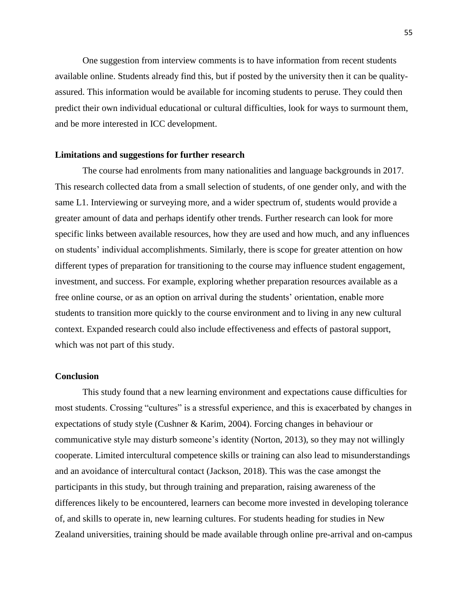One suggestion from interview comments is to have information from recent students available online. Students already find this, but if posted by the university then it can be qualityassured. This information would be available for incoming students to peruse. They could then predict their own individual educational or cultural difficulties, look for ways to surmount them, and be more interested in ICC development.

#### **Limitations and suggestions for further research**

The course had enrolments from many nationalities and language backgrounds in 2017. This research collected data from a small selection of students, of one gender only, and with the same L1. Interviewing or surveying more, and a wider spectrum of, students would provide a greater amount of data and perhaps identify other trends. Further research can look for more specific links between available resources, how they are used and how much, and any influences on students' individual accomplishments. Similarly, there is scope for greater attention on how different types of preparation for transitioning to the course may influence student engagement, investment, and success. For example, exploring whether preparation resources available as a free online course, or as an option on arrival during the students' orientation, enable more students to transition more quickly to the course environment and to living in any new cultural context. Expanded research could also include effectiveness and effects of pastoral support, which was not part of this study.

# **Conclusion**

This study found that a new learning environment and expectations cause difficulties for most students. Crossing "cultures" is a stressful experience, and this is exacerbated by changes in expectations of study style (Cushner & Karim, 2004). Forcing changes in behaviour or communicative style may disturb someone's identity (Norton, 2013), so they may not willingly cooperate. Limited intercultural competence skills or training can also lead to misunderstandings and an avoidance of intercultural contact (Jackson, 2018). This was the case amongst the participants in this study, but through training and preparation, raising awareness of the differences likely to be encountered, learners can become more invested in developing tolerance of, and skills to operate in, new learning cultures. For students heading for studies in New Zealand universities, training should be made available through online pre-arrival and on-campus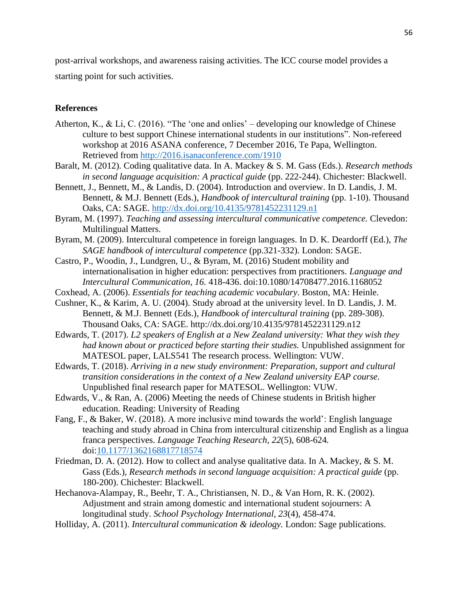post-arrival workshops, and awareness raising activities. The ICC course model provides a starting point for such activities.

## **References**

- Atherton, K., & Li, C. (2016). "The 'one and onlies' developing our knowledge of Chinese culture to best support Chinese international students in our institutions". Non-refereed workshop at 2016 ASANA conference, 7 December 2016, Te Papa, Wellington. Retrieved from http://2016.isanaconference.com/1910
- Baralt, M. (2012). Coding qualitative data. In A. Mackey & S. M. Gass (Eds.). *Research methods in second language acquisition: A practical guide* (pp. 222-244). Chichester: Blackwell.
- Bennett, J., Bennett, M., & Landis, D. (2004). Introduction and overview. In D. Landis, J. M. Bennett, & M.J. Bennett (Eds.), *Handbook of intercultural training* (pp. 1-10). Thousand Oaks, CA: SAGE. http://dx.doi.org/10.4135/9781452231129.n1
- Byram, M. (1997). *Teaching and assessing intercultural communicative competence.* Clevedon: Multilingual Matters.
- Byram, M. (2009). Intercultural competence in foreign languages. In D. K. Deardorff (Ed.), *The SAGE handbook of intercultural competence* (pp.321-332). London: SAGE.
- Castro, P., Woodin, J., Lundgren, U., & Byram, M. (2016) Student mobility and internationalisation in higher education: perspectives from practitioners. *Language and Intercultural Communication, 16.* 418-436. doi:10.1080/14708477.2016.1168052
- Coxhead, A. (2006). *Essentials for teaching academic vocabulary*. Boston, MA: Heinle.
- Cushner, K., & Karim, A. U. (2004). Study abroad at the university level. In D. Landis, J. M. Bennett, & M.J. Bennett (Eds.), *Handbook of intercultural training* (pp. 289-308). Thousand Oaks, CA: SAGE. http://dx.doi.org/10.4135/9781452231129.n12
- Edwards, T. (2017). *L2 speakers of English at a New Zealand university: What they wish they had known about or practiced before starting their studies.* Unpublished assignment for MATESOL paper, LALS541 The research process. Wellington: VUW.
- Edwards, T. (2018). *Arriving in a new study environment: Preparation, support and cultural transition considerations in the context of a New Zealand university EAP course.*  Unpublished final research paper for MATESOL. Wellington: VUW.
- Edwards, V., & Ran, A. (2006) Meeting the needs of Chinese students in British higher education. Reading: University of Reading
- Fang, F., & Baker, W. (2018). A more inclusive mind towards the world': English language teaching and study abroad in China from intercultural citizenship and English as a lingua franca perspectives. *Language Teaching Research, 22*(5), 608-624*.* doi:10.1177/1362168817718574
- Friedman, D. A. (2012). How to collect and analyse qualitative data. In A. Mackey, & S. M. Gass (Eds.), *Research methods in second language acquisition: A practical guide* (pp. 180-200). Chichester: Blackwell.
- Hechanova-Alampay, R., Beehr, T. A., Christiansen, N. D., & Van Horn, R. K. (2002). Adjustment and strain among domestic and international student sojourners: A longitudinal study. *School Psychology International, 23*(4), 458-474.
- Holliday, A. (2011). *Intercultural communication & ideology.* London: Sage publications.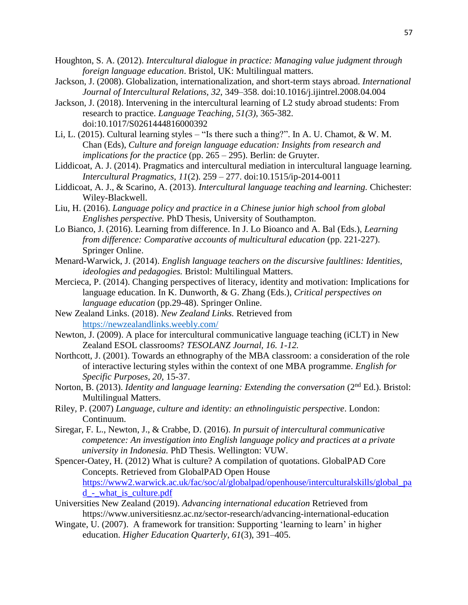- Houghton, S. A. (2012). *Intercultural dialogue in practice: Managing value judgment through foreign language education*. Bristol, UK: Multilingual matters.
- Jackson, J. (2008). Globalization, internationalization, and short-term stays abroad. *International Journal of Intercultural Relations, 32*, 349–358. doi:10.1016/j.ijintrel.2008.04.004
- Jackson, J. (2018). Intervening in the intercultural learning of L2 study abroad students: From research to practice. *Language Teaching, 51(3),* 365-382. doi:10.1017/S0261444816000392
- Li, L. (2015). Cultural learning styles "Is there such a thing?". In A. U. Chamot, & W. M. Chan (Eds), *Culture and foreign language education: Insights from research and implications for the practice* (pp. 265 – 295). Berlin: de Gruyter.
- Liddicoat, A. J. (2014). Pragmatics and intercultural mediation in intercultural language learning. *Intercultural Pragmatics, 11*(2). 259 – 277. doi:10.1515/ip-2014-0011
- Liddicoat, A. J., & Scarino, A. (2013). *Intercultural language teaching and learning.* Chichester: Wiley-Blackwell.
- Liu, H. (2016). *Language policy and practice in a Chinese junior high school from global Englishes perspective.* PhD Thesis, University of Southampton.
- Lo Bianco, J. (2016). Learning from difference. In J. Lo Bioanco and A. Bal (Eds.), *Learning from difference: Comparative accounts of multicultural education (pp. 221-227).* Springer Online.
- Menard-Warwick, J. (2014). *English language teachers on the discursive faultlines: Identities, ideologies and pedagogies.* Bristol: Multilingual Matters.
- Mercieca, P. (2014). Changing perspectives of literacy, identity and motivation: Implications for language education. In K. Dunworth, & G. Zhang (Eds.), *Critical perspectives on language education* (pp.29-48). Springer Online.
- New Zealand Links. (2018). *New Zealand Links.* Retrieved from https://newzealandlinks.weebly.com/
- Newton, J. (2009). A place for intercultural communicative language teaching (iCLT) in New Zealand ESOL classrooms? *TESOLANZ Journal, 16. 1-12.*
- Northcott, J. (2001). Towards an ethnography of the MBA classroom: a consideration of the role of interactive lecturing styles within the context of one MBA programme. *English for Specific Purposes, 20,* 15-37.
- Norton, B. (2013). *Identity and language learning: Extending the conversation* (2nd Ed.). Bristol: Multilingual Matters.
- Riley, P. (2007) *Language, culture and identity: an ethnolinguistic perspective*. London: Continuum.
- Siregar, F. L., Newton, J., & Crabbe, D. (2016). *In pursuit of intercultural communicative competence: An investigation into English language policy and practices at a private university in Indonesia.* PhD Thesis. Wellington: VUW.
- Spencer-Oatey, H. (2012) What is culture? A compilation of quotations. GlobalPAD Core Concepts. Retrieved from GlobalPAD Open House [https://www2.warwick.ac.uk/fac/soc/al/globalpad/openhouse/interculturalskills/global\\_pa](https://www2.warwick.ac.uk/fac/soc/al/globalpad/openhouse/interculturalskills/global_pad_-_what_is_culture.pdf) [d\\_-\\_what\\_is\\_culture.pdf](https://www2.warwick.ac.uk/fac/soc/al/globalpad/openhouse/interculturalskills/global_pad_-_what_is_culture.pdf)
- Universities New Zealand (2019). *Advancing international education* Retrieved from https://www.universitiesnz.ac.nz/sector-research/advancing-international-education
- Wingate, U. (2007). A framework for transition: Supporting 'learning to learn' in higher education. *Higher Education Quarterly*, *61*(3), 391–405.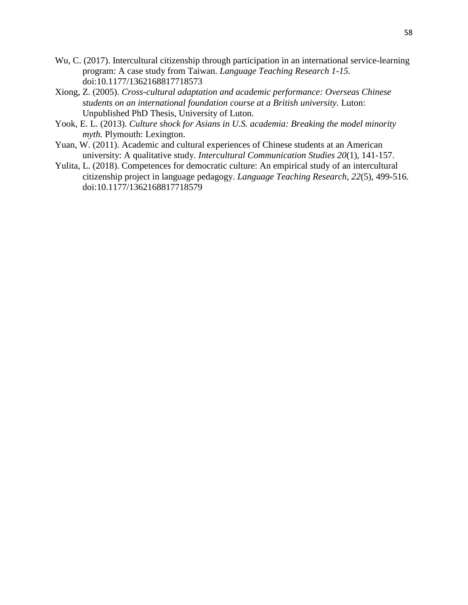- Wu, C. (2017). Intercultural citizenship through participation in an international service-learning program: A case study from Taiwan. *Language Teaching Research 1-15.*  doi:10.1177/1362168817718573
- Xiong, Z. (2005). *Cross-cultural adaptation and academic performance: Overseas Chinese students on an international foundation course at a British university*. Luton: Unpublished PhD Thesis, University of Luton.
- Yook, E. L. (2013). *Culture shock for Asians in U.S. academia: Breaking the model minority myth.* Plymouth: Lexington.
- Yuan, W. (2011). Academic and cultural experiences of Chinese students at an American university: A qualitative study. *Intercultural Communication Studies 20*(1), 141-157.
- Yulita, L. (2018). Competences for democratic culture: An empirical study of an intercultural citizenship project in language pedagogy. *Language Teaching Research, 22*(5), 499-516. doi:10.1177/1362168817718579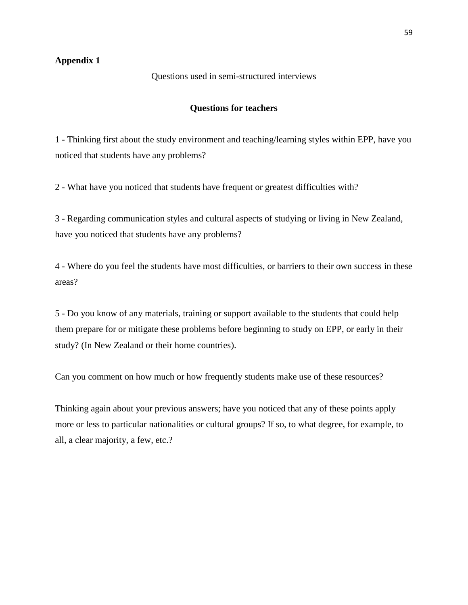# **Appendix 1**

Questions used in semi-structured interviews

## **Questions for teachers**

1 - Thinking first about the study environment and teaching/learning styles within EPP, have you noticed that students have any problems?

2 - What have you noticed that students have frequent or greatest difficulties with?

3 - Regarding communication styles and cultural aspects of studying or living in New Zealand, have you noticed that students have any problems?

4 - Where do you feel the students have most difficulties, or barriers to their own success in these areas?

5 - Do you know of any materials, training or support available to the students that could help them prepare for or mitigate these problems before beginning to study on EPP, or early in their study? (In New Zealand or their home countries).

Can you comment on how much or how frequently students make use of these resources?

Thinking again about your previous answers; have you noticed that any of these points apply more or less to particular nationalities or cultural groups? If so, to what degree, for example, to all, a clear majority, a few, etc.?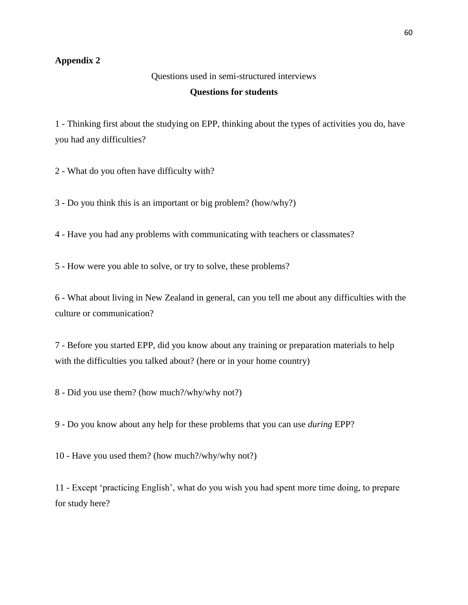# **Appendix 2**

Questions used in semi-structured interviews

## **Questions for students**

1 - Thinking first about the studying on EPP, thinking about the types of activities you do, have you had any difficulties?

2 - What do you often have difficulty with?

3 - Do you think this is an important or big problem? (how/why?)

4 - Have you had any problems with communicating with teachers or classmates?

5 - How were you able to solve, or try to solve, these problems?

6 - What about living in New Zealand in general, can you tell me about any difficulties with the culture or communication?

7 - Before you started EPP, did you know about any training or preparation materials to help with the difficulties you talked about? (here or in your home country)

8 - Did you use them? (how much?/why/why not?)

9 - Do you know about any help for these problems that you can use *during* EPP?

10 - Have you used them? (how much?/why/why not?)

11 - Except 'practicing English', what do you wish you had spent more time doing, to prepare for study here?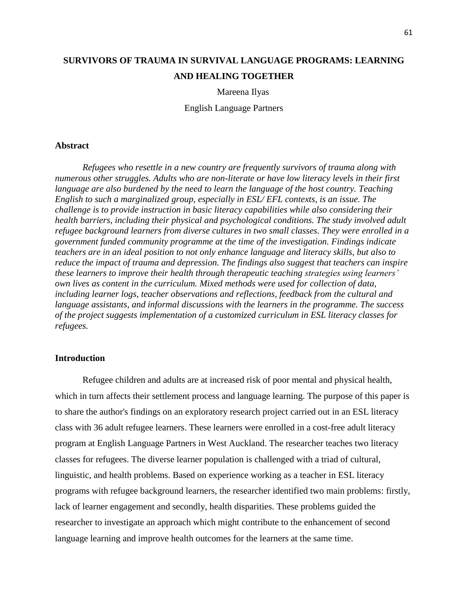# **SURVIVORS OF TRAUMA IN SURVIVAL LANGUAGE PROGRAMS: LEARNING AND HEALING TOGETHER**

#### Mareena Ilyas

English Language Partners

#### **Abstract**

*Refugees who resettle in a new country are frequently survivors of trauma along with numerous other struggles. Adults who are non-literate or have low literacy levels in their first language are also burdened by the need to learn the language of the host country. Teaching English to such a marginalized group, especially in ESL/ EFL contexts, is an issue. The challenge is to provide instruction in basic literacy capabilities while also considering their health barriers, including their physical and psychological conditions. The study involved adult refugee background learners from diverse cultures in two small classes. They were enrolled in a government funded community programme at the time of the investigation. Findings indicate teachers are in an ideal position to not only enhance language and literacy skills, but also to reduce the impact of trauma and depression. The findings also suggest that teachers can inspire these learners to improve their health through therapeutic teaching strategies using learners' own lives as content in the curriculum. Mixed methods were used for collection of data, including learner logs, teacher observations and reflections, feedback from the cultural and language assistants, and informal discussions with the learners in the programme. The success of the project suggests implementation of a customized curriculum in ESL literacy classes for refugees.*

# **Introduction**

Refugee children and adults are at increased risk of poor mental and physical health, which in turn affects their settlement process and language learning. The purpose of this paper is to share the author's findings on an exploratory research project carried out in an ESL literacy class with 36 adult refugee learners. These learners were enrolled in a cost-free adult literacy program at English Language Partners in West Auckland. The researcher teaches two literacy classes for refugees. The diverse learner population is challenged with a triad of cultural, linguistic, and health problems. Based on experience working as a teacher in ESL literacy programs with refugee background learners, the researcher identified two main problems: firstly, lack of learner engagement and secondly, health disparities. These problems guided the researcher to investigate an approach which might contribute to the enhancement of second language learning and improve health outcomes for the learners at the same time.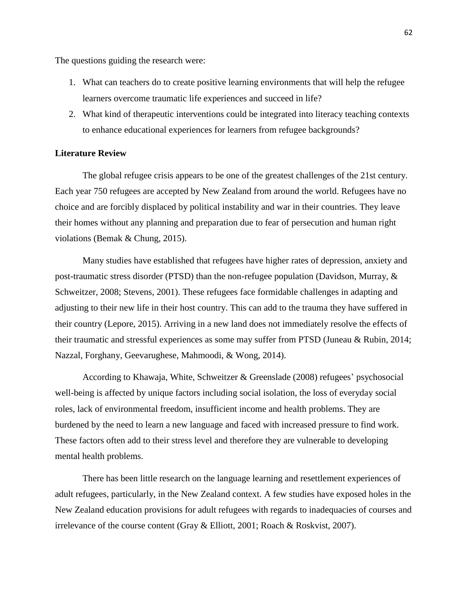The questions guiding the research were:

- 1. What can teachers do to create positive learning environments that will help the refugee learners overcome traumatic life experiences and succeed in life?
- 2. What kind of therapeutic interventions could be integrated into literacy teaching contexts to enhance educational experiences for learners from refugee backgrounds?

## **Literature Review**

The global refugee crisis appears to be one of the greatest challenges of the 21st century. Each year 750 refugees are accepted by New Zealand from around the world. Refugees have no choice and are forcibly displaced by political instability and war in their countries. They leave their homes without any planning and preparation due to fear of persecution and human right violations (Bemak & Chung, 2015).

Many studies have established that refugees have higher rates of depression, anxiety and post-traumatic stress disorder (PTSD) than the non-refugee population (Davidson, Murray, & Schweitzer, 2008; Stevens, 2001). These refugees face formidable challenges in adapting and adjusting to their new life in their host country. This can add to the trauma they have suffered in their country (Lepore, 2015). Arriving in a new land does not immediately resolve the effects of their traumatic and stressful experiences as some may suffer from PTSD (Juneau & Rubin, 2014; Nazzal, Forghany, Geevarughese, Mahmoodi, & Wong, 2014).

According to Khawaja, White, Schweitzer & Greenslade (2008) refugees' psychosocial well-being is affected by unique factors including social isolation, the loss of everyday social roles, lack of environmental freedom, insufficient income and health problems. They are burdened by the need to learn a new language and faced with increased pressure to find work. These factors often add to their stress level and therefore they are vulnerable to developing mental health problems.

There has been little research on the language learning and resettlement experiences of adult refugees, particularly, in the New Zealand context. A few studies have exposed holes in the New Zealand education provisions for adult refugees with regards to inadequacies of courses and irrelevance of the course content (Gray & Elliott, 2001; Roach & Roskvist, 2007).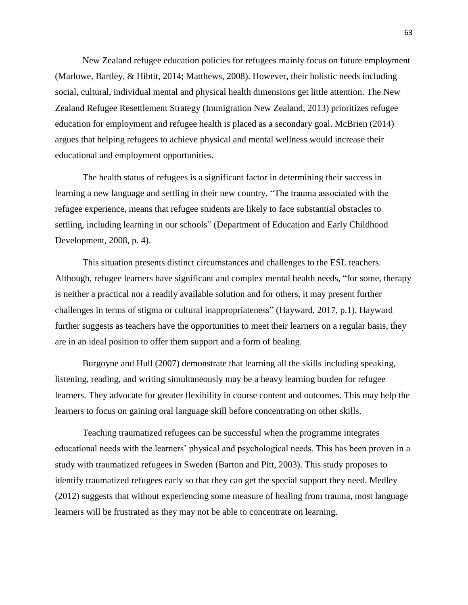New Zealand refugee education policies for refugees mainly focus on future employment (Marlowe, Bartley, & Hibtit, 2014; Matthews, 2008). However, their holistic needs including social, cultural, individual mental and physical health dimensions get little attention. The New Zealand Refugee Resettlement Strategy (Immigration New Zealand, 2013) prioritizes refugee education for employment and refugee health is placed as a secondary goal. McBrien (2014) argues that helping refugees to achieve physical and mental wellness would increase their educational and employment opportunities.

The health status of refugees is a significant factor in determining their success in learning a new language and settling in their new country. "The trauma associated with the refugee experience, means that refugee students are likely to face substantial obstacles to settling, including learning in our schools" (Department of Education and Early Childhood Development, 2008, p. 4).

This situation presents distinct circumstances and challenges to the ESL teachers. Although, refugee learners have significant and complex mental health needs, "for some, therapy is neither a practical nor a readily available solution and for others, it may present further challenges in terms of stigma or cultural inappropriateness" (Hayward, 2017, p.1). Hayward further suggests as teachers have the opportunities to meet their learners on a regular basis, they are in an ideal position to offer them support and a form of healing.

Burgoyne and Hull (2007) demonstrate that learning all the skills including speaking, listening, reading, and writing simultaneously may be a heavy learning burden for refugee learners. They advocate for greater flexibility in course content and outcomes. This may help the learners to focus on gaining oral language skill before concentrating on other skills.

Teaching traumatized refugees can be successful when the programme integrates educational needs with the learners' physical and psychological needs. This has been proven in a study with traumatized refugees in Sweden (Barton and Pitt, 2003). This study proposes to identify traumatized refugees early so that they can get the special support they need. Medley (2012) suggests that without experiencing some measure of healing from trauma, most language learners will be frustrated as they may not be able to concentrate on learning.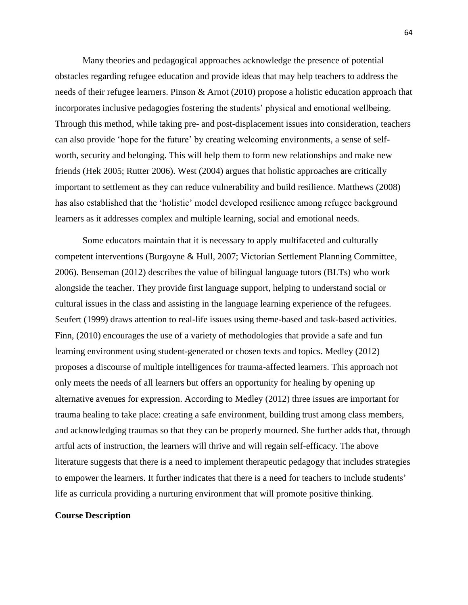Many theories and pedagogical approaches acknowledge the presence of potential obstacles regarding refugee education and provide ideas that may help teachers to address the needs of their refugee learners. Pinson & Arnot (2010) propose a holistic education approach that incorporates inclusive pedagogies fostering the students' physical and emotional wellbeing. Through this method, while taking pre- and post-displacement issues into consideration, teachers can also provide 'hope for the future' by creating welcoming environments, a sense of selfworth, security and belonging. This will help them to form new relationships and make new friends (Hek 2005; Rutter 2006). West (2004) argues that holistic approaches are critically important to settlement as they can reduce vulnerability and build resilience. Matthews (2008) has also established that the 'holistic' model developed resilience among refugee background learners as it addresses complex and multiple learning, social and emotional needs.

Some educators maintain that it is necessary to apply multifaceted and culturally competent interventions (Burgoyne & Hull, 2007; Victorian Settlement Planning Committee, 2006). Benseman (2012) describes the value of bilingual language tutors (BLTs) who work alongside the teacher. They provide first language support, helping to understand social or cultural issues in the class and assisting in the language learning experience of the refugees. Seufert (1999) draws attention to real-life issues using theme-based and task-based activities. Finn, (2010) encourages the use of a variety of methodologies that provide a safe and fun learning environment using student-generated or chosen texts and topics. Medley (2012) proposes a discourse of multiple intelligences for trauma-affected learners. This approach not only meets the needs of all learners but offers an opportunity for healing by opening up alternative avenues for expression. According to Medley (2012) three issues are important for trauma healing to take place: creating a safe environment, building trust among class members, and acknowledging traumas so that they can be properly mourned. She further adds that, through artful acts of instruction, the learners will thrive and will regain self-efficacy. The above literature suggests that there is a need to implement therapeutic pedagogy that includes strategies to empower the learners. It further indicates that there is a need for teachers to include students' life as curricula providing a nurturing environment that will promote positive thinking.

#### **Course Description**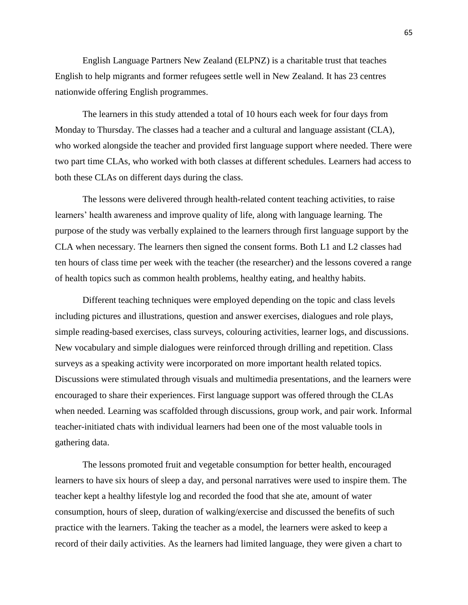English Language Partners New Zealand (ELPNZ) is a charitable trust that teaches English to help migrants and former refugees settle well in New Zealand. It has 23 centres nationwide offering English programmes.

The learners in this study attended a total of 10 hours each week for four days from Monday to Thursday. The classes had a teacher and a cultural and language assistant (CLA), who worked alongside the teacher and provided first language support where needed. There were two part time CLAs, who worked with both classes at different schedules. Learners had access to both these CLAs on different days during the class.

The lessons were delivered through health-related content teaching activities, to raise learners' health awareness and improve quality of life, along with language learning. The purpose of the study was verbally explained to the learners through first language support by the CLA when necessary. The learners then signed the consent forms. Both L1 and L2 classes had ten hours of class time per week with the teacher (the researcher) and the lessons covered a range of health topics such as common health problems, healthy eating, and healthy habits.

Different teaching techniques were employed depending on the topic and class levels including pictures and illustrations, question and answer exercises, dialogues and role plays, simple reading-based exercises, class surveys, colouring activities, learner logs, and discussions. New vocabulary and simple dialogues were reinforced through drilling and repetition. Class surveys as a speaking activity were incorporated on more important health related topics. Discussions were stimulated through visuals and multimedia presentations, and the learners were encouraged to share their experiences. First language support was offered through the CLAs when needed. Learning was scaffolded through discussions, group work, and pair work. Informal teacher-initiated chats with individual learners had been one of the most valuable tools in gathering data.

The lessons promoted fruit and vegetable consumption for better health, encouraged learners to have six hours of sleep a day, and personal narratives were used to inspire them. The teacher kept a healthy lifestyle log and recorded the food that she ate, amount of water consumption, hours of sleep, duration of walking/exercise and discussed the benefits of such practice with the learners. Taking the teacher as a model, the learners were asked to keep a record of their daily activities. As the learners had limited language, they were given a chart to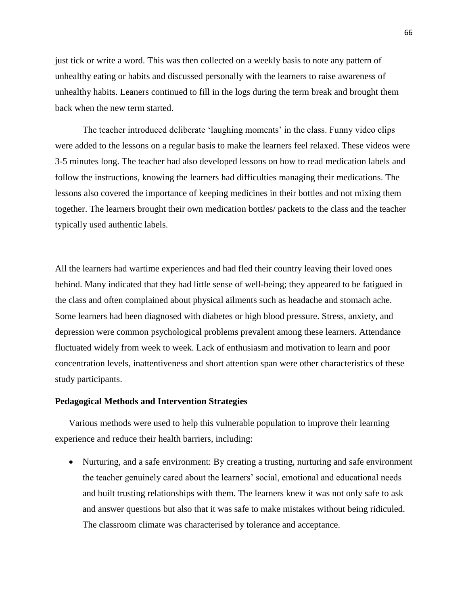just tick or write a word. This was then collected on a weekly basis to note any pattern of unhealthy eating or habits and discussed personally with the learners to raise awareness of unhealthy habits. Leaners continued to fill in the logs during the term break and brought them back when the new term started.

The teacher introduced deliberate 'laughing moments' in the class. Funny video clips were added to the lessons on a regular basis to make the learners feel relaxed. These videos were 3-5 minutes long. The teacher had also developed lessons on how to read medication labels and follow the instructions, knowing the learners had difficulties managing their medications. The lessons also covered the importance of keeping medicines in their bottles and not mixing them together. The learners brought their own medication bottles/ packets to the class and the teacher typically used authentic labels.

All the learners had wartime experiences and had fled their country leaving their loved ones behind. Many indicated that they had little sense of well-being; they appeared to be fatigued in the class and often complained about physical ailments such as headache and stomach ache. Some learners had been diagnosed with diabetes or high blood pressure. Stress, anxiety, and depression were common psychological problems prevalent among these learners. Attendance fluctuated widely from week to week. Lack of enthusiasm and motivation to learn and poor concentration levels, inattentiveness and short attention span were other characteristics of these study participants.

#### **Pedagogical Methods and Intervention Strategies**

Various methods were used to help this vulnerable population to improve their learning experience and reduce their health barriers, including:

• Nurturing, and a safe environment: By creating a trusting, nurturing and safe environment the teacher genuinely cared about the learners' social, emotional and educational needs and built trusting relationships with them. The learners knew it was not only safe to ask and answer questions but also that it was safe to make mistakes without being ridiculed. The classroom climate was characterised by tolerance and acceptance.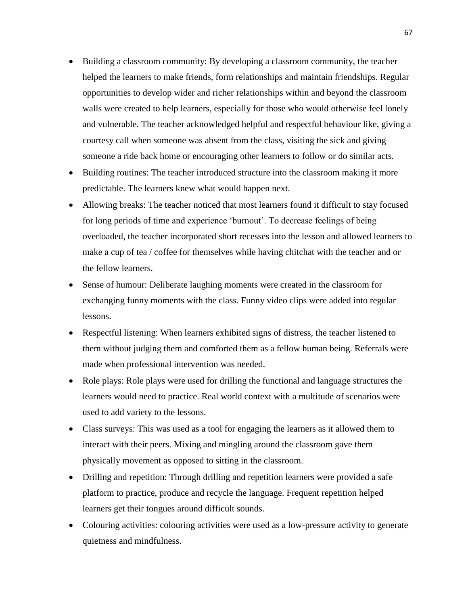- Building a classroom community: By developing a classroom community, the teacher helped the learners to make friends, form relationships and maintain friendships. Regular opportunities to develop wider and richer relationships within and beyond the classroom walls were created to help learners, especially for those who would otherwise feel lonely and vulnerable. The teacher acknowledged helpful and respectful behaviour like, giving a courtesy call when someone was absent from the class, visiting the sick and giving someone a ride back home or encouraging other learners to follow or do similar acts.
- Building routines: The teacher introduced structure into the classroom making it more predictable. The learners knew what would happen next.
- Allowing breaks: The teacher noticed that most learners found it difficult to stay focused for long periods of time and experience 'burnout'. To decrease feelings of being overloaded, the teacher incorporated short recesses into the lesson and allowed learners to make a cup of tea / coffee for themselves while having chitchat with the teacher and or the fellow learners.
- Sense of humour: Deliberate laughing moments were created in the classroom for exchanging funny moments with the class. Funny video clips were added into regular lessons.
- Respectful listening: When learners exhibited signs of distress, the teacher listened to them without judging them and comforted them as a fellow human being. Referrals were made when professional intervention was needed.
- Role plays: Role plays were used for drilling the functional and language structures the learners would need to practice. Real world context with a multitude of scenarios were used to add variety to the lessons.
- Class surveys: This was used as a tool for engaging the learners as it allowed them to interact with their peers. Mixing and mingling around the classroom gave them physically movement as opposed to sitting in the classroom.
- Drilling and repetition: Through drilling and repetition learners were provided a safe platform to practice, produce and recycle the language. Frequent repetition helped learners get their tongues around difficult sounds.
- Colouring activities: colouring activities were used as a low-pressure activity to generate quietness and mindfulness.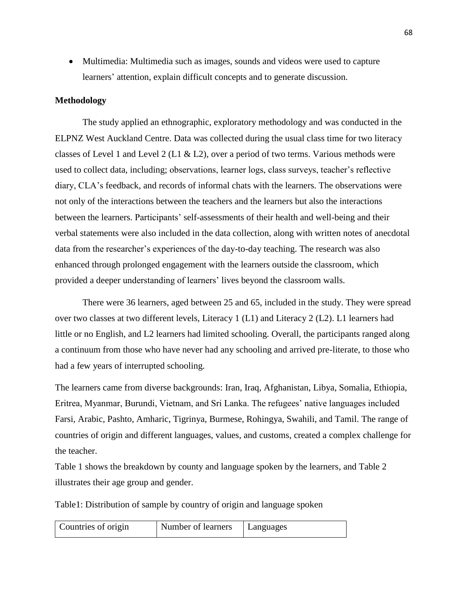• Multimedia: Multimedia such as images, sounds and videos were used to capture learners' attention, explain difficult concepts and to generate discussion.

# **Methodology**

The study applied an ethnographic, exploratory methodology and was conducted in the ELPNZ West Auckland Centre. Data was collected during the usual class time for two literacy classes of Level 1 and Level 2 (L1  $&$  L2), over a period of two terms. Various methods were used to collect data, including; observations, learner logs, class surveys, teacher's reflective diary, CLA's feedback, and records of informal chats with the learners. The observations were not only of the interactions between the teachers and the learners but also the interactions between the learners. Participants' self-assessments of their health and well-being and their verbal statements were also included in the data collection, along with written notes of anecdotal data from the researcher's experiences of the day-to-day teaching. The research was also enhanced through prolonged engagement with the learners outside the classroom, which provided a deeper understanding of learners' lives beyond the classroom walls.

There were 36 learners, aged between 25 and 65, included in the study. They were spread over two classes at two different levels, Literacy 1 (L1) and Literacy 2 (L2). L1 learners had little or no English, and L2 learners had limited schooling. Overall, the participants ranged along a continuum from those who have never had any schooling and arrived pre-literate, to those who had a few years of interrupted schooling.

The learners came from diverse backgrounds: Iran, Iraq, Afghanistan, Libya, Somalia, Ethiopia, Eritrea, Myanmar, Burundi, Vietnam, and Sri Lanka. The refugees' native languages included Farsi, Arabic, Pashto, Amharic, Tigrinya, Burmese, Rohingya, Swahili, and Tamil. The range of countries of origin and different languages, values, and customs, created a complex challenge for the teacher.

Table 1 shows the breakdown by county and language spoken by the learners, and Table 2 illustrates their age group and gender.

Table1: Distribution of sample by country of origin and language spoken

| Countries of origin | Number of learners | Languages |
|---------------------|--------------------|-----------|
|---------------------|--------------------|-----------|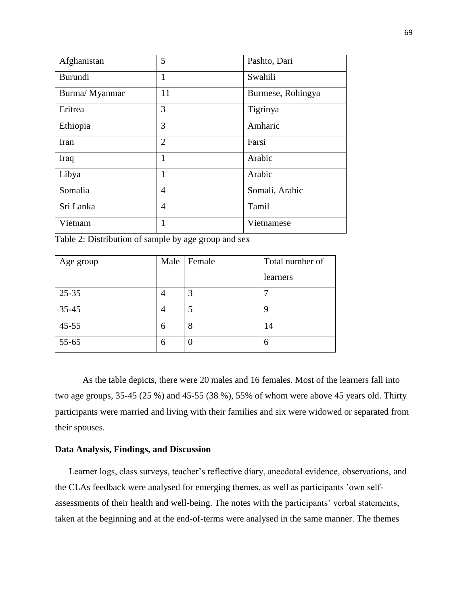| Afghanistan    | 5              | Pashto, Dari      |  |
|----------------|----------------|-------------------|--|
| <b>Burundi</b> | 1              | Swahili           |  |
| Burma/ Myanmar | 11             | Burmese, Rohingya |  |
| Eritrea        | 3              | Tigrinya          |  |
| Ethiopia       | 3              | Amharic           |  |
| Iran           | $\overline{2}$ | Farsi             |  |
| Iraq           | 1              | Arabic            |  |
| Libya          | 1              | Arabic            |  |
| Somalia        | $\overline{4}$ | Somali, Arabic    |  |
| Sri Lanka      | 4              | Tamil             |  |
| Vietnam        | 1              | Vietnamese        |  |

Table 2: Distribution of sample by age group and sex

| Age group | Male           | Female | Total number of |
|-----------|----------------|--------|-----------------|
|           |                |        | learners        |
| $25 - 35$ | 4              | 3      |                 |
| 35-45     | $\overline{4}$ | 5      | g               |
| $45 - 55$ | 6              | 8      | 14              |
| 55-65     | 6              | 0      | 6               |

As the table depicts, there were 20 males and 16 females. Most of the learners fall into two age groups, 35-45 (25 %) and 45-55 (38 %), 55% of whom were above 45 years old. Thirty participants were married and living with their families and six were widowed or separated from their spouses.

## **Data Analysis, Findings, and Discussion**

Learner logs, class surveys, teacher's reflective diary, anecdotal evidence, observations, and the CLAs feedback were analysed for emerging themes, as well as participants 'own selfassessments of their health and well-being. The notes with the participants' verbal statements, taken at the beginning and at the end-of-terms were analysed in the same manner. The themes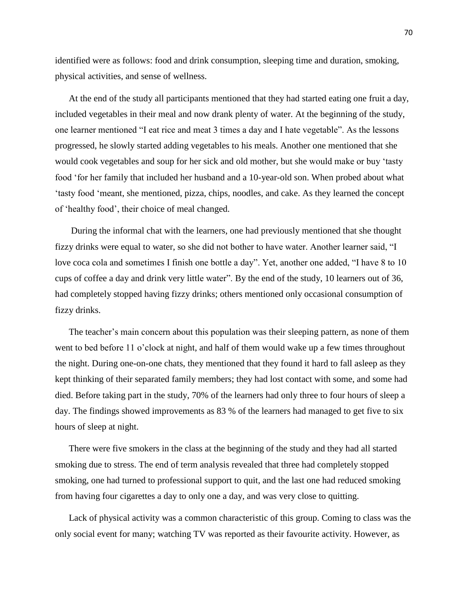identified were as follows: food and drink consumption, sleeping time and duration, smoking, physical activities, and sense of wellness.

At the end of the study all participants mentioned that they had started eating one fruit a day, included vegetables in their meal and now drank plenty of water. At the beginning of the study, one learner mentioned "I eat rice and meat 3 times a day and I hate vegetable". As the lessons progressed, he slowly started adding vegetables to his meals. Another one mentioned that she would cook vegetables and soup for her sick and old mother, but she would make or buy 'tasty food 'for her family that included her husband and a 10-year-old son. When probed about what 'tasty food 'meant, she mentioned, pizza, chips, noodles, and cake. As they learned the concept of 'healthy food', their choice of meal changed.

During the informal chat with the learners, one had previously mentioned that she thought fizzy drinks were equal to water, so she did not bother to have water. Another learner said, "I love coca cola and sometimes I finish one bottle a day". Yet, another one added, "I have 8 to 10 cups of coffee a day and drink very little water". By the end of the study, 10 learners out of 36, had completely stopped having fizzy drinks; others mentioned only occasional consumption of fizzy drinks.

The teacher's main concern about this population was their sleeping pattern, as none of them went to bed before 11 o'clock at night, and half of them would wake up a few times throughout the night. During one-on-one chats, they mentioned that they found it hard to fall asleep as they kept thinking of their separated family members; they had lost contact with some, and some had died. Before taking part in the study, 70% of the learners had only three to four hours of sleep a day. The findings showed improvements as 83 % of the learners had managed to get five to six hours of sleep at night.

There were five smokers in the class at the beginning of the study and they had all started smoking due to stress. The end of term analysis revealed that three had completely stopped smoking, one had turned to professional support to quit, and the last one had reduced smoking from having four cigarettes a day to only one a day, and was very close to quitting.

Lack of physical activity was a common characteristic of this group. Coming to class was the only social event for many; watching TV was reported as their favourite activity. However, as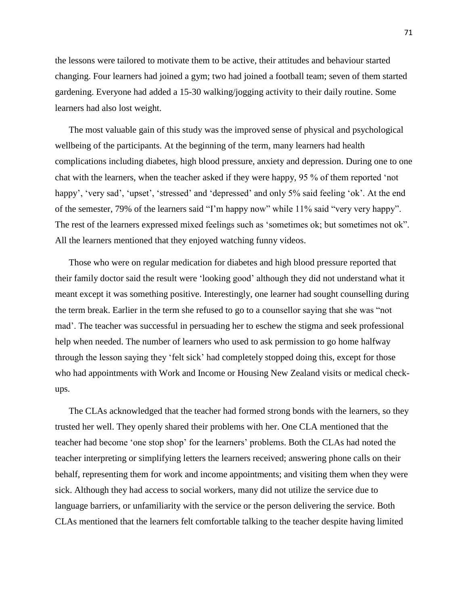the lessons were tailored to motivate them to be active, their attitudes and behaviour started changing. Four learners had joined a gym; two had joined a football team; seven of them started gardening. Everyone had added a 15-30 walking/jogging activity to their daily routine. Some learners had also lost weight.

The most valuable gain of this study was the improved sense of physical and psychological wellbeing of the participants. At the beginning of the term, many learners had health complications including diabetes, high blood pressure, anxiety and depression. During one to one chat with the learners, when the teacher asked if they were happy, 95 % of them reported 'not happy', 'very sad', 'upset', 'stressed' and 'depressed' and only 5% said feeling 'ok'. At the end of the semester, 79% of the learners said "I'm happy now" while 11% said "very very happy". The rest of the learners expressed mixed feelings such as 'sometimes ok; but sometimes not ok". All the learners mentioned that they enjoyed watching funny videos.

Those who were on regular medication for diabetes and high blood pressure reported that their family doctor said the result were 'looking good' although they did not understand what it meant except it was something positive. Interestingly, one learner had sought counselling during the term break. Earlier in the term she refused to go to a counsellor saying that she was "not mad'. The teacher was successful in persuading her to eschew the stigma and seek professional help when needed. The number of learners who used to ask permission to go home halfway through the lesson saying they 'felt sick' had completely stopped doing this, except for those who had appointments with Work and Income or Housing New Zealand visits or medical checkups.

The CLAs acknowledged that the teacher had formed strong bonds with the learners, so they trusted her well. They openly shared their problems with her. One CLA mentioned that the teacher had become 'one stop shop' for the learners' problems. Both the CLAs had noted the teacher interpreting or simplifying letters the learners received; answering phone calls on their behalf, representing them for work and income appointments; and visiting them when they were sick. Although they had access to social workers, many did not utilize the service due to language barriers, or unfamiliarity with the service or the person delivering the service. Both CLAs mentioned that the learners felt comfortable talking to the teacher despite having limited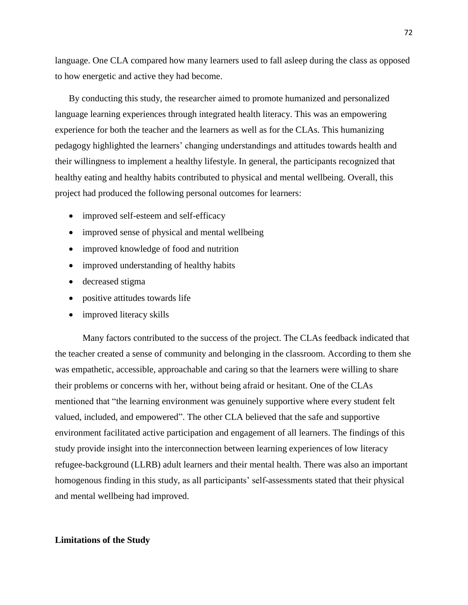language. One CLA compared how many learners used to fall asleep during the class as opposed to how energetic and active they had become.

By conducting this study, the researcher aimed to promote humanized and personalized language learning experiences through integrated health literacy. This was an empowering experience for both the teacher and the learners as well as for the CLAs. This humanizing pedagogy highlighted the learners' changing understandings and attitudes towards health and their willingness to implement a healthy lifestyle. In general, the participants recognized that healthy eating and healthy habits contributed to physical and mental wellbeing. Overall, this project had produced the following personal outcomes for learners:

- improved self-esteem and self-efficacy
- improved sense of physical and mental wellbeing
- improved knowledge of food and nutrition
- improved understanding of healthy habits
- decreased stigma
- positive attitudes towards life
- improved literacy skills

Many factors contributed to the success of the project. The CLAs feedback indicated that the teacher created a sense of community and belonging in the classroom. According to them she was empathetic, accessible, approachable and caring so that the learners were willing to share their problems or concerns with her, without being afraid or hesitant. One of the CLAs mentioned that "the learning environment was genuinely supportive where every student felt valued, included, and empowered". The other CLA believed that the safe and supportive environment facilitated active participation and engagement of all learners. The findings of this study provide insight into the interconnection between learning experiences of low literacy refugee-background (LLRB) adult learners and their mental health. There was also an important homogenous finding in this study, as all participants' self-assessments stated that their physical and mental wellbeing had improved.

#### **Limitations of the Study**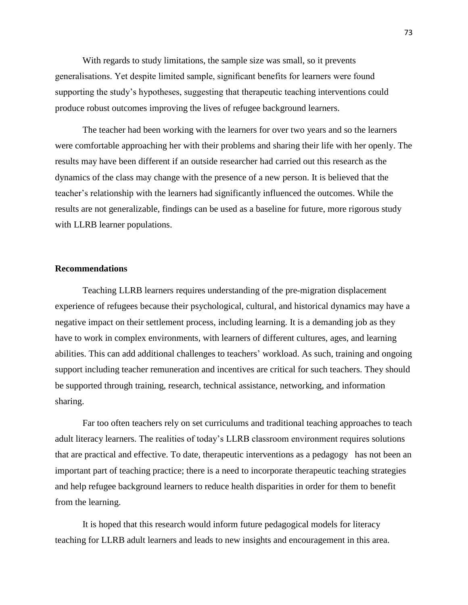With regards to study limitations, the sample size was small, so it prevents generalisations. Yet despite limited sample, significant benefits for learners were found supporting the study's hypotheses, suggesting that therapeutic teaching interventions could produce robust outcomes improving the lives of refugee background learners.

The teacher had been working with the learners for over two years and so the learners were comfortable approaching her with their problems and sharing their life with her openly. The results may have been different if an outside researcher had carried out this research as the dynamics of the class may change with the presence of a new person. It is believed that the teacher's relationship with the learners had significantly influenced the outcomes. While the results are not generalizable, findings can be used as a baseline for future, more rigorous study with LLRB learner populations.

### **Recommendations**

Teaching LLRB learners requires understanding of the pre-migration displacement experience of refugees because their psychological, cultural, and historical dynamics may have a negative impact on their settlement process, including learning. It is a demanding job as they have to work in complex environments, with learners of different cultures, ages, and learning abilities. This can add additional challenges to teachers' workload. As such, training and ongoing support including teacher remuneration and incentives are critical for such teachers. They should be supported through training, research, technical assistance, networking, and information sharing.

Far too often teachers rely on set curriculums and traditional teaching approaches to teach adult literacy learners. The realities of today's LLRB classroom environment requires solutions that are practical and effective. To date, therapeutic interventions as a pedagogy has not been an important part of teaching practice; there is a need to incorporate therapeutic teaching strategies and help refugee background learners to reduce health disparities in order for them to benefit from the learning.

It is hoped that this research would inform future pedagogical models for literacy teaching for LLRB adult learners and leads to new insights and encouragement in this area.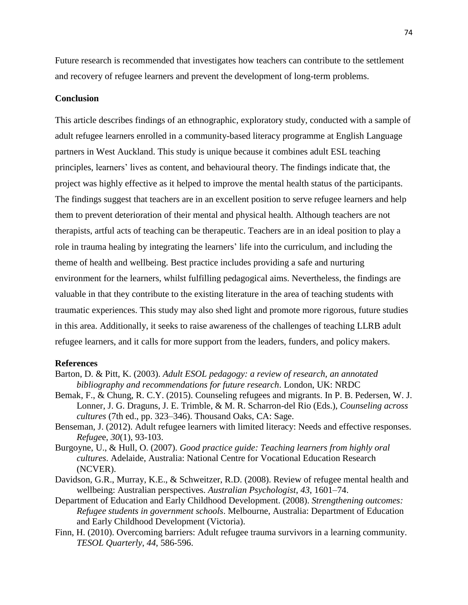Future research is recommended that investigates how teachers can contribute to the settlement and recovery of refugee learners and prevent the development of long-term problems.

### **Conclusion**

This article describes findings of an ethnographic, exploratory study, conducted with a sample of adult refugee learners enrolled in a community-based literacy programme at English Language partners in West Auckland. This study is unique because it combines adult ESL teaching principles, learners' lives as content, and behavioural theory. The findings indicate that, the project was highly effective as it helped to improve the mental health status of the participants. The findings suggest that teachers are in an excellent position to serve refugee learners and help them to prevent deterioration of their mental and physical health. Although teachers are not therapists, artful acts of teaching can be therapeutic. Teachers are in an ideal position to play a role in trauma healing by integrating the learners' life into the curriculum, and including the theme of health and wellbeing. Best practice includes providing a safe and nurturing environment for the learners, whilst fulfilling pedagogical aims. Nevertheless, the findings are valuable in that they contribute to the existing literature in the area of teaching students with traumatic experiences. This study may also shed light and promote more rigorous, future studies in this area. Additionally, it seeks to raise awareness of the challenges of teaching LLRB adult refugee learners, and it calls for more support from the leaders, funders, and policy makers.

#### **References**

- Barton, D. & Pitt, K. (2003). *Adult ESOL pedagogy: a review of research, an annotated bibliography and recommendations for future research*. London, UK: NRDC
- Bemak, F., & Chung, R. C.Y. (2015). Counseling refugees and migrants. In P. B. Pedersen, W. J. Lonner, J. G. Draguns, J. E. Trimble, & M. R. Scharron-del Rio (Eds.), *Counseling across cultures* (7th ed., pp. 323–346). Thousand Oaks, CA: Sage.
- Benseman, J. (2012). Adult refugee learners with limited literacy: Needs and effective responses. *Refuge*e, *30*(1), 93-103.
- Burgoyne, U., & Hull, O. (2007). *Good practice guide: Teaching learners from highly oral cultures*. Adelaide, Australia: National Centre for Vocational Education Research (NCVER).
- Davidson, G.R., Murray, K.E., & Schweitzer, R.D. (2008). Review of refugee mental health and wellbeing: Australian perspectives. *Australian Psychologist*, *43*, 1601–74.
- Department of Education and Early Childhood Development. (2008). *Strengthening outcomes: Refugee students in government schools*. Melbourne, Australia: Department of Education and Early Childhood Development (Victoria).
- Finn, H. (2010). Overcoming barriers: Adult refugee trauma survivors in a learning community. *TESOL Quarterly*, *44*, 586-596.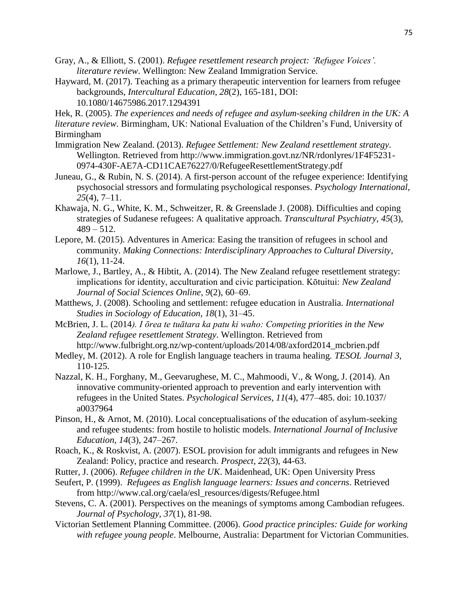Gray, A., & Elliott, S. (2001). *Refugee resettlement research project: 'Refugee Voices'. literature review*. Wellington: New Zealand Immigration Service.

Hayward, M. (2017). Teaching as a primary therapeutic intervention for learners from refugee backgrounds, *Intercultural Education*, *28*(2), 165-181, DOI: 10.1080/14675986.2017.1294391

Hek, R. (2005). *The experiences and needs of refugee and asylum-seeking children in the UK: A* 

*literature review*. Birmingham, UK: National Evaluation of the Children's Fund, University of Birmingham

- Immigration New Zealand. (2013). *Refugee Settlement: New Zealand resettlement strategy*. Wellington. Retrieved from http://www.immigration.govt.nz/NR/rdonlyres/1F4F5231- 0974-430F-AE7A-CD11CAE76227/0/RefugeeResettlementStrategy.pdf
- Juneau, G., & Rubin, N. S. (2014). A first-person account of the refugee experience: Identifying psychosocial stressors and formulating psychological responses. *Psychology International*, *25*(4), 7–11.
- Khawaja, N. G., White, K. M., Schweitzer, R. & Greenslade J. (2008). Difficulties and coping strategies of Sudanese refugees: A qualitative approach. *Transcultural Psychiatry*, *45*(3),  $489 - 512$ .
- Lepore, M. (2015). Adventures in America: Easing the transition of refugees in school and community. *Making Connections: Interdisciplinary Approaches to Cultural Diversity*, *16*(1), 11-24.
- Marlowe, J., Bartley, A., & Hibtit, A. (2014). The New Zealand refugee resettlement strategy: implications for identity, acculturation and civic participation. Kōtuitui: *New Zealand Journal of Social Sciences Online*, *9*(2), 60–69.
- Matthews, J. (2008). Schooling and settlement: refugee education in Australia. *International Studies in Sociology of Education*, *18*(1), 31–45.
- McBrien, J. L. (2014*). I ōrea te tuātara ka patu ki waho: Competing priorities in the New Zealand refugee resettlement Strategy*. Wellington. Retrieved from http://www.fulbright.org.nz/wp-content/uploads/2014/08/axford2014\_mcbrien.pdf
- Medley, M. (2012). A role for English language teachers in trauma healing. *TESOL Journal 3*, 110-125.
- Nazzal, K. H., Forghany, M., Geevarughese, M. C., Mahmoodi, V., & Wong, J. (2014). An innovative community-oriented approach to prevention and early intervention with refugees in the United States. *Psychological Services*, *11*(4), 477–485. doi: 10.1037/ a0037964
- Pinson, H., & Arnot, M. (2010). Local conceptualisations of the education of asylum-seeking and refugee students: from hostile to holistic models. *International Journal of Inclusive Education*, *14*(3), 247–267.
- Roach, K., & Roskvist, A. (2007). ESOL provision for adult immigrants and refugees in New Zealand: Policy, practice and research. *Prospect*, *22*(3), 44-63.
- Rutter, J. (2006). *Refugee children in the UK*. Maidenhead, UK: Open University Press
- Seufert, P. (1999). *Refugees as English language learners: Issues and concerns*. Retrieved from http://www.cal.org/caela/esl\_resources/digests/Refugee.html
- Stevens, C. A. (2001). Perspectives on the meanings of symptoms among Cambodian refugees. *Journal of Psychology*, *37*(1), 81-98.
- Victorian Settlement Planning Committee. (2006). *Good practice principles: Guide for working with refugee young people*. Melbourne, Australia: Department for Victorian Communities.